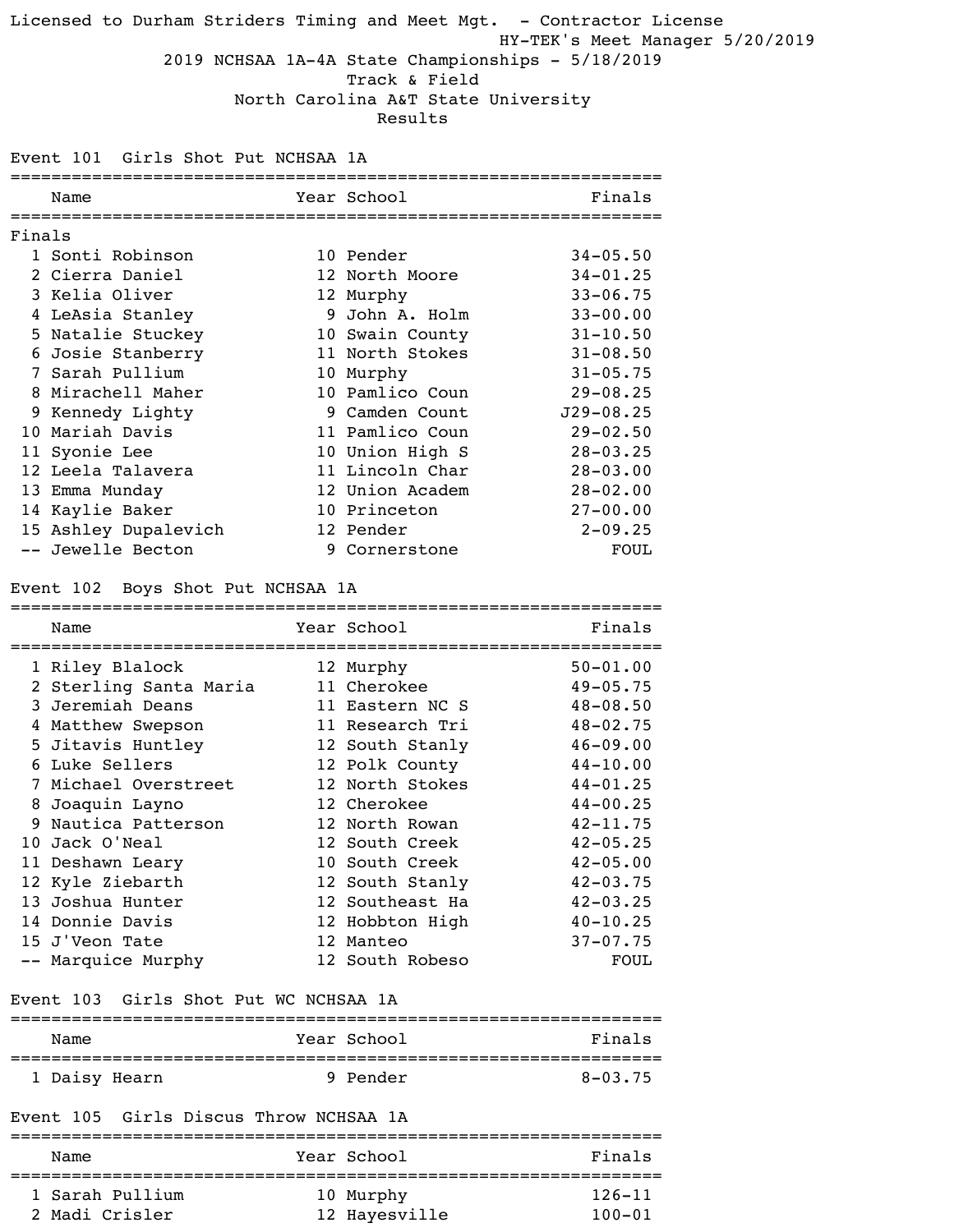### Licensed to Durham Striders Timing and Meet Mgt. - Contractor License HY-TEK's Meet Manager 5/20/2019 2019 NCHSAA 1A-4A State Championships - 5/18/2019 Track & Field North Carolina A&T State University Results

Event 101 Girls Shot Put NCHSAA 1A

|        | ==========                             |                 | ============================== |
|--------|----------------------------------------|-----------------|--------------------------------|
|        | Name                                   | Year School     | Finals                         |
|        |                                        |                 |                                |
| Finals | 1 Sonti Robinson                       |                 | $34 - 05.50$                   |
|        |                                        | 10 Pender       |                                |
|        | 2 Cierra Daniel                        | 12 North Moore  | $34 - 01.25$                   |
|        | 3 Kelia Oliver                         | 12 Murphy       | $33 - 06.75$                   |
|        | 4 LeAsia Stanley                       | 9 John A. Holm  | $33 - 00.00$                   |
|        | 5 Natalie Stuckey                      | 10 Swain County | $31 - 10.50$                   |
|        | 6 Josie Stanberry                      | 11 North Stokes | $31 - 08.50$                   |
|        | 7 Sarah Pullium                        | 10 Murphy       | $31 - 05.75$                   |
|        | 8 Mirachell Maher                      | 10 Pamlico Coun | $29 - 08.25$                   |
|        | 9 Kennedy Lighty                       | 9 Camden Count  | $J29 - 08.25$                  |
|        | 10 Mariah Davis                        | 11 Pamlico Coun | $29 - 02.50$                   |
|        | 11 Syonie Lee                          | 10 Union High S | $28 - 03.25$                   |
|        | 12 Leela Talavera                      | 11 Lincoln Char | $28 - 03.00$                   |
|        | 13 Emma Munday                         | 12 Union Academ | $28 - 02.00$                   |
|        | 14 Kaylie Baker                        | 10 Princeton    | $27 - 00.00$                   |
|        | 15 Ashley Dupalevich                   | 12 Pender       | $2 - 09.25$                    |
|        | -- Jewelle Becton                      | 9 Cornerstone   | <b>FOUL</b>                    |
|        | Event 102 Boys Shot Put NCHSAA 1A      |                 |                                |
|        |                                        |                 |                                |
|        | Name                                   | Year School     | Finals                         |
|        | 1 Riley Blalock                        | 12 Murphy       | $50 - 01.00$                   |
|        | 2 Sterling Santa Maria                 | 11 Cherokee     | $49 - 05.75$                   |
|        | 3 Jeremiah Deans                       | 11 Eastern NC S | $48 - 08.50$                   |
|        | 4 Matthew Swepson                      | 11 Research Tri | $48 - 02.75$                   |
|        | 5 Jitavis Huntley                      | 12 South Stanly | $46 - 09.00$                   |
|        | 6 Luke Sellers                         | 12 Polk County  | $44 - 10.00$                   |
|        | 7 Michael Overstreet                   | 12 North Stokes | $44 - 01.25$                   |
|        |                                        | 12 Cherokee     |                                |
|        | 8 Joaquin Layno<br>9 Nautica Patterson | 12 North Rowan  | $44 - 00.25$<br>$42 - 11.75$   |
|        |                                        |                 |                                |
|        | 10 Jack O'Neal                         | 12 South Creek  | $42 - 05.25$                   |
|        | 11 Deshawn Leary                       | 10 South Creek  | $42 - 05.00$                   |
|        | 12 Kyle Ziebarth                       | 12 South Stanly | $42 - 03.75$                   |
|        | 13 Joshua Hunter                       | 12 Southeast Ha | $42 - 03.25$                   |
|        | 14 Donnie Davis                        | 12 Hobbton High | $40 - 10.25$                   |
|        | 15 J'Veon Tate                         | 12 Manteo       | $37 - 07.75$                   |
|        | -- Marquice Murphy                     | 12 South Robeso | <b>FOUL</b>                    |
|        | Event 103 Girls Shot Put WC NCHSAA 1A  |                 |                                |
|        | Name                                   | Year School     | Finals                         |
|        |                                        |                 |                                |
|        | 1 Daisy Hearn                          | 9 Pender        | $8 - 03.75$                    |
|        | Event 105 Girls Discus Throw NCHSAA 1A |                 |                                |
|        |                                        |                 |                                |
|        | Name                                   | Year School     | Finals                         |
|        |                                        |                 |                                |

| 1 Sarah Pullium | 10 Murphy     | $126 - 11$ |
|-----------------|---------------|------------|
| 2 Madi Crisler  | 12 Hayesville | $100 - 01$ |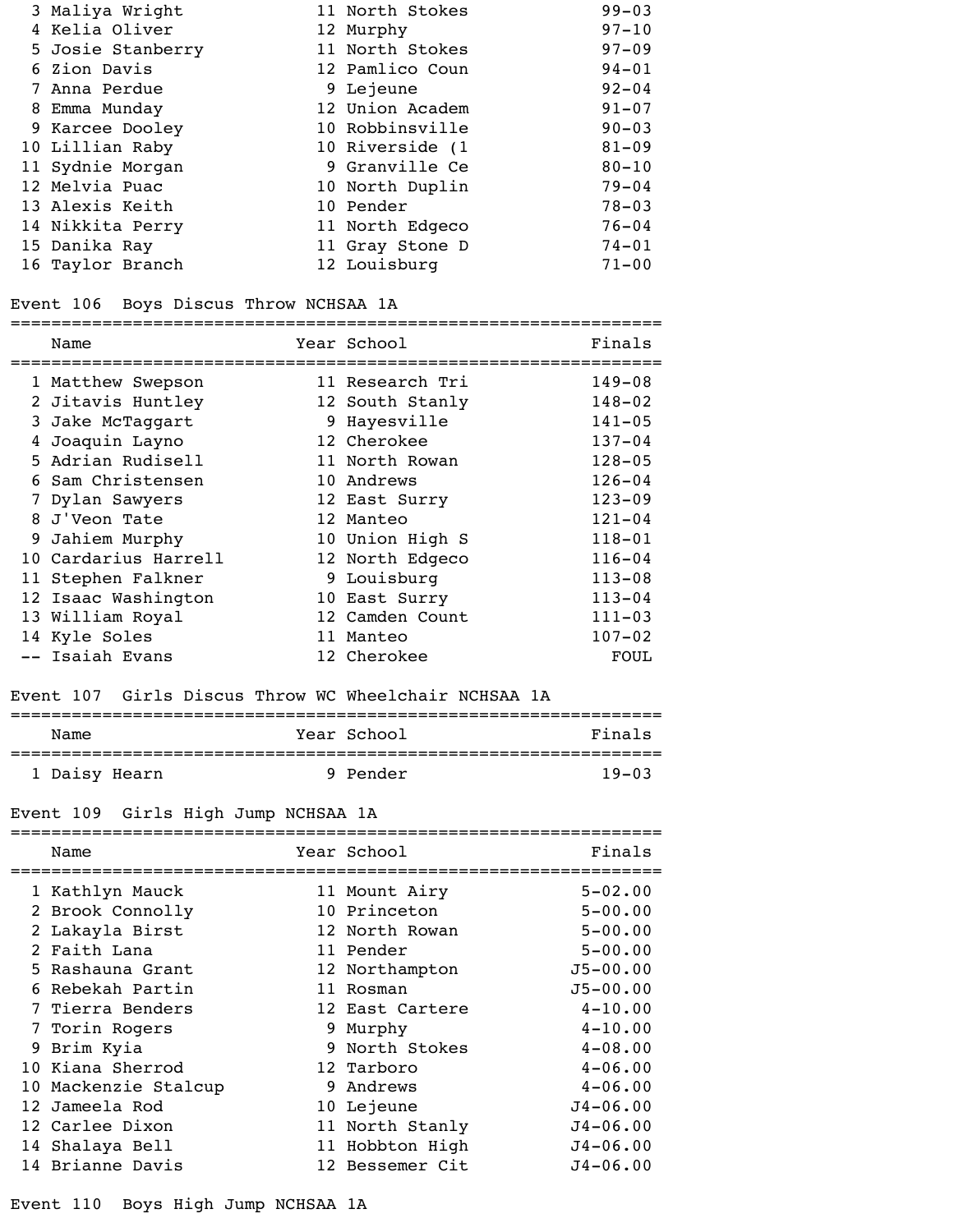| 3 Maliya Wright   | 11 North Stokes | $99 - 03$ |
|-------------------|-----------------|-----------|
| 4 Kelia Oliver    | 12 Murphy       | $97 - 10$ |
| 5 Josie Stanberry | 11 North Stokes | $97 - 09$ |
| 6 Zion Davis      | 12 Pamlico Coun | $94 - 01$ |
| 7 Anna Perdue     | 9 Lejeune       | $92 - 04$ |
| 8 Emma Munday     | 12 Union Academ | $91 - 07$ |
| 9 Karcee Dooley   | 10 Robbinsville | $90 - 03$ |
| 10 Lillian Raby   | 10 Riverside (1 | $81 - 09$ |
| 11 Sydnie Morgan  | 9 Granville Ce  | $80 - 10$ |
| 12 Melvia Puac    | 10 North Duplin | $79 - 04$ |
| 13 Alexis Keith   | 10 Pender       | $78 - 03$ |
| 14 Nikkita Perry  | 11 North Edgeco | $76 - 04$ |
| 15 Danika Ray     | 11 Gray Stone D | $74 - 01$ |
| 16 Taylor Branch  | 12 Louisburg    | $71 - 00$ |
|                   |                 |           |

### Event 106 Boys Discus Throw NCHSAA 1A

| Name                 | Year School     | Finals     |
|----------------------|-----------------|------------|
| 1 Matthew Swepson    | 11 Research Tri | $149 - 08$ |
| 2 Jitavis Huntley    | 12 South Stanly | $148 - 02$ |
| 3 Jake McTaggart     | 9 Hayesville    | $141 - 05$ |
| 4 Joaquin Layno      | 12 Cherokee     | $137 - 04$ |
| 5 Adrian Rudisell    | 11 North Rowan  | $128 - 05$ |
| 6 Sam Christensen    | 10 Andrews      | $126 - 04$ |
| 7 Dylan Sawyers      | 12 East Surry   | $123 - 09$ |
| 8 J'Veon Tate        | 12 Manteo       | $121 - 04$ |
| 9 Jahiem Murphy      | 10 Union High S | $118 - 01$ |
| 10 Cardarius Harrell | 12 North Edgeco | $116 - 04$ |
| 11 Stephen Falkner   | 9 Louisburg     | $113 - 08$ |
| 12 Isaac Washington  | 10 East Surry   | $113 - 04$ |
| 13 William Royal     | 12 Camden Count | $111 - 03$ |
| 14 Kyle Soles        | Manteo          | $107 - 02$ |
| -- Isaiah Evans      | 12 Cherokee     | FOUL       |

### Event 107 Girls Discus Throw WC Wheelchair NCHSAA 1A

| Name          | Year School | Finals    |
|---------------|-------------|-----------|
| 1 Daisy Hearn | 9 Pender    | $19 - 03$ |

# Event 109 Girls High Jump NCHSAA 1A

| Name                 | Year School     | Finals       |
|----------------------|-----------------|--------------|
| 1 Kathlyn Mauck      | 11 Mount Airy   | $5 - 02.00$  |
| 2 Brook Connolly     | 10 Princeton    | $5 - 00.00$  |
| 2 Lakayla Birst      | 12 North Rowan  | $5 - 00.00$  |
| 2 Faith Lana         | 11 Pender       | $5 - 00.00$  |
| 5 Rashauna Grant     | 12 Northampton  | $J5 - 00.00$ |
| 6 Rebekah Partin     | 11 Rosman       | $J5 - 00.00$ |
| 7 Tierra Benders     | 12 East Cartere | $4 - 10.00$  |
| 7 Torin Rogers       | 9 Murphy        | $4 - 10.00$  |
| 9 Brim Kyia          | 9 North Stokes  | $4 - 08.00$  |
| 10 Kiana Sherrod     | 12 Tarboro      | $4 - 06.00$  |
| 10 Mackenzie Stalcup | 9 Andrews       | $4 - 06.00$  |
| 12 Jameela Rod       | 10 Lejeune      | $J4 - 06.00$ |
| 12 Carlee Dixon      | 11 North Stanly | $J4 - 06.00$ |
| 14 Shalaya Bell      | 11 Hobbton High | $J4 - 06.00$ |
| 14 Brianne Davis     | 12 Bessemer Cit | $J4 - 06.00$ |

### Event 110 Boys High Jump NCHSAA 1A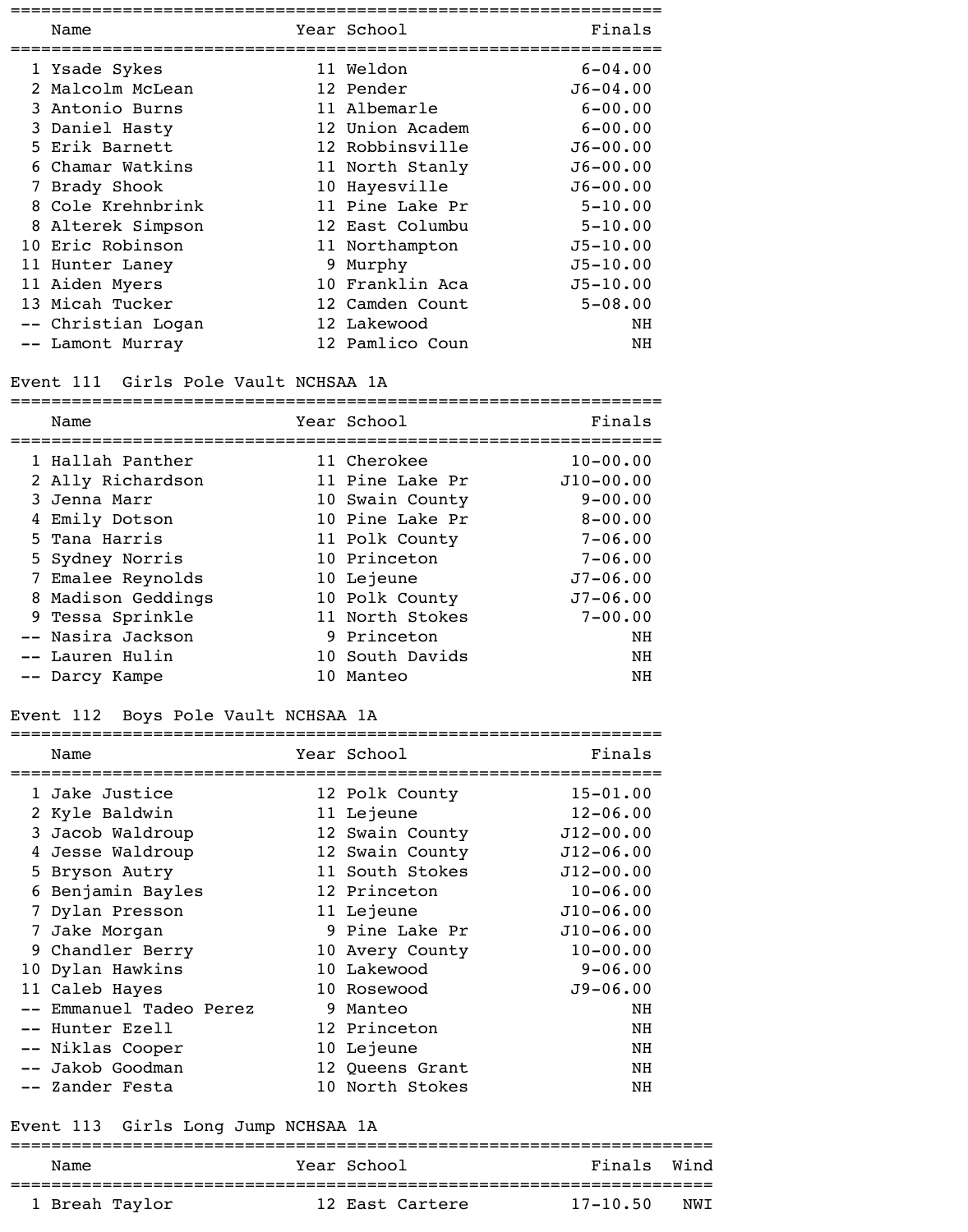| Name               | Year School     | Finals       |
|--------------------|-----------------|--------------|
| 1 Ysade Sykes      | 11 Weldon       | $6 - 04.00$  |
| 2 Malcolm McLean   | 12 Pender       | $J6 - 04.00$ |
| 3 Antonio Burns    | 11 Albemarle    | $6 - 00.00$  |
| 3 Daniel Hasty     | 12 Union Academ | $6 - 00.00$  |
| 5 Erik Barnett     | 12 Robbinsville | $J6 - 00.00$ |
| 6 Chamar Watkins   | 11 North Stanly | $J6 - 00.00$ |
| 7 Brady Shook      | 10 Hayesville   | $J6 - 00.00$ |
| 8 Cole Krehnbrink  | 11 Pine Lake Pr | $5 - 10.00$  |
| 8 Alterek Simpson  | 12 East Columbu | $5 - 10.00$  |
| 10 Eric Robinson   | 11 Northampton  | $J5 - 10.00$ |
| 11 Hunter Laney    | 9 Murphy        | $J5 - 10.00$ |
| 11 Aiden Myers     | 10 Franklin Aca | $J5 - 10.00$ |
| 13 Micah Tucker    | 12 Camden Count | $5 - 08.00$  |
| -- Christian Logan | 12 Lakewood     | NH           |
| -- Lamont Murray   | 12 Pamlico Coun | ΝH           |

### Event 111 Girls Pole Vault NCHSAA 1A

| Name               | Year School     | Finals       |
|--------------------|-----------------|--------------|
| 1 Hallah Panther   | 11 Cherokee     | $10 - 00.00$ |
| 2 Ally Richardson  | 11 Pine Lake Pr | $J10-00.00$  |
| 3 Jenna Marr       | 10 Swain County | $9 - 00.00$  |
| 4 Emily Dotson     | 10 Pine Lake Pr | $8 - 00.00$  |
| 5 Tana Harris      | 11 Polk County  | $7 - 06.00$  |
| 5 Sydney Norris    | 10 Princeton    | $7 - 06.00$  |
| 7 Emalee Reynolds  | 10 Lejeune      | $J7 - 06.00$ |
| 8 Madison Geddings | 10 Polk County  | $J7 - 06.00$ |
| 9 Tessa Sprinkle   | 11 North Stokes | $7 - 00.00$  |
| -- Nasira Jackson  | 9 Princeton     | NH           |
| -- Lauren Hulin    | 10 South Davids | NH           |
| -- Darcy Kampe     | 10 Manteo       | NH           |

### Event 112 Boys Pole Vault NCHSAA 1A

|    | Name                 |   | Year School     | Finals        |
|----|----------------------|---|-----------------|---------------|
|    | Jake Justice         |   | 12 Polk County  | $15 - 01.00$  |
|    | 2 Kyle Baldwin       |   | 11 Lejeune      | $12 - 06.00$  |
| 3  | Jacob Waldroup       |   | 12 Swain County | $J12 - 00.00$ |
| 4  | Jesse Waldroup       |   | 12 Swain County | $J12 - 06.00$ |
| 5. | Bryson Autry         |   | 11 South Stokes | $J12 - 00.00$ |
| 6  | Benjamin Bayles      |   | 12 Princeton    | $10 - 06.00$  |
|    | 7 Dylan Presson      |   | 11 Lejeune      | $J10-06.00$   |
| 7  | Jake Morgan          |   | 9 Pine Lake Pr  | $J10-06.00$   |
|    | 9 Chandler Berry     |   | 10 Avery County | $10 - 00.00$  |
|    | 10 Dylan Hawkins     |   | 10 Lakewood     | $9 - 06.00$   |
|    | 11 Caleb Hayes       |   | 10 Rosewood     | $J9 - 06.00$  |
|    | Emmanuel Tadeo Perez | 9 | Manteo          | NH            |
|    | Hunter Ezell         |   | 12 Princeton    | NH            |
|    | Niklas Cooper        |   | 10 Lejeune      | NH            |
|    | Jakob Goodman        |   | 12 Queens Grant | NH            |
|    | -- Zander Festa      |   | 10 North Stokes | NH            |

#### Event 113 Girls Long Jump NCHSAA 1A

#### ===================================================================== Name Tear School Tear School Finals Wind

| <u>EVAILLE</u> | TOUT DOMOOT     | $1 + 11010$ |     |
|----------------|-----------------|-------------|-----|
|                |                 |             |     |
| 1 Breah Taylor | 12 East Cartere | 17-10.50    | NWI |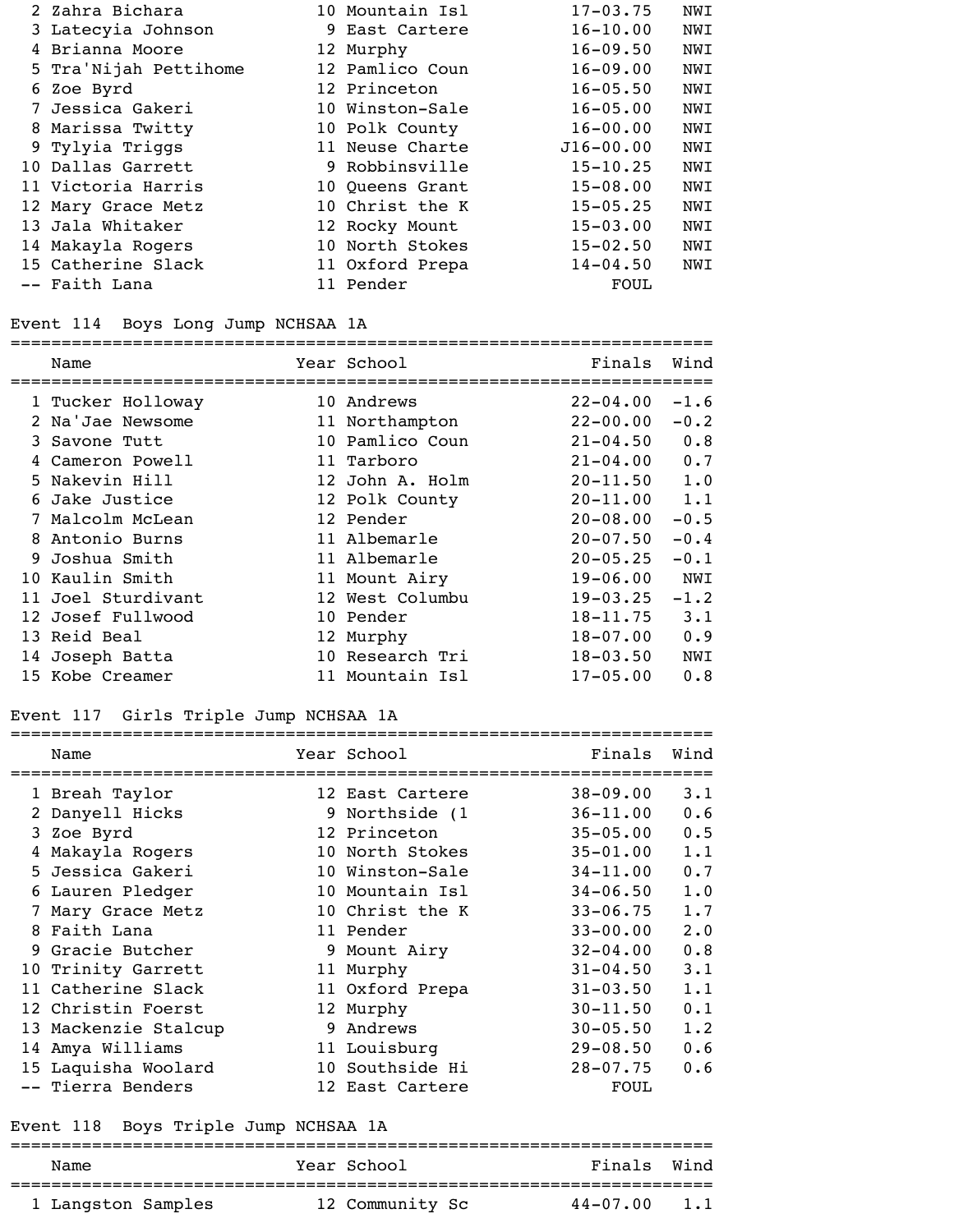| 2 Zahra Bichara       | 10 Mountain Isl | $17 - 03.75$  | <b>NWI</b> |
|-----------------------|-----------------|---------------|------------|
| 3 Latecyia Johnson    | 9 East Cartere  | $16 - 10.00$  | <b>NWI</b> |
| 4 Brianna Moore       | 12 Murphy       | $16 - 09.50$  | <b>NWI</b> |
| 5 Tra'Nijah Pettihome | 12 Pamlico Coun | $16 - 09.00$  | NWI        |
| 6 Zoe Byrd            | 12 Princeton    | $16 - 05.50$  | NWI        |
| 7 Jessica Gakeri      | 10 Winston-Sale | $16 - 05.00$  | NWI        |
| 8 Marissa Twitty      | 10 Polk County  | $16 - 00.00$  | NWI        |
| 9 Tylyia Triggs       | 11 Neuse Charte | $J16 - 00.00$ | NWI        |
| 10 Dallas Garrett     | 9 Robbinsville  | $15 - 10.25$  | <b>NWI</b> |
| 11 Victoria Harris    | 10 Queens Grant | $15 - 08.00$  | NWI        |
| 12 Mary Grace Metz    | 10 Christ the K | $15 - 05.25$  | <b>NWI</b> |
| 13 Jala Whitaker      | 12 Rocky Mount  | $15 - 03.00$  | NWI        |
| 14 Makayla Rogers     | 10 North Stokes | $15 - 02.50$  | NWI        |
| 15 Catherine Slack    | 11 Oxford Prepa | $14 - 04.50$  | NWI        |
| -- Faith Lana         | 11 Pender       | FOUL          |            |

#### Event 114 Boys Long Jump NCHSAA 1A

# =====================================================================

| Name               | Year School     | Finals       | Wind   |
|--------------------|-----------------|--------------|--------|
| 1 Tucker Holloway  | 10 Andrews      | $22 - 04.00$ | $-1.6$ |
| 2 Na'Jae Newsome   | 11 Northampton  | $22 - 00.00$ | $-0.2$ |
| 3 Savone Tutt      | 10 Pamlico Coun | $21 - 04.50$ | 0.8    |
| 4 Cameron Powell   | 11 Tarboro      | $21 - 04.00$ | 0.7    |
| 5 Nakevin Hill     | 12 John A. Holm | $20 - 11.50$ | 1.0    |
| 6 Jake Justice     | 12 Polk County  | $20 - 11.00$ | 1.1    |
| 7 Malcolm McLean   | 12 Pender       | $20 - 08.00$ | $-0.5$ |
| 8 Antonio Burns    | 11 Albemarle    | $20 - 07.50$ | $-0.4$ |
| 9 Joshua Smith     | 11 Albemarle    | $20 - 05.25$ | $-0.1$ |
| 10 Kaulin Smith    | 11 Mount Airy   | $19 - 06.00$ | NWI    |
| 11 Joel Sturdivant | 12 West Columbu | $19 - 03.25$ | $-1.2$ |
| 12 Josef Fullwood  | 10 Pender       | $18 - 11.75$ | 3.1    |
| 13 Reid Beal       | 12 Murphy       | $18 - 07.00$ | 0.9    |
| 14 Joseph Batta    | 10 Research Tri | $18 - 03.50$ | NWI    |
| 15 Kobe Creamer    | 11 Mountain Isl | $17 - 05.00$ | 0.8    |

### Event 117 Girls Triple Jump NCHSAA 1A

|   | Name                 |   | Year School     | Finals       | Wind |
|---|----------------------|---|-----------------|--------------|------|
|   | 1 Breah Taylor       |   | 12 East Cartere | $38 - 09.00$ | 3.1  |
|   | 2 Danyell Hicks      |   | 9 Northside (1  | $36 - 11.00$ | 0.6  |
|   | 3 Zoe Byrd           |   | 12 Princeton    | $35 - 05.00$ | 0.5  |
| 4 | Makayla Rogers       |   | 10 North Stokes | $35 - 01.00$ | 1.1  |
|   | 5 Jessica Gakeri     |   | 10 Winston-Sale | $34 - 11.00$ | 0.7  |
|   | 6 Lauren Pledger     |   | 10 Mountain Isl | $34 - 06.50$ | 1.0  |
|   | Mary Grace Metz      |   | 10 Christ the K | $33 - 06.75$ | 1.7  |
|   | 8 Faith Lana         |   | 11 Pender       | $33 - 00.00$ | 2.0  |
|   | 9 Gracie Butcher     |   | 9 Mount Airy    | $32 - 04.00$ | 0.8  |
|   | 10 Trinity Garrett   |   | 11 Murphy       | $31 - 04.50$ | 3.1  |
|   | 11 Catherine Slack   |   | 11 Oxford Prepa | $31 - 03.50$ | 1.1  |
|   | 12 Christin Foerst   |   | 12 Murphy       | $30 - 11.50$ | 0.1  |
|   | 13 Mackenzie Stalcup | 9 | Andrews         | $30 - 05.50$ | 1.2  |
|   | 14 Amya Williams     |   | 11 Louisburg    | $29 - 08.50$ | 0.6  |
|   | 15 Laquisha Woolard  |   | 10 Southside Hi | $28 - 07.75$ | 0.6  |
|   | -- Tierra Benders    |   | 12 East Cartere | FOUL         |      |

#### Event 118 Boys Triple Jump NCHSAA 1A

# ===================================================================== Name Year School Finals Wind

| 1 Langston Samples |  | 12 Community Sc | $44 - 07.00$ 1.1 |  |
|--------------------|--|-----------------|------------------|--|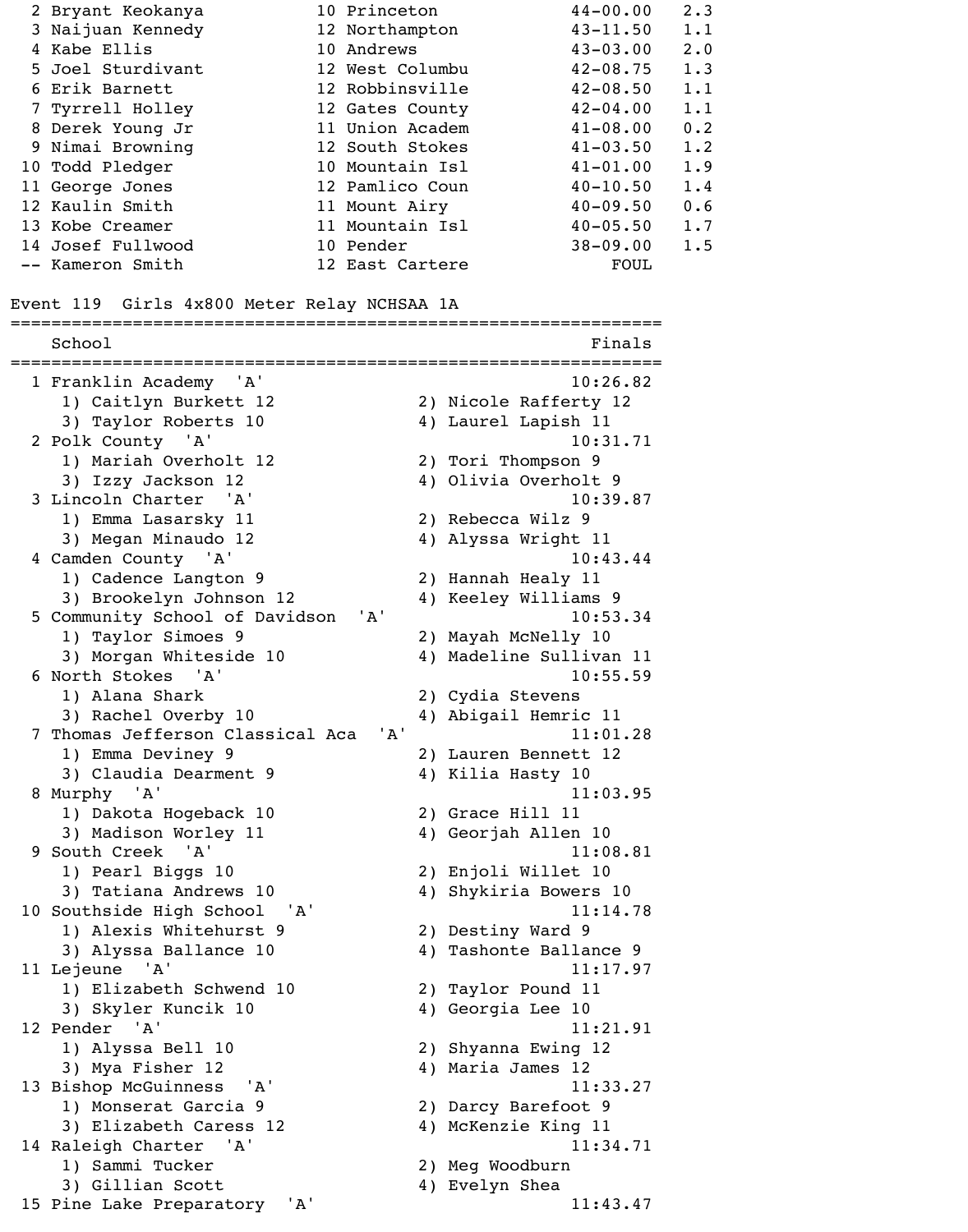| 2 Bryant Keokanya                            | 10 Princeton                     |                     | $44 - 00.00$                 | 2.3        |
|----------------------------------------------|----------------------------------|---------------------|------------------------------|------------|
| 3 Naijuan Kennedy                            | 12 Northampton                   |                     | $43 - 11.50$                 | 1.1        |
| 4 Kabe Ellis                                 | 10 Andrews                       |                     | $43 - 03.00$                 | 2.0        |
| 5 Joel Sturdivant                            | 12 West Columbu                  |                     | $42 - 08.75$                 | 1.3        |
| 6 Erik Barnett                               | 12 Robbinsville                  |                     | $42 - 08.50$                 | 1.1        |
| 7 Tyrrell Holley                             | 12 Gates County                  |                     | $42 - 04.00$                 | 1.1        |
| 8 Derek Young Jr                             | 11 Union Academ                  |                     | $41 - 08.00$                 | 0.2        |
| 9 Nimai Browning                             | 12 South Stokes                  |                     | $41 - 03.50$                 | 1.2        |
| 10 Todd Pledger                              | 10 Mountain Isl                  |                     | $41 - 01.00$                 | 1.9        |
| 11 George Jones                              | 12 Pamlico Coun                  |                     | $40 - 10.50$                 | 1.4        |
| 12 Kaulin Smith<br>13 Kobe Creamer           | 11 Mount Airy<br>11 Mountain Isl |                     | $40 - 09.50$<br>$40 - 05.50$ | 0.6<br>1.7 |
| 14 Josef Fullwood                            | 10 Pender                        |                     | $38 - 09.00$                 | 1.5        |
| -- Kameron Smith                             | 12 East Cartere                  |                     | <b>FOUL</b>                  |            |
|                                              |                                  |                     |                              |            |
| Event 119 Girls 4x800 Meter Relay NCHSAA 1A  |                                  |                     |                              |            |
| School                                       |                                  |                     | Finals                       |            |
| 1 Franklin Academy 'A'                       |                                  |                     | 10:26.82                     |            |
| 1) Caitlyn Burkett 12                        |                                  |                     | 2) Nicole Rafferty 12        |            |
| 3) Taylor Roberts 10                         |                                  | 4) Laurel Lapish 11 |                              |            |
| 2 Polk County 'A'                            |                                  |                     | 10:31.71                     |            |
| 1) Mariah Overholt 12                        |                                  | 2) Tori Thompson 9  |                              |            |
| 3) Izzy Jackson 12                           |                                  |                     | 4) Olivia Overholt 9         |            |
| 3 Lincoln Charter 'A'                        |                                  | 2) Rebecca Wilz 9   | 10:39.87                     |            |
| 1) Emma Lasarsky 11<br>3) Megan Minaudo 12   |                                  | 4) Alyssa Wright 11 |                              |            |
| 4 Camden County 'A'                          |                                  |                     | 10:43.44                     |            |
| 1) Cadence Langton 9                         |                                  | 2) Hannah Healy 11  |                              |            |
| 3) Brookelyn Johnson 12                      |                                  |                     | 4) Keeley Williams 9         |            |
| 5 Community School of Davidson               | $'$ A $'$                        |                     | 10:53.34                     |            |
| 1) Taylor Simoes 9                           |                                  | 2) Mayah McNelly 10 |                              |            |
| 3) Morgan Whiteside 10                       |                                  |                     | 4) Madeline Sullivan 11      |            |
| 6 North Stokes 'A'                           |                                  |                     | 10:55.59                     |            |
| 1) Alana Shark                               |                                  | 2) Cydia Stevens    |                              |            |
| 3) Rachel Overby 10                          |                                  |                     | 4) Abigail Hemric 11         |            |
| 7 Thomas Jefferson Classical Aca             | 'A'                              |                     | 11:01.28                     |            |
| 1) Emma Deviney 9                            |                                  |                     | 2) Lauren Bennett 12         |            |
| 3) Claudia Dearment 9<br>8 Murphy 'A'        |                                  | 4) Kilia Hasty 10   | 11:03.95                     |            |
| 1) Dakota Hogeback 10                        |                                  | 2) Grace Hill 11    |                              |            |
| 3) Madison Worley 11                         |                                  | 4) Georjah Allen 10 |                              |            |
| 9 South Creek 'A'                            |                                  |                     | 11:08.81                     |            |
| 1) Pearl Biggs 10                            |                                  | 2) Enjoli Willet 10 |                              |            |
| 3) Tatiana Andrews 10                        |                                  |                     | 4) Shykiria Bowers 10        |            |
| 10 Southside High School<br>'A'              |                                  |                     | 11:14.78                     |            |
| 1) Alexis Whitehurst 9                       |                                  | 2) Destiny Ward 9   |                              |            |
| 3) Alyssa Ballance 10                        |                                  |                     | 4) Tashonte Ballance 9       |            |
| 11 Lejeune 'A'                               |                                  |                     | 11:17.97                     |            |
| 1) Elizabeth Schwend 10                      |                                  | 2) Taylor Pound 11  |                              |            |
| 3) Skyler Kuncik 10                          |                                  | 4) Georgia Lee 10   |                              |            |
| 12 Pender 'A'                                |                                  |                     | 11:21.91                     |            |
| 1) Alyssa Bell 10                            |                                  | 2) Shyanna Ewing 12 |                              |            |
| 3) Mya Fisher 12<br>13 Bishop McGuinness 'A' |                                  | 4) Maria James 12   | 11:33.27                     |            |
| 1) Monserat Garcia 9                         |                                  | 2) Darcy Barefoot 9 |                              |            |
| 3) Elizabeth Caress 12                       |                                  | 4) McKenzie King 11 |                              |            |
| 14 Raleigh Charter 'A'                       |                                  |                     | 11:34.71                     |            |
| 1) Sammi Tucker                              |                                  | 2) Meg Woodburn     |                              |            |
| 3) Gillian Scott                             |                                  | 4) Evelyn Shea      |                              |            |
| 15 Pine Lake Preparatory<br>'A'              |                                  |                     | 11:43.47                     |            |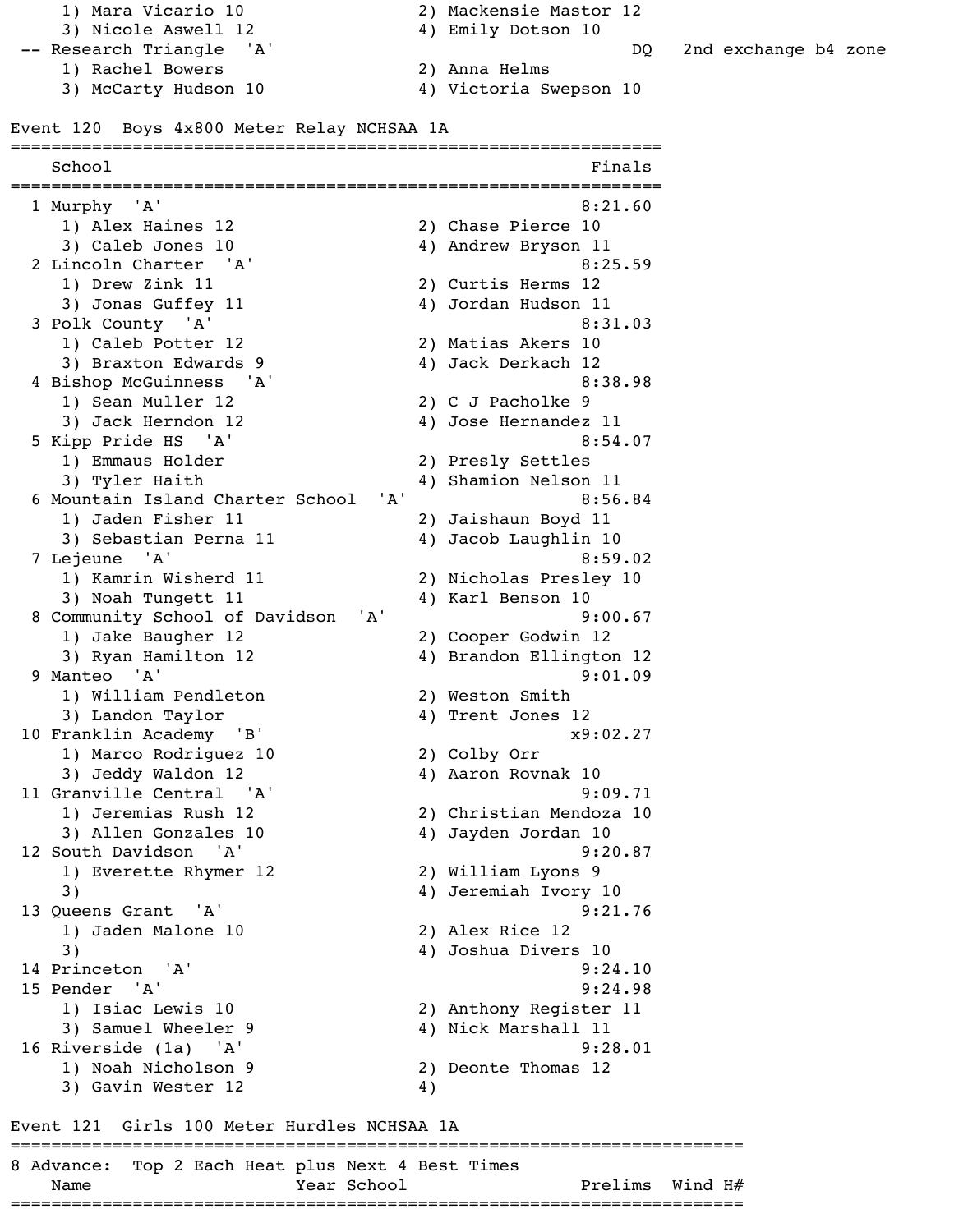1) Mara Vicario 10 2) Mackensie Mastor 12 3) Nicole Aswell 12 4) Emily Dotson 10

- 
- 1) Rachel Bowers 2) Anna Helms
	- 3) McCarty Hudson 10 4) Victoria Swepson 10

#### Event 120 Boys 4x800 Meter Relay NCHSAA 1A

- 
- -- Research Triangle 'A' DQ 2nd exchange b4 zone

================================================================ School Finals ================================================================ 1 Murphy 'A' 8:21.60 1) Alex Haines 12 2) Chase Pierce 10 3) Caleb Jones 10 4) Andrew Bryson 11 2 Lincoln Charter 'A' 8:25.59 1) Drew Zink 11 2) Curtis Herms 12 3) Jonas Guffey 11 4) Jordan Hudson 11 3 Polk County 'A' 8:31.03 1) Caleb Potter 12 2) Matias Akers 10 3) Braxton Edwards 9 4) Jack Derkach 12 4 Bishop McGuinness 'A' 8:38.98 1) Sean Muller 12 2) C J Pacholke 9 3) Jack Herndon 12 4) Jose Hernandez 11 5 Kipp Pride HS 'A' 8:54.07 1) Emmaus Holder 2) Presly Settles 3) Tyler Haith 4) Shamion Nelson 11 6 Mountain Island Charter School 'A' 8:56.84 1) Jaden Fisher 11 2) Jaishaun Boyd 11 3) Sebastian Perna 11 (4) Jacob Laughlin 10 7 Lejeune 'A' 8:59.02 1) Kamrin Wisherd 11 2) Nicholas Presley 10 3) Noah Tungett 11 4) Karl Benson 10 8 Community School of Davidson 'A' 9:00.67 1) Jake Baugher 12 2) Cooper Godwin 12 3) Ryan Hamilton 12 4) Brandon Ellington 12 9 Manteo 'A' 9:01.09 1) William Pendleton 2) Weston Smith 3) Landon Taylor (4) Trent Jones 12 10 Franklin Academy 'B' x9:02.27 1) Marco Rodriguez 10 2) Colby Orr 3) Jeddy Waldon 12 4) Aaron Rovnak 10 11 Granville Central 'A' 9:09.71 1) Jeremias Rush 12 2) Christian Mendoza 10 3) Allen Gonzales 10 4) Jayden Jordan 10 12 South Davidson 'A' 9:20.87 1) Everette Rhymer 12 2) William Lyons 9 3) 4) Jeremiah Ivory 10 13 Queens Grant 'A' 9:21.76 1) Jaden Malone 10 2) Alex Rice 12 3) 4) Joshua Divers 10 14 Princeton 'A' 9:24.10 15 Pender 'A' 9:24.98 1) Isiac Lewis 10 2) Anthony Register 11 3) Samuel Wheeler 9 4) Nick Marshall 11 16 Riverside (1a) 'A' 9:28.01 1) Noah Nicholson 9 2) Deonte Thomas 12 3) Gavin Wester 12 (4) Event 121 Girls 100 Meter Hurdles NCHSAA 1A ======================================================================== 8 Advance: Top 2 Each Heat plus Next 4 Best Times

Name Year School Prelims Wind H# ========================================================================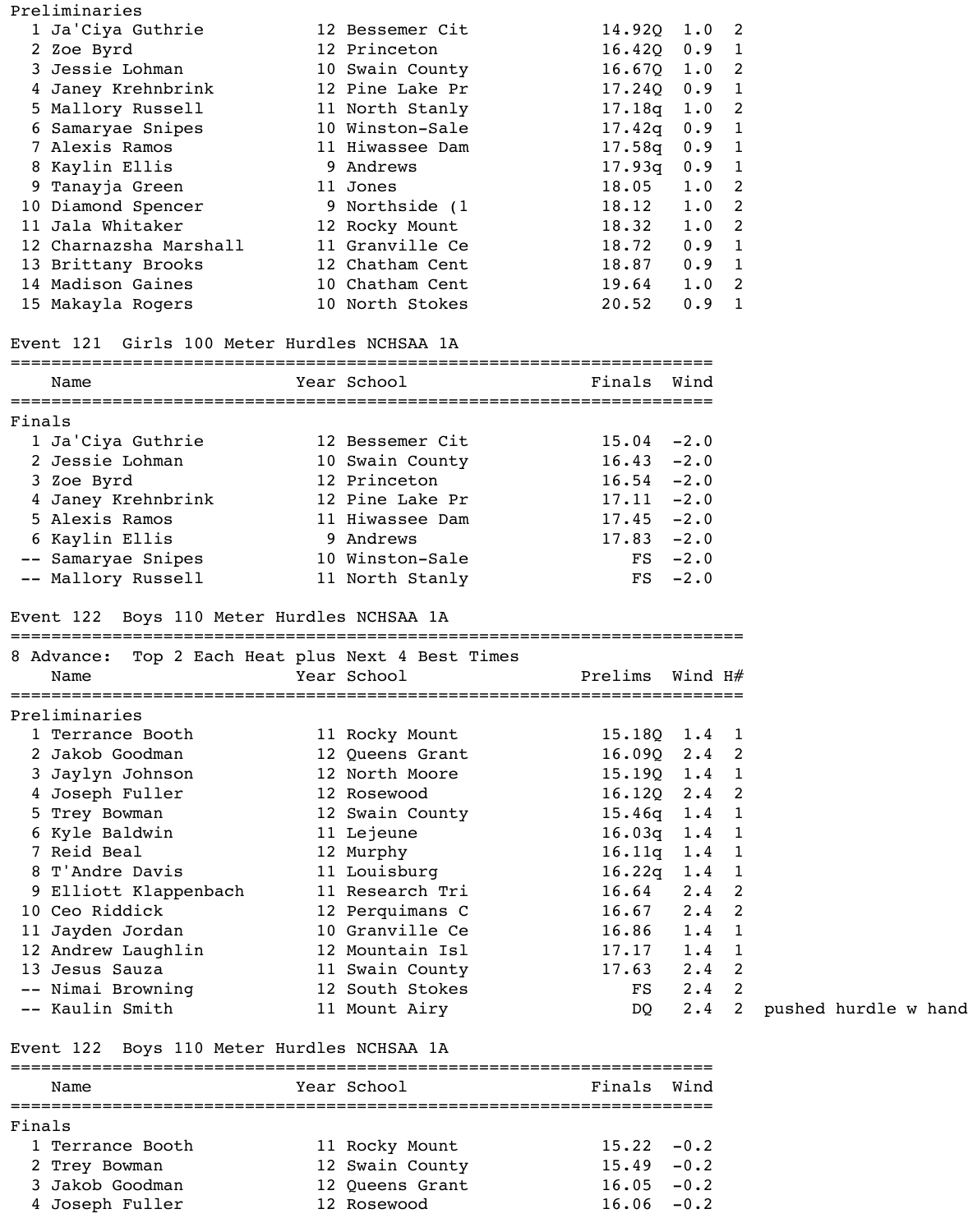|    | Preliminaries                               |                 |                |         |               |
|----|---------------------------------------------|-----------------|----------------|---------|---------------|
|    | 1 Ja'Ciya Guthrie                           | 12 Bessemer Cit | $14.92Q$ 1.0 2 |         |               |
|    | 2 Zoe Byrd                                  | 12 Princeton    | 16.42Q         | 0.9     | $\mathbf{1}$  |
|    | 3 Jessie Lohman                             | 10 Swain County | 16.670         | 1.0     | 2             |
|    | 4 Janey Krehnbrink                          | 12 Pine Lake Pr | 17.240         | 0.9     | 1             |
|    | 5 Mallory Russell                           | 11 North Stanly | 17.18q         | 1.0     | 2             |
|    | Samaryae Snipes                             | 10 Winston-Sale | 17.42q         | 0.9     | $\mathbf{1}$  |
|    | 7 Alexis Ramos                              | 11 Hiwassee Dam | 17.58q         | 0.9     | $\mathbf 1$   |
|    | 8 Kaylin Ellis                              | 9 Andrews       | 17.93q         | 0.9     | $\mathbf 1$   |
|    | 9 Tanayja Green                             | 11 Jones        | 18.05          | 1.0     | $\mathcal{L}$ |
|    | 10 Diamond Spencer                          | 9 Northside (1  | 18.12          | 1.0     | 2             |
| 11 | Jala Whitaker                               | 12 Rocky Mount  | 18.32          | 1.0     | 2             |
|    | 12 Charnazsha Marshall                      | 11 Granville Ce | 18.72          | 0.9     | $\mathbf{1}$  |
|    | 13 Brittany Brooks                          | 12 Chatham Cent | 18.87          | 0.9     | 1             |
|    | 14 Madison Gaines                           | 10 Chatham Cent | 19.64          | 1.0     | -2            |
|    | 15 Makayla Rogers                           | 10 North Stokes | 20.52          | $0.9$ 1 |               |
|    | Event 121 Girls 100 Meter Hurdles NCHSAA 1A |                 |                |         |               |
|    | Name                                        | Year School     | Finals         | Wind    |               |
|    |                                             |                 |                |         |               |

| Finals |                    |                 |               |           |
|--------|--------------------|-----------------|---------------|-----------|
|        | 1 Ja'Ciya Guthrie  | 12 Bessemer Cit | $15.04 - 2.0$ |           |
|        | 2 Jessie Lohman    | 10 Swain County | $16.43 - 2.0$ |           |
|        | 3 Zoe Byrd         | 12 Princeton    | $16.54 - 2.0$ |           |
|        | 4 Janey Krehnbrink | 12 Pine Lake Pr | $17.11 - 2.0$ |           |
|        | 5 Alexis Ramos     | 11 Hiwassee Dam | $17.45 - 2.0$ |           |
|        | 6 Kaylin Ellis     | 9 Andrews       | $17.83 - 2.0$ |           |
|        | -- Samaryae Snipes | 10 Winston-Sale |               | $FS -2.0$ |
|        | -- Mallory Russell | 11 North Stanly |               | $FS -2.0$ |

### Event 122 Boys 110 Meter Hurdles NCHSAA 1A

| 8 Advance: Top 2 Each Heat plus Next 4 Best Times<br>Name | Year School     | Prelims Wind $H#$          |               |  |
|-----------------------------------------------------------|-----------------|----------------------------|---------------|--|
| Preliminaries                                             |                 |                            |               |  |
| 1 Terrance Booth                                          | 11 Rocky Mount  | $15.18Q$ $1.4$ 1           |               |  |
| 2 Jakob Goodman                                           | 12 Queens Grant | $16.09Q$ $2.4$ 2           |               |  |
| 3 Jaylyn Johnson                                          | 12 North Moore  | $15.19Q \quad 1.4 \quad 1$ |               |  |
| 4 Joseph Fuller                                           | 12 Rosewood     | $16.12Q$ $2.4$ 2           |               |  |
| 5 Trey Bowman                                             | 12 Swain County | $15.46q$ $1.4$ 1           |               |  |
| 6 Kyle Baldwin                                            | 11 Lejeune      | $16.03q$ $1.4$ 1           |               |  |
| 7 Reid Beal                                               | 12 Murphy       | $16.11q$ $1.4$ 1           |               |  |
| 8 T'Andre Davis                                           | 11 Louisburg    | $16.22q$ $1.4$ 1           |               |  |
| 9 Elliott Klappenbach                                     | 11 Research Tri | $16.64$ $2.4$ 2            |               |  |
| 10 Ceo Riddick                                            | 12 Perquimans C | $16.67$ $2.4$ 2            |               |  |
| 11 Jayden Jordan                                          | 10 Granville Ce | $16.86$ $1.4$ 1            |               |  |
| 12 Andrew Laughlin                                        | 12 Mountain Isl | $17.17$ $1.4$ 1            |               |  |
| 13 Jesus Sauza                                            | 11 Swain County | $17.63$ $2.4$ 2            |               |  |
| -- Nimai Browning                                         | 12 South Stokes | FS                         | $2.4$ 2       |  |
| -- Kaulin Smith                                           | 11 Mount Airy   | DQ                         | $2.4 \quad 2$ |  |
|                                                           |                 |                            |               |  |

### Event 122 Boys 110 Meter Hurdles NCHSAA 1A

|        | Name             |  | Year School     | Finals Wind   |  |  |  |  |  |
|--------|------------------|--|-----------------|---------------|--|--|--|--|--|
| Finals |                  |  |                 |               |  |  |  |  |  |
|        | 1 Terrance Booth |  | 11 Rocky Mount  | $15.22 - 0.2$ |  |  |  |  |  |
|        | 2 Trey Bowman    |  | 12 Swain County | $15.49 - 0.2$ |  |  |  |  |  |
|        | 3 Jakob Goodman  |  | 12 Queens Grant | $16.05 - 0.2$ |  |  |  |  |  |
|        | 4 Joseph Fuller  |  | 12 Rosewood     | $16.06 - 0.2$ |  |  |  |  |  |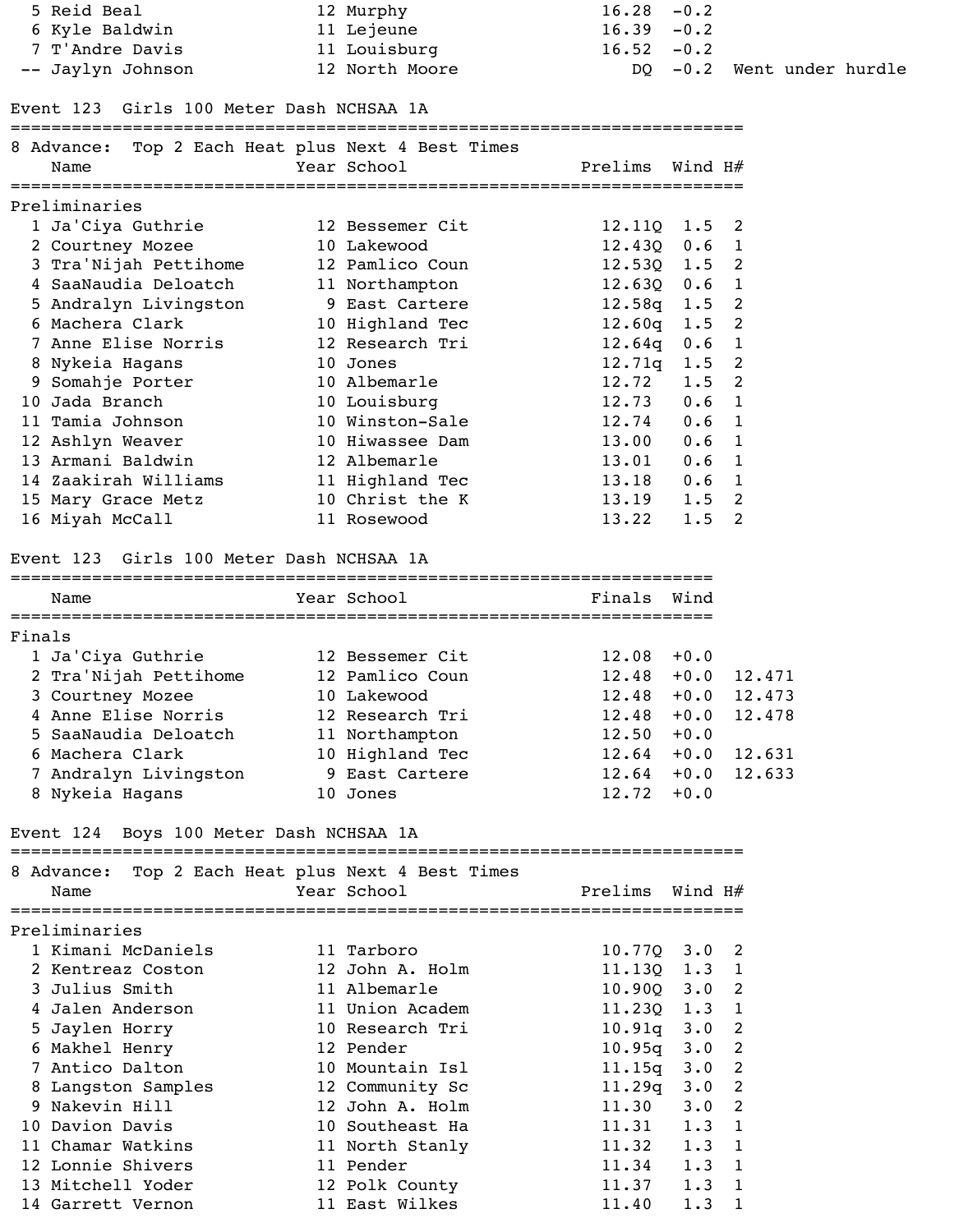5 Reid Beal 12 Murphy 16.28 -0.2 6 Kyle Baldwin 11 Lejeune 16.39 -0.2 7 T'Andre Davis 11 Louisburg 16.52 -0.2

-- Jaylyn Johnson 12 North Moore DQ -0.2 Went under hurdle

Event 123 Girls 100 Meter Dash NCHSAA 1A

========================================================================

|        | 8 Advance: Top 2 Each Heat plus Next 4 Best Times<br>Name | Year School<br>=========   | Prelims Wind H#    |               |                      |
|--------|-----------------------------------------------------------|----------------------------|--------------------|---------------|----------------------|
|        | Preliminaries                                             |                            |                    |               |                      |
|        | 1 Ja'Ciya Guthrie                                         | 12 Bessemer Cit            | $12.11Q$ $1.5$ 2   |               |                      |
|        | 2 Courtney Mozee                                          | 10 Lakewood                | $12.430$ $0.6$ 1   |               |                      |
|        | 3 Tra'Nijah Pettihome                                     | 12 Pamlico Coun            | $12.530 \quad 1.5$ |               | 2                    |
|        | 4 SaaNaudia Deloatch                                      | 11 Northampton             | $12.630$ $0.6$ 1   |               |                      |
|        | 5 Andralyn Livingston                                     | 9 East Cartere             | $12.58q$ $1.5$     |               | $\overline{2}$       |
|        | 6 Machera Clark                                           | 10 Highland Tec            | 12.60q             | 1.5           | $\overline{2}$       |
|        | 7 Anne Elise Norris                                       | 12 Research Tri            | 12.64q             | 0.6           | $\mathbf{1}$         |
|        | 8 Nykeia Hagans                                           | 10 Jones                   | 12.71q             | 1.5           | $\overline{2}$       |
|        | 9 Somahje Porter                                          | 10 Albemarle               | 12.72              | 1.5           | $\overline{2}$       |
|        | 10 Jada Branch                                            | 10 Louisburg               | 12.73              | 0.6           | 1                    |
|        | 11 Tamia Johnson                                          | 10 Winston-Sale            | 12.74              | 0.6           | $\mathbf{1}$         |
|        | 12 Ashlyn Weaver                                          | 10 Hiwassee Dam            | 13.00              | 0.6           | 1                    |
|        | 13 Armani Baldwin                                         | 12 Albemarle               | 13.01              | 0.6           | $\mathbf{1}$         |
|        | 14 Zaakirah Williams                                      | 11 Highland Tec            | 13.18              | 0.6           | 1                    |
|        | 15 Mary Grace Metz                                        | 10 Christ the K            | 13.19              | 1.5           | 2                    |
|        | 16 Miyah McCall                                           | 11 Rosewood                | 13.22              | 1.5           | 2                    |
|        | Event 123 Girls 100 Meter Dash NCHSAA 1A                  |                            |                    |               |                      |
|        | Name                                                      | Year School                | Finals             | Wind          |                      |
| Finals |                                                           |                            |                    |               |                      |
|        | 1 Ja'Ciya Guthrie                                         | 12 Bessemer Cit            | $12.08 + 0.0$      |               |                      |
|        | 2 Tra'Nijah Pettihome                                     | 12 Pamlico Coun            | 12.48              |               | $+0.0$ 12.471        |
|        | 3 Courtney Mozee                                          | 10 Lakewood                | 12.48              | $+0.0$        | 12.473               |
|        | 4 Anne Elise Norris 12 Research Tri                       |                            |                    |               | $12.48 + 0.0 12.478$ |
|        | 5 SaaNaudia Deloatch                                      | 11 Northampton             | 12.50              | $+0.0$        |                      |
|        | 6 Machera Clark                                           | 10 Highland Tec            |                    |               | $12.64 + 0.0 12.631$ |
|        | 7 Andralyn Livingston                                     | 9 East Cartere             |                    |               | $12.64 + 0.0 12.633$ |
|        | 8 Nykeia Hagans                                           | 10 Jones                   | $12.72 + 0.0$      |               |                      |
|        | Event 124 Boys 100 Meter Dash NCHSAA 1A                   |                            |                    |               |                      |
|        | 8 Advance: Top 2 Each Heat plus Next 4 Best Times         |                            |                    |               |                      |
|        | Name                                                      | Year School and the School | Prelims Wind H#    |               |                      |
|        | Preliminaries                                             |                            |                    |               |                      |
|        | 1 Kimani McDaniels                                        | 11 Tarboro                 | $10.77Q$ $3.0$ 2   |               |                      |
|        | 2 Kentreaz Coston                                         | 12 John A. Holm            | $11.13Q$ $1.3$ 1   |               |                      |
|        | 3 Julius Smith                                            | 11 Albemarle               | $10.90Q$ $3.0$     |               | 2                    |
|        | 4 Jalen Anderson                                          | 11 Union Academ            | $11.230$ $1.3$ 1   |               |                      |
|        | 5 Jaylen Horry                                            | 10 Research Tri            | $10.91q$ $3.0$     |               | $\overline{2}$       |
|        | 6 Makhel Henry                                            | 12 Pender                  | $10.95q$ $3.0$     |               | $\overline{2}$       |
|        | 7 Antico Dalton                                           | 10 Mountain Isl            | 11.15q             | $3 \cdot 0$   | 2                    |
|        | 8 Langston Samples                                        | 12 Community Sc            | $11.29q \t3.0$     |               | $\overline{2}$       |
|        | 9 Nakevin Hill                                            | 12 John A. Holm            | 11.30              | 3.0           | $\overline{2}$       |
|        | 10 Davion Davis                                           | 10 Southeast Ha            | 11.31              | $1.3 \quad 1$ |                      |
|        | 11 Chamar Watkins                                         | 11 North Stanly            | 11.32              | 1.3           | $\mathbf{1}$         |

12 Lonnie Shivers 11 Pender 11.34 1.3 1 13 Mitchell Yoder 12 Polk County 11.37 1.3 1 14 Garrett Vernon 11 East Wilkes 11.40 1.3 1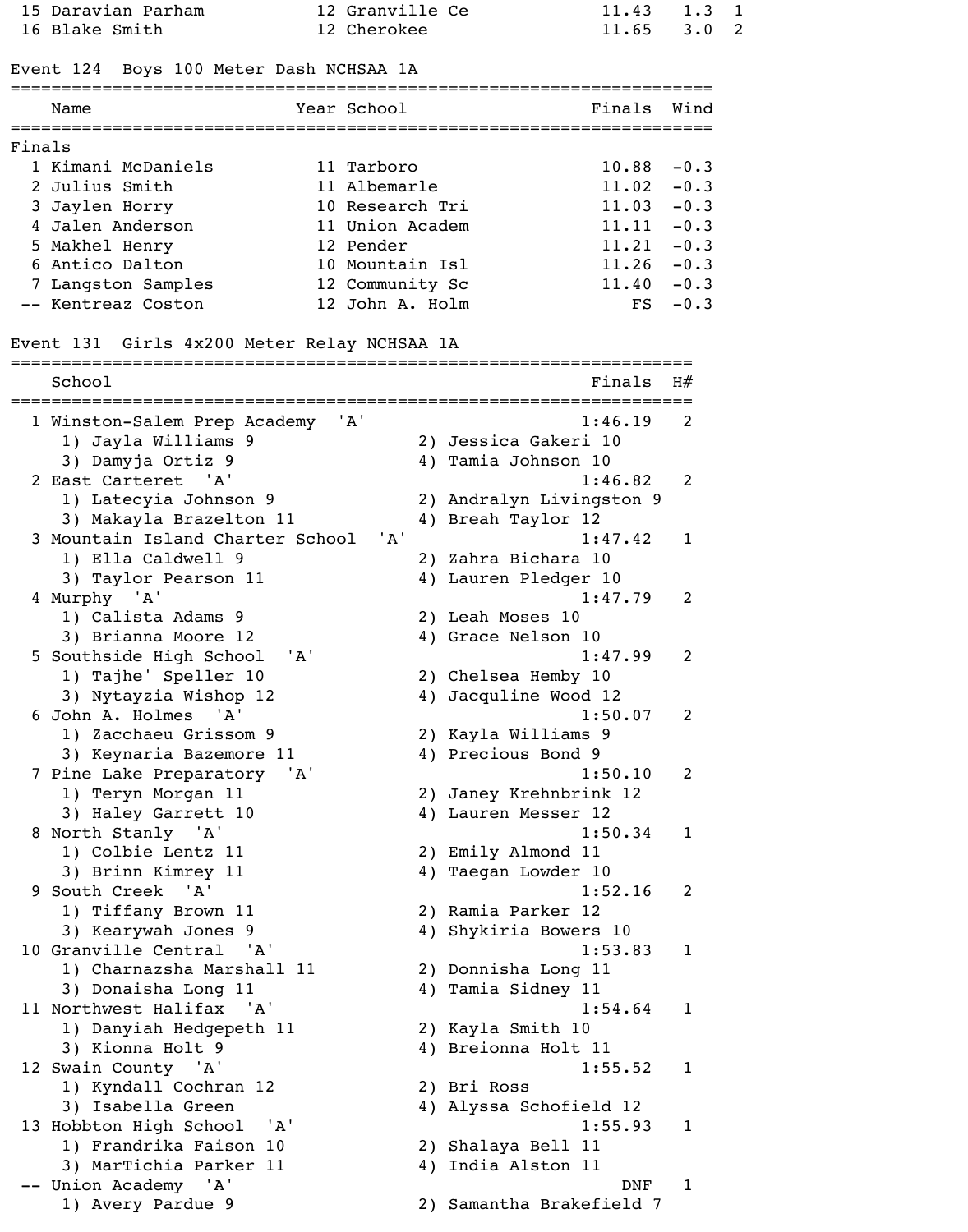|        | 15 Daravian Parham                          | 12 Granville Ce |    | 11.43                    | 1.3          | $\mathbf{1}$ |
|--------|---------------------------------------------|-----------------|----|--------------------------|--------------|--------------|
|        | 16 Blake Smith                              | 12 Cherokee     |    | 11.65                    | $3 \cdot 0$  | 2            |
|        | Event 124 Boys 100 Meter Dash NCHSAA 1A     |                 |    |                          |              |              |
|        | Name                                        | Year School     |    | Finals                   | Wind         |              |
| Finals |                                             |                 |    |                          |              |              |
|        | 1 Kimani McDaniels                          | 11 Tarboro      |    | 10.88                    | $-0.3$       |              |
|        | 2 Julius Smith                              | 11 Albemarle    |    | $11.02 -0.3$             |              |              |
|        | 3 Jaylen Horry                              | 10 Research Tri |    | $11.03 -0.3$             |              |              |
|        | 4 Jalen Anderson                            | 11 Union Academ |    | $11.11 - 0.3$            |              |              |
|        | 5 Makhel Henry                              | 12 Pender       |    | $11.21 -0.3$             |              |              |
|        | 6 Antico Dalton                             | 10 Mountain Isl |    | $11.26 - 0.3$            |              |              |
|        | 7 Langston Samples                          | 12 Community Sc |    | $11.40 - 0.3$            |              |              |
|        | -- Kentreaz Coston                          | 12 John A. Holm |    | FS                       | $-0.3$       |              |
|        | Event 131 Girls 4x200 Meter Relay NCHSAA 1A |                 |    |                          |              |              |
|        | School                                      |                 |    | Finals                   | H#           |              |
|        | 1 Winston-Salem Prep Academy                | 'A'             |    | 1:46.19                  | 2            |              |
|        | 1) Jayla Williams 9                         |                 |    | 2) Jessica Gakeri 10     |              |              |
|        | 3) Damyja Ortiz 9                           |                 |    | 4) Tamia Johnson 10      |              |              |
|        | 2 East Carteret 'A'                         |                 |    | 1:46.82                  | 2            |              |
|        | 1) Latecyia Johnson 9                       |                 |    | 2) Andralyn Livingston 9 |              |              |
|        | 3) Makayla Brazelton 11                     |                 |    | 4) Breah Taylor 12       |              |              |
|        | 3 Mountain Island Charter School            | 'A'             |    | 1:47.42                  | 1            |              |
|        | 1) Ella Caldwell 9                          |                 |    | 2) Zahra Bichara 10      |              |              |
|        | 3) Taylor Pearson 11                        |                 |    | 4) Lauren Pledger 10     |              |              |
|        | 4 Murphy 'A'                                |                 |    | 1:47.79                  | 2            |              |
|        | 1) Calista Adams 9                          |                 |    | 2) Leah Moses 10         |              |              |
|        | 3) Brianna Moore 12                         |                 |    | 4) Grace Nelson 10       |              |              |
|        | ' A '<br>5 Southside High School            |                 |    | 1:47.99                  | 2            |              |
|        | 1) Tajhe' Speller 10                        |                 |    | 2) Chelsea Hemby 10      |              |              |
|        | 3) Nytayzia Wishop 12                       |                 |    | 4) Jacquline Wood 12     |              |              |
|        | 6 John A. Holmes 'A'                        |                 |    | 1:50.07                  | 2            |              |
|        | 1) Zacchaeu Grissom 9                       |                 |    | 2) Kayla Williams 9      |              |              |
|        | 3) Keynaria Bazemore 11                     |                 |    | 4) Precious Bond 9       |              |              |
|        | 7 Pine Lake Preparatory<br>'A'              |                 |    | 1:50.10                  | 2            |              |
|        | 1) Teryn Morgan 11                          |                 |    | 2) Janey Krehnbrink 12   |              |              |
|        | 3) Haley Garrett 10                         |                 |    | 4) Lauren Messer 12      |              |              |
|        | 8 North Stanly 'A'                          |                 |    | 1:50.34                  | 1            |              |
|        | 1) Colbie Lentz 11                          |                 |    | 2) Emily Almond 11       |              |              |
|        | 3) Brinn Kimrey 11                          |                 |    | 4) Taegan Lowder 10      |              |              |
|        | 9 South Creek<br>'A'                        |                 |    | 1:52.16                  | 2            |              |
|        | 1) Tiffany Brown 11                         |                 |    | 2) Ramia Parker 12       |              |              |
|        | 3) Kearywah Jones 9                         |                 |    | 4) Shykiria Bowers 10    |              |              |
|        | 10 Granville Central 'A'                    |                 |    | 1:53.83                  | $\mathbf{1}$ |              |
|        | 1) Charnazsha Marshall 11                   |                 |    | 2) Donnisha Long 11      |              |              |
|        | 3) Donaisha Long 11                         |                 |    | 4) Tamia Sidney 11       |              |              |
|        | 11 Northwest Halifax 'A'                    |                 |    | 1:54.64                  | 1            |              |
|        | 1) Danyiah Hedgepeth 11                     |                 |    | 2) Kayla Smith 10        |              |              |
|        | 3) Kionna Holt 9                            |                 |    | 4) Breionna Holt 11      |              |              |
|        | 12 Swain County 'A'                         |                 |    | 1:55.52                  | 1            |              |
|        | 1) Kyndall Cochran 12                       |                 |    | 2) Bri Ross              |              |              |
|        | 3) Isabella Green                           |                 |    | 4) Alyssa Schofield 12   |              |              |
|        | 13 Hobbton High School<br>' ' A '           |                 |    | 1:55.93                  | 1            |              |
|        | 1) Frandrika Faison 10                      |                 |    | 2) Shalaya Bell 11       |              |              |
|        | 3) MarTichia Parker 11                      |                 | 4) | India Alston 11          |              |              |
|        | Union Academy 'A'                           |                 |    | <b>DNF</b>               | 1            |              |
|        | 1) Avery Pardue 9                           |                 |    | 2) Samantha Brakefield 7 |              |              |
|        |                                             |                 |    |                          |              |              |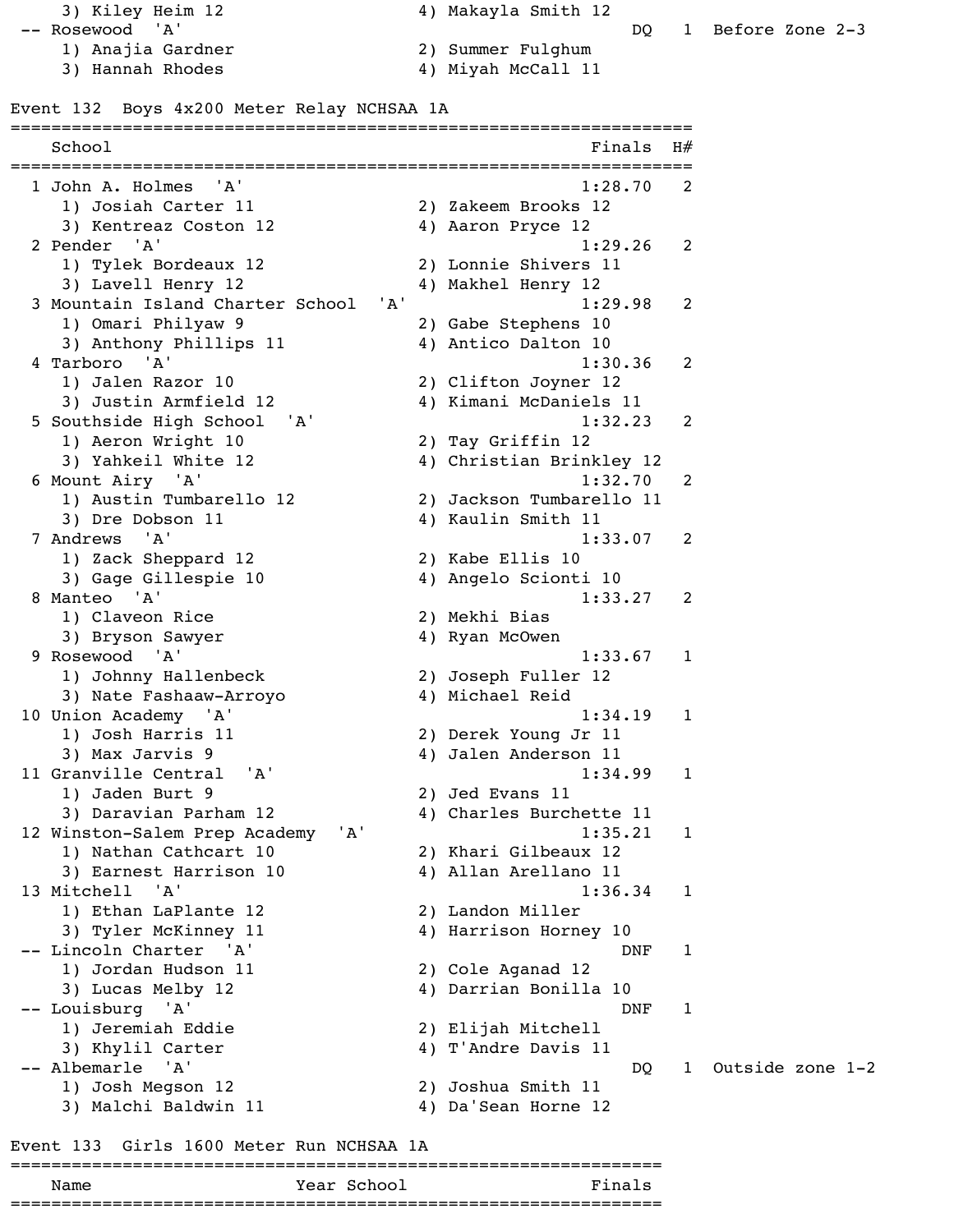3) Kiley Heim 12 4) Makayla Smith 12 -- Rosewood 'A' DQ 1 Before Zone 2-3

- 
- 

- 1) Anajia Gardner 2) Summer Fulghum 4) Miyah McCall 11
- Event 132 Boys 4x200 Meter Relay NCHSAA 1A

| School<br>=================             | Finals                   | H#           |
|-----------------------------------------|--------------------------|--------------|
| 'A'<br>1 John A. Holmes                 | 1:28.70                  | 2            |
| 1) Josiah Carter 11                     | 2) Zakeem Brooks 12      |              |
| 3) Kentreaz Coston 12                   | 4) Aaron Pryce 12        |              |
| 2 Pender 'A'                            | 1:29.26                  | 2            |
| 1) Tylek Bordeaux 12                    | 2) Lonnie Shivers 11     |              |
| 3) Lavell Henry 12                      | 4) Makhel Henry 12       |              |
| 3 Mountain Island Charter School<br>'A' | 1:29.98                  | 2            |
| 1) Omari Philyaw 9                      | 2) Gabe Stephens 10      |              |
| 3) Anthony Phillips 11                  | 4) Antico Dalton 10      |              |
| 4 Tarboro 'A'                           | 1:30.36                  | 2            |
| 1) Jalen Razor 10                       | 2) Clifton Joyner 12     |              |
| 3) Justin Armfield 12                   | 4) Kimani McDaniels 11   |              |
| 5 Southside High School 'A'             | 1:32.23                  | 2            |
| 1) Aeron Wright 10                      | 2) Tay Griffin 12        |              |
| 3) Yahkeil White 12                     | 4) Christian Brinkley 12 |              |
| 6 Mount Airy 'A'                        | 1:32.70                  | 2            |
| 1) Austin Tumbarello 12                 | 2) Jackson Tumbarello 11 |              |
| 3) Dre Dobson 11                        | 4) Kaulin Smith 11       |              |
| 7 Andrews<br>'A'                        | 1:33.07                  | 2            |
| 1) Zack Sheppard 12                     | 2) Kabe Ellis 10         |              |
| 3) Gage Gillespie 10                    | 4) Angelo Scionti 10     |              |
| 8 Manteo 'A'                            | 1:33.27                  | -2           |
| 1) Claveon Rice                         | 2) Mekhi Bias            |              |
| 3) Bryson Sawyer                        | 4) Ryan McOwen           |              |
| 9 Rosewood 'A'                          | 1:33.67                  | $\mathbf{1}$ |
|                                         |                          |              |
| 1) Johnny Hallenbeck                    | 2) Joseph Fuller 12      |              |
| 3) Nate Fashaaw-Arroyo                  | 4) Michael Reid          |              |
| 10 Union Academy 'A'                    | 1:34.19                  | 1            |
| 1) Josh Harris 11                       | 2) Derek Young Jr 11     |              |
| 3) Max Jarvis 9                         | 4) Jalen Anderson 11     |              |
| 11 Granville Central 'A'                | 1:34.99                  | 1            |
| 1) Jaden Burt 9                         | 2) Jed Evans 11          |              |
| 3) Daravian Parham 12                   | 4) Charles Burchette 11  |              |
| 12 Winston-Salem Prep Academy<br>'A'    | 1:35.21                  | $\mathbf{1}$ |
| 1) Nathan Cathcart 10                   | 2) Khari Gilbeaux 12     |              |
| 3) Earnest Harrison 10                  | 4) Allan Arellano 11     |              |
| 13 Mitchell 'A'                         | 1:36.34                  | 1            |
| 1) Ethan LaPlante 12                    | 2) Landon Miller         |              |
| 3) Tyler McKinney 11                    | 4) Harrison Horney 10    |              |
| -- Lincoln Charter 'A'                  | DNF                      | $\mathbf{1}$ |
| 1) Jordan Hudson 11                     | 2) Cole Aganad 12        |              |
| 3) Lucas Melby 12                       | 4) Darrian Bonilla 10    |              |
| -- Louisburg 'A'                        | DNF                      | $\mathbf 1$  |
| 1) Jeremiah Eddie                       | 2) Elijah Mitchell       |              |
| 3) Khylil Carter                        | 4) T'Andre Davis 11      |              |
| -- Albemarle 'A'                        | DQ                       | $\mathbf{1}$ |
| 1) Josh Megson 12                       | 2) Joshua Smith 11       |              |
| 3) Malchi Baldwin 11                    | 4) Da'Sean Horne 12      |              |
|                                         |                          |              |

### Event 133 Girls 1600 Meter Run NCHSAA 1A

### ================================================================ Name Year School Finals

================================================================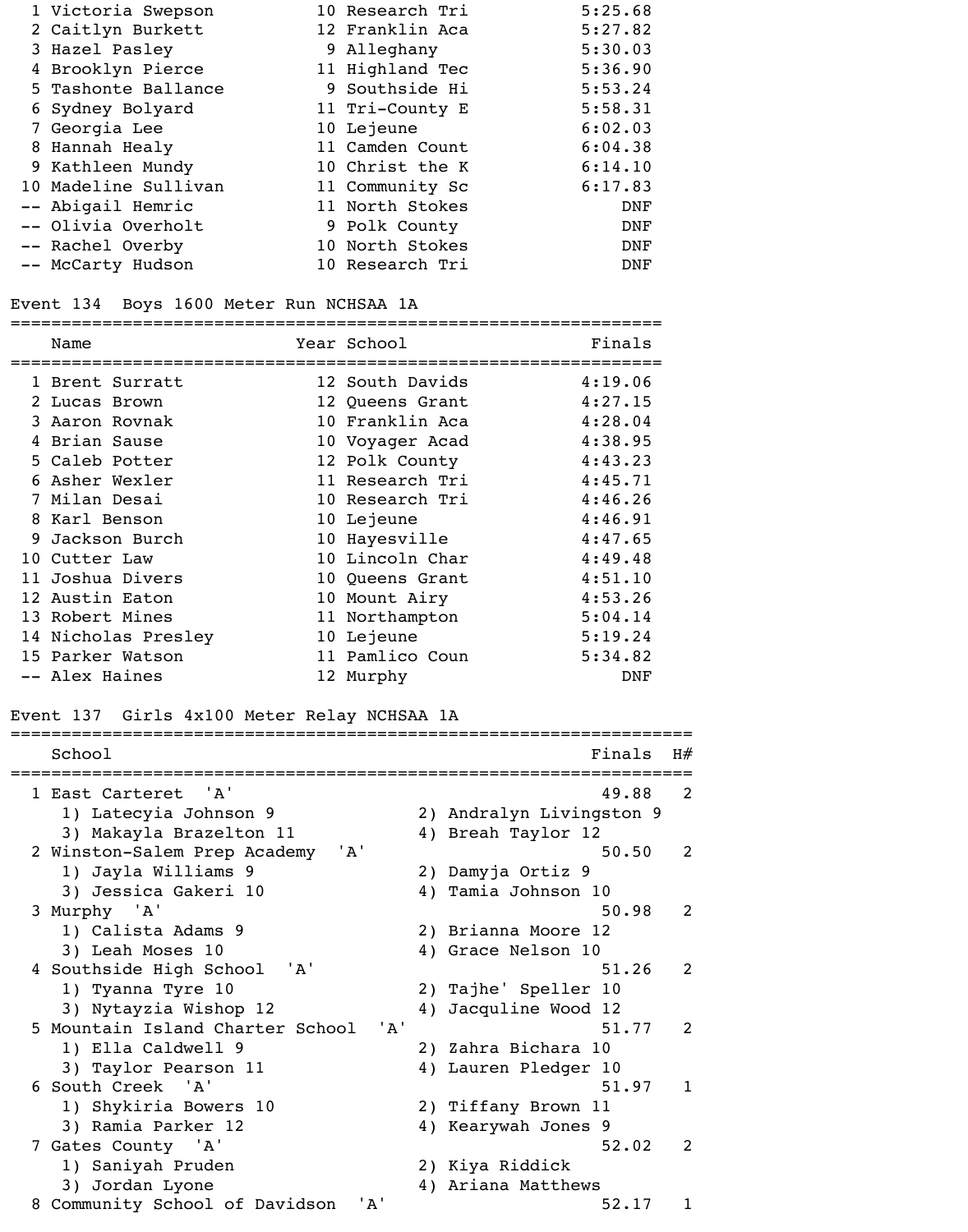| 1 Victoria Swepson   | 10 Research Tri | 5:25.68    |
|----------------------|-----------------|------------|
| 2 Caitlyn Burkett    | 12 Franklin Aca | 5:27.82    |
| 3 Hazel Pasley       | 9 Alleghany     | 5:30.03    |
| 4 Brooklyn Pierce    | 11 Highland Tec | 5:36.90    |
| 5 Tashonte Ballance  | 9 Southside Hi  | 5:53.24    |
| 6 Sydney Bolyard     | 11 Tri-County E | 5:58.31    |
| 7 Georgia Lee        | 10 Lejeune      | 6:02.03    |
| 8 Hannah Healy       | 11 Camden Count | 6:04.38    |
| 9 Kathleen Mundy     | 10 Christ the K | 6:14.10    |
| 10 Madeline Sullivan | 11 Community Sc | 6:17.83    |
| -- Abigail Hemric    | 11 North Stokes | <b>DNF</b> |
| -- Olivia Overholt   | 9 Polk County   | <b>DNF</b> |
| -- Rachel Overby     | 10 North Stokes | <b>DNF</b> |
| -- McCarty Hudson    | 10 Research Tri | <b>DNF</b> |
|                      |                 |            |

### Event 134 Boys 1600 Meter Run NCHSAA 1A

|    | Name                | Year School     | Finals  |
|----|---------------------|-----------------|---------|
|    | 1 Brent Surratt     | 12 South Davids | 4:19.06 |
|    | 2 Lucas Brown       | 12 Queens Grant | 4:27.15 |
|    | 3 Aaron Rovnak      | 10 Franklin Aca | 4:28.04 |
|    | 4 Brian Sause       | 10 Voyager Acad | 4:38.95 |
|    | 5 Caleb Potter      | 12 Polk County  | 4:43.23 |
|    | 6 Asher Wexler      | 11 Research Tri | 4:45.71 |
|    | 7 Milan Desai       | 10 Research Tri | 4:46.26 |
|    | 8 Karl Benson       | 10 Lejeune      | 4:46.91 |
| 9. | Jackson Burch       | 10 Hayesville   | 4:47.65 |
|    | 10 Cutter Law       | 10 Lincoln Char | 4:49.48 |
|    | 11 Joshua Divers    | 10 Queens Grant | 4:51.10 |
|    | 12 Austin Eaton     | 10 Mount Airy   | 4:53.26 |
|    | 13 Robert Mines     | 11 Northampton  | 5:04.14 |
|    | 14 Nicholas Presley | 10 Lejeune      | 5:19.24 |
|    | 15 Parker Watson    | 11 Pamlico Coun | 5:34.82 |
|    | -- Alex Haines      | 12 Murphy       | DNF     |
|    |                     |                 |         |

### Event 137 Girls 4x100 Meter Relay NCHSAA 1A

| School                                   | Finals                   | H#             |
|------------------------------------------|--------------------------|----------------|
| 1 East Carteret 'A'                      | 49.88                    | $\overline{2}$ |
| 1) Latecyia Johnson 9                    | 2) Andralyn Livingston 9 |                |
| 3) Makayla Brazelton 11                  | 4) Breah Taylor 12       |                |
| 'A'<br>2 Winston-Salem Prep Academy      | 50.50                    | 2              |
| 1) Jayla Williams 9                      | 2) Damyja Ortiz 9        |                |
| 3) Jessica Gakeri 10                     | 4) Tamia Johnson 10      |                |
| 3 Murphy 'A'                             | 50.98                    | 2              |
| 1) Calista Adams 9                       | 2) Brianna Moore 12      |                |
| 3) Leah Moses 10                         | 4) Grace Nelson 10       |                |
| 4 Southside High School<br>" A '         | 51.26                    | $\overline{2}$ |
| 1) Tyanna Tyre 10                        | 2) Tajhe' Speller 10     |                |
| 3) Nytayzia Wishop 12                    | 4) Jacquline Wood 12     |                |
| ' A'<br>5 Mountain Island Charter School | 51.77                    | $\mathcal{L}$  |
| 1) Ella Caldwell 9                       | 2) Zahra Bichara 10      |                |
| 3) Taylor Pearson 11                     | 4) Lauren Pledger 10     |                |
| 6 South Creek 'A'                        | 51.97                    | $\mathbf{1}$   |
| 1) Shykiria Bowers 10                    | 2) Tiffany Brown 11      |                |
| 3) Ramia Parker 12                       | 4) Kearywah Jones 9      |                |
| 7 Gates County 'A'                       | 52.02                    | $\mathfrak{D}$ |
| 1) Saniyah Pruden                        | 2) Kiya Riddick          |                |
| 3) Jordan Lyone                          | 4) Ariana Matthews       |                |
| 8 Community School of Davidson<br>' A '  | 52.17                    | 1              |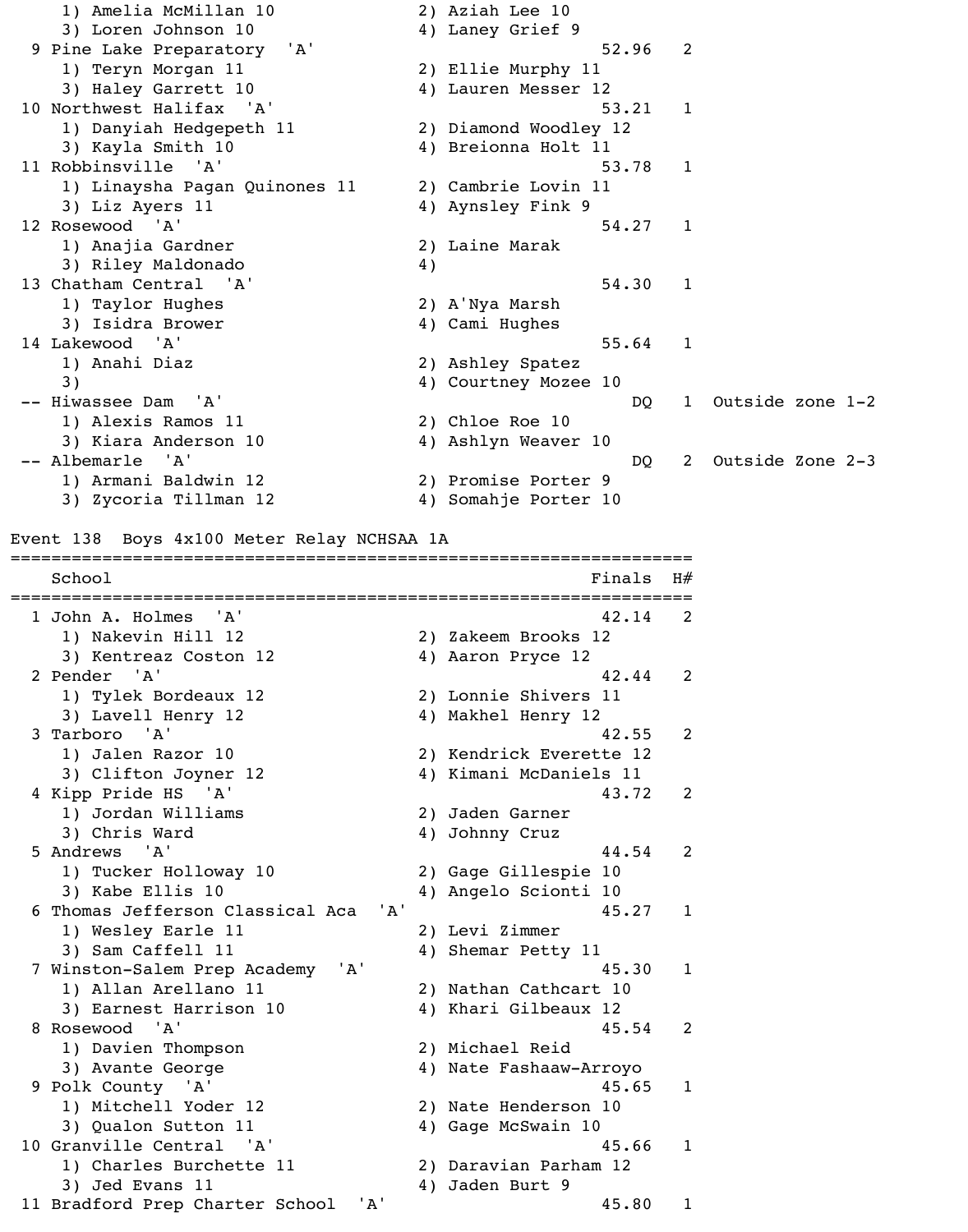1) Amelia McMillan 10 2) Aziah Lee 10 3) Loren Johnson 10 (4) Laney Grief 9 9 Pine Lake Preparatory 'A' 52.96 2 1) Teryn Morgan 11 2) Ellie Murphy 11 3) Haley Garrett 10 4) Lauren Messer 12 10 Northwest Halifax 'A' 53.21 1 1) Danyiah Hedgepeth 11 2) Diamond Woodley 12 3) Kayla Smith 10 4) Breionna Holt 11 11 Robbinsville 'A' 53.78 1 1) Linaysha Pagan Quinones 11 2) Cambrie Lovin 11 3) Liz Ayers 11 4) Aynsley Fink 9 12 Rosewood 'A' 54.27 1 1) Anajia Gardner 1988 (2011) 2) Laine Marak 3) Riley Maldonado 4) 13 Chatham Central 'A' 54.30 1 1) Taylor Hughes 2) A'Nya Marsh 3) Isidra Brower (4) Cami Hughes 14 Lakewood 'A' 55.64 1 1) Anahi Diaz 2) Ashley Spatez 3) 4) Courtney Mozee 10 -- Hiwassee Dam 'A' DQ 1 Outside zone 1-2 1) Alexis Ramos 11 2) Chloe Roe 10 3) Kiara Anderson 10 4) Ashlyn Weaver 10 -- Albemarle 'A' DQ 2 Outside Zone 2-3 1) Armani Baldwin 12 2) Promise Porter 9 3) Zycoria Tillman 12 4) Somahje Porter 10 Event 138 Boys 4x100 Meter Relay NCHSAA 1A ===================================================================  $School$   $H#$ =================================================================== 1 John A. Holmes 'A' 42.14 2 1) Nakevin Hill 12 2) Zakeem Brooks 12 3) Kentreaz Coston 12 4) Aaron Pryce 12 2 Pender 'A' 42.44 2 1) Tylek Bordeaux 12 2) Lonnie Shivers 11 3) Lavell Henry 12 4) Makhel Henry 12 3 Tarboro 'A' 42.55 2 1) Jalen Razor 10 2) Kendrick Everette 12 3) Clifton Joyner 12 (4) Kimani McDaniels 11 4 Kipp Pride HS 'A' 43.72 2 1) Jordan Williams 2) Jaden Garner 3) Chris Ward 4) Johnny Cruz 5 Andrews 'A' 44.54 2 1) Tucker Holloway 10 2) Gage Gillespie 10 3) Kabe Ellis 10 4) Angelo Scionti 10 6 Thomas Jefferson Classical Aca 'A' 45.27 1 1) Wesley Earle 11 2) Levi Zimmer 3) Sam Caffell 11 4) Shemar Petty 11 7 Winston-Salem Prep Academy 'A' 45.30 1 1) Allan Arellano 11 2) Nathan Cathcart 10 3) Earnest Harrison 10 4) Khari Gilbeaux 12 8 Rosewood 'A' 45.54 2 1) Davien Thompson 2) Michael Reid 3) Avante George 4) Nate Fashaaw-Arroyo 9 Polk County 'A' 45.65 1 1) Mitchell Yoder 12 2) Nate Henderson 10 3) Qualon Sutton 11 4) Gage McSwain 10 10 Granville Central 'A' 10 45.66 1 1) Charles Burchette 11 2) Daravian Parham 12 3) Jed Evans 11 4) Jaden Burt 9 11 Bradford Prep Charter School 'A' 45.80 1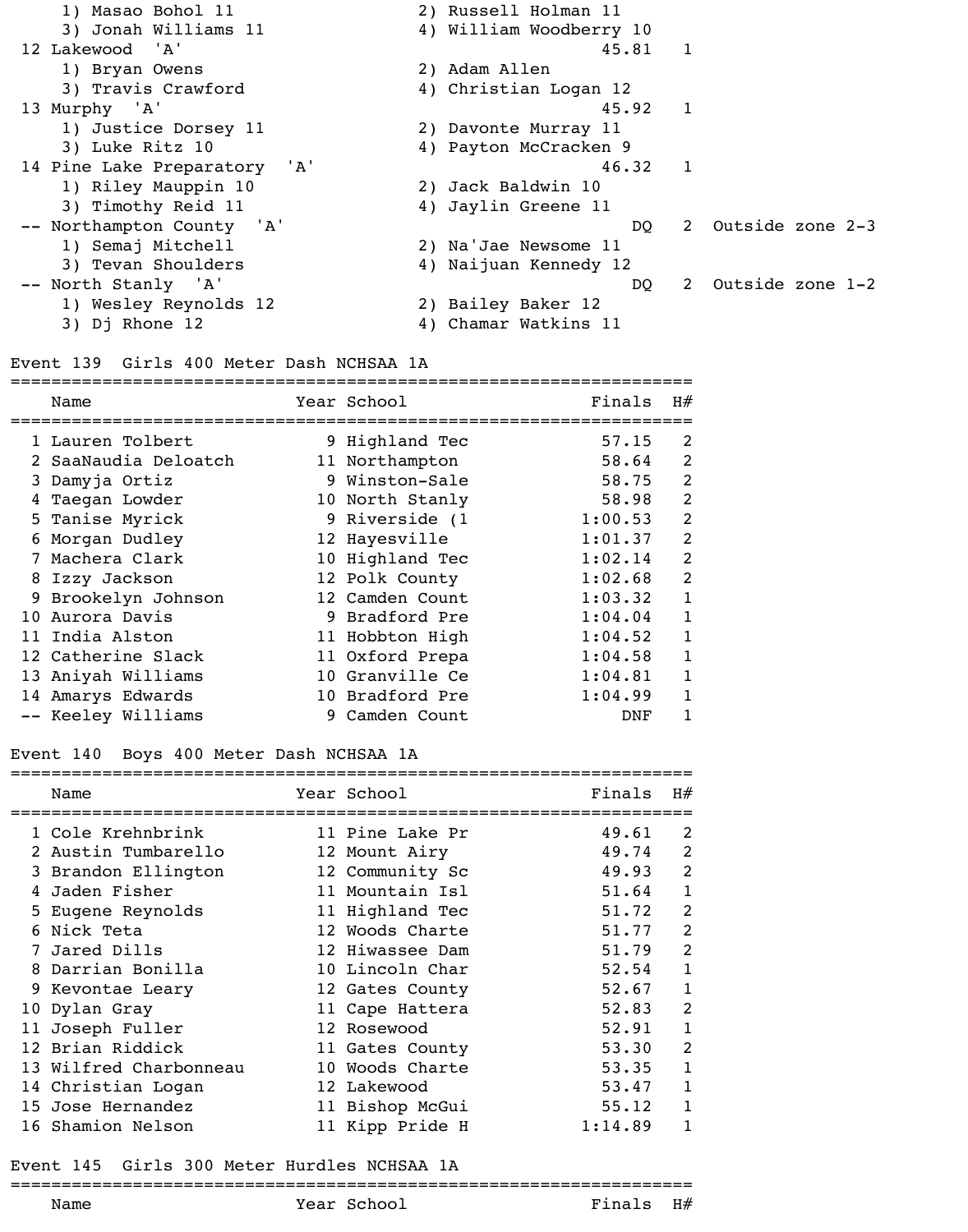| 1) Masao Bohol 11            | 2) Russell Holman 11      |
|------------------------------|---------------------------|
| 3) Jonah Williams 11         | 4) William Woodberry 10   |
| 12 Lakewood 'A'              | 1<br>45.81                |
| 1) Bryan Owens               | 2) Adam Allen             |
| 3) Travis Crawford           | 4) Christian Logan 12     |
| 13 Murphy 'A'                | 45.92 1                   |
| 1) Justice Dorsey 11         | 2) Davonte Murray 11      |
| 3) Luke Ritz 10              | 4) Payton McCracken 9     |
| 14 Pine Lake Preparatory 'A' | $46.32 \quad 1$           |
| 1) Riley Mauppin 10          | 2) Jack Baldwin 10        |
| 3) Timothy Reid 11           | 4) Jaylin Greene 11       |
| -- Northampton County 'A'    | 2 Outside zone 2-3<br>DO. |
| 1) Semaj Mitchell            | 2) Na'Jae Newsome 11      |
| 3) Tevan Shoulders           | 4) Naijuan Kennedy 12     |
| -- North Stanly 'A'          | 2 Outside zone 1-2<br>DQ  |
| 1) Wesley Reynolds 12        | 2) Bailey Baker 12        |
| 3) Dj Rhone 12               | 4) Chamar Watkins 11      |

### Event 139 Girls 400 Meter Dash NCHSAA 1A

|   | Name                 | Year School     | Finals  | H#             |
|---|----------------------|-----------------|---------|----------------|
|   | 1 Lauren Tolbert     | 9 Highland Tec  | 57.15   | 2              |
|   | 2 SaaNaudia Deloatch | 11 Northampton  | 58.64   | 2              |
|   | 3 Damyja Ortiz       | 9 Winston-Sale  | 58.75   | 2              |
| 4 | Taegan Lowder        | 10 North Stanly | 58.98   | $\overline{2}$ |
|   | 5 Tanise Myrick      | 9 Riverside (1  | 1:00.53 | $\overline{2}$ |
| 6 | Morgan Dudley        | 12 Hayesville   | 1:01.37 | $\overline{2}$ |
|   | Machera Clark        | 10 Highland Tec | 1:02.14 | $\overline{2}$ |
|   | 8 Izzy Jackson       | 12 Polk County  | 1:02.68 | $\overline{2}$ |
|   | 9 Brookelyn Johnson  | 12 Camden Count | 1:03.32 | 1              |
|   | 10 Aurora Davis      | 9 Bradford Pre  | 1:04.04 | 1              |
|   | 11 India Alston      | 11 Hobbton High | 1:04.52 | 1              |
|   | 12 Catherine Slack   | 11 Oxford Prepa | 1:04.58 | 1              |
|   | 13 Aniyah Williams   | 10 Granville Ce | 1:04.81 |                |
|   | 14 Amarys Edwards    | 10 Bradford Pre | 1:04.99 |                |
|   | -- Keeley Williams   | 9 Camden Count  | DNF     |                |

# Event 140 Boys 400 Meter Dash NCHSAA 1A

|   | Name                   | Year School     | Finals  | H#             |
|---|------------------------|-----------------|---------|----------------|
|   | 1 Cole Krehnbrink      | 11 Pine Lake Pr | 49.61   | 2              |
|   | 2 Austin Tumbarello    | 12 Mount Airy   | 49.74   | $\overline{2}$ |
|   | 3 Brandon Ellington    | 12 Community Sc | 49.93   | $\overline{2}$ |
|   | Jaden Fisher           | 11 Mountain Isl | 51.64   | 1              |
|   | 5 Eugene Reynolds      | 11 Highland Tec | 51.72   | 2              |
|   | Nick Teta              | 12 Woods Charte | 51.77   | 2              |
|   | Jared Dills            | 12 Hiwassee Dam | 51.79   | $\overline{2}$ |
| 8 | Darrian Bonilla        | 10 Lincoln Char | 52.54   |                |
|   | 9 Kevontae Leary       | 12 Gates County | 52.67   |                |
|   | 10 Dylan Gray          | 11 Cape Hattera | 52.83   | 2              |
|   | 11 Joseph Fuller       | 12 Rosewood     | 52.91   |                |
|   | 12 Brian Riddick       | 11 Gates County | 53.30   | 2              |
|   | 13 Wilfred Charbonneau | 10 Woods Charte | 53.35   |                |
|   | 14 Christian Logan     | 12 Lakewood     | 53.47   |                |
|   | 15 Jose Hernandez      | 11 Bishop McGui | 55.12   |                |
|   | 16 Shamion Nelson      | 11 Kipp Pride H | 1:14.89 |                |

### Event 145 Girls 300 Meter Hurdles NCHSAA 1A

===================================================================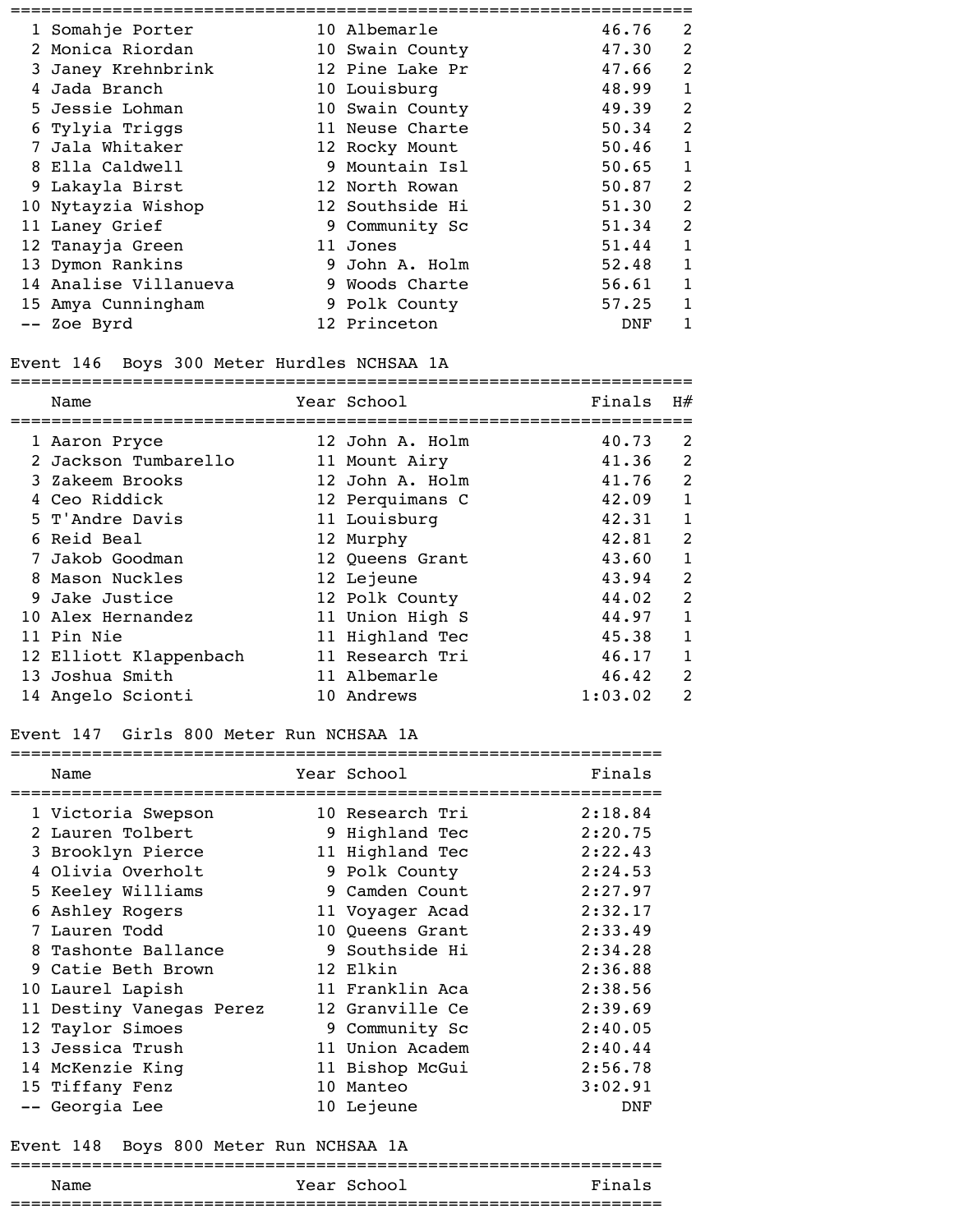| 1 Somahje Porter      | 10 Albemarle    | 46.76 | 2              |
|-----------------------|-----------------|-------|----------------|
| 2 Monica Riordan      | 10 Swain County | 47.30 | $\overline{2}$ |
| 3 Janey Krehnbrink    | 12 Pine Lake Pr | 47.66 | $\overline{2}$ |
| Jada Branch           | 10 Louisburg    | 48.99 |                |
| 5 Jessie Lohman       | 10 Swain County | 49.39 | 2              |
| 6 Tylyia Triggs       | 11 Neuse Charte | 50.34 | $\overline{2}$ |
| 7 Jala Whitaker       | 12 Rocky Mount  | 50.46 | 1              |
| 8 Ella Caldwell       | 9 Mountain Isl  | 50.65 | 1              |
| 9 Lakayla Birst       | 12 North Rowan  | 50.87 | $\overline{2}$ |
| 10 Nytayzia Wishop    | 12 Southside Hi | 51.30 | $\overline{2}$ |
| 11 Laney Grief        | 9 Community Sc  | 51.34 | $\overline{2}$ |
| 12 Tanayja Green      | 11 Jones        | 51.44 | 1              |
| 13 Dymon Rankins      | 9 John A. Holm  | 52.48 |                |
| 14 Analise Villanueva | 9 Woods Charte  | 56.61 | 1              |
| 15 Amya Cunningham    | 9 Polk County   | 57.25 | 1              |
| -- Zoe Byrd           | 12 Princeton    | DNF   |                |

#### Event 146 Boys 300 Meter Hurdles NCHSAA 1A

=================================================================== Name Year School Finals H#

| Name                   | rear School     | rına⊥s  | H#             |
|------------------------|-----------------|---------|----------------|
| 1 Aaron Pryce          | 12 John A. Holm | 40.73   | 2              |
| 2 Jackson Tumbarello   | 11 Mount Airy   | 41.36   | 2              |
| 3 Zakeem Brooks        | 12 John A. Holm | 41.76   | 2              |
| 4 Ceo Riddick          | 12 Perquimans C | 42.09   | 1              |
| 5 T'Andre Davis        | 11 Louisburg    | 42.31   |                |
| 6 Reid Beal            | 12 Murphy       | 42.81   | 2              |
| 7 Jakob Goodman        | 12 Queens Grant | 43.60   |                |
| 8 Mason Nuckles        | 12 Lejeune      | 43.94   | 2              |
| 9 Jake Justice         | 12 Polk County  | 44.02   | 2              |
| 10 Alex Hernandez      | 11 Union High S | 44.97   | 1              |
| 11 Pin Nie             | 11 Highland Tec | 45.38   | 1              |
| 12 Elliott Klappenbach | 11 Research Tri | 46.17   |                |
| 13 Joshua Smith        | 11 Albemarle    | 46.42   | 2              |
| 14 Angelo Scionti      | 10 Andrews      | 1:03.02 | $\overline{2}$ |

#### Event 147 Girls 800 Meter Run NCHSAA 1A

| Name                     | Year School     | Finals  |
|--------------------------|-----------------|---------|
| 1 Victoria Swepson       | 10 Research Tri | 2:18.84 |
| 2 Lauren Tolbert         | 9 Highland Tec  | 2:20.75 |
| 3 Brooklyn Pierce        | 11 Highland Tec | 2:22.43 |
| 4 Olivia Overholt        | 9 Polk County   | 2:24.53 |
| 5 Keeley Williams        | 9 Camden Count  | 2:27.97 |
| 6 Ashley Rogers          | 11 Voyager Acad | 2:32.17 |
| 7 Lauren Todd            | 10 Queens Grant | 2:33.49 |
| 8 Tashonte Ballance      | 9 Southside Hi  | 2:34.28 |
| 9 Catie Beth Brown       | 12 Elkin        | 2:36.88 |
| 10 Laurel Lapish         | 11 Franklin Aca | 2:38.56 |
| 11 Destiny Vanegas Perez | 12 Granville Ce | 2:39.69 |
| 12 Taylor Simoes         | 9 Community Sc  | 2:40.05 |
| 13 Jessica Trush         | 11 Union Academ | 2:40.44 |
| 14 McKenzie King         | 11 Bishop McGui | 2:56.78 |
| 15 Tiffany Fenz          | 10 Manteo       | 3:02.91 |
| -- Georgia Lee           | 10 Lejeune      | DNF     |
|                          |                 |         |

### Event 148 Boys 800 Meter Run NCHSAA 1A

# ================================================================

| <b>Nam</b> | ---<br>.<br>ICUL |  |
|------------|------------------|--|
| ______     |                  |  |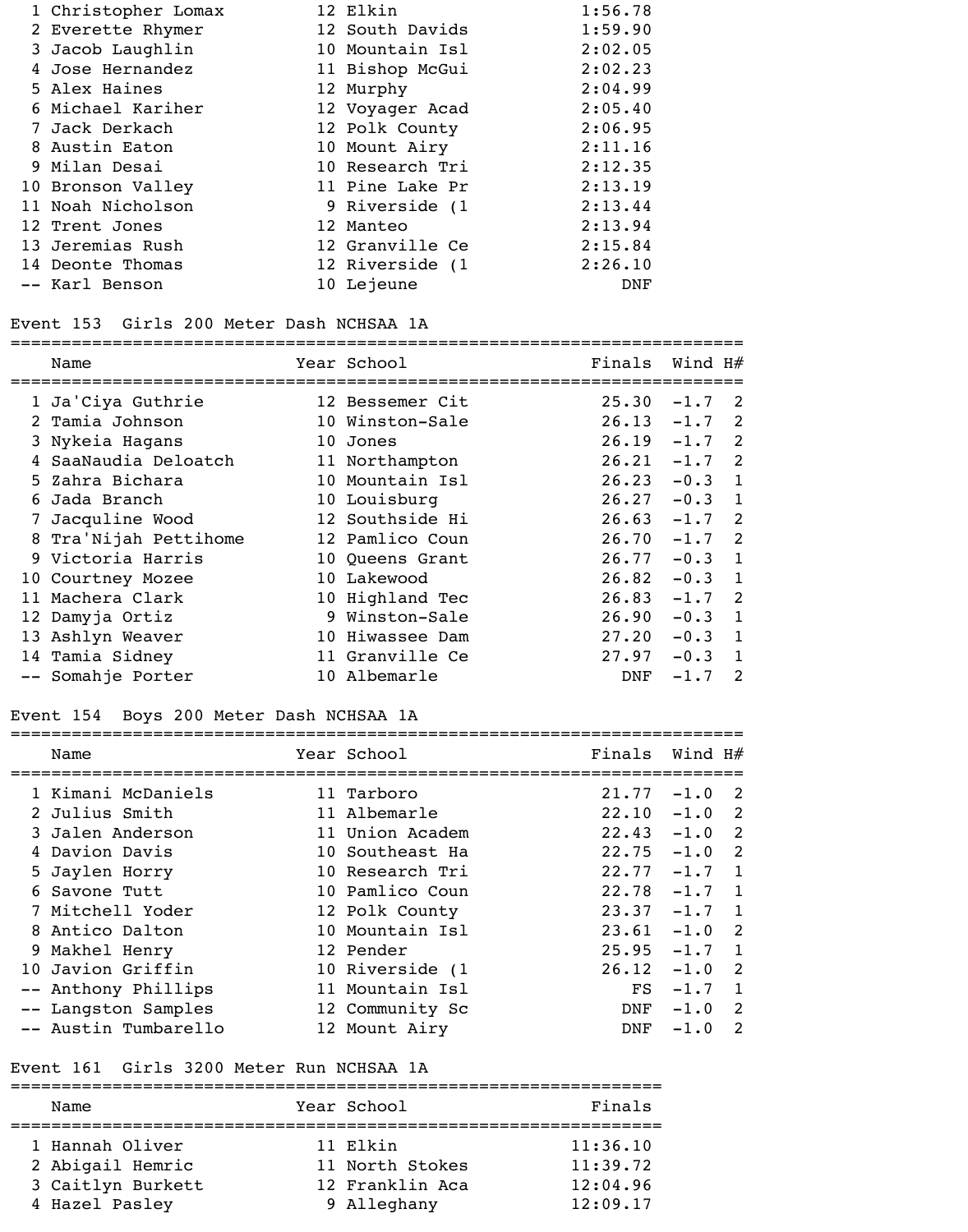| 1 Christopher Lomax | 12 Elkin        | 1:56.78 |
|---------------------|-----------------|---------|
| 2 Everette Rhymer   | 12 South Davids | 1:59.90 |
| 3 Jacob Laughlin    | 10 Mountain Isl | 2:02.05 |
| 4 Jose Hernandez    | 11 Bishop McGui | 2:02.23 |
| 5 Alex Haines       | 12 Murphy       | 2:04.99 |
| 6 Michael Kariher   | 12 Voyager Acad | 2:05.40 |
| 7 Jack Derkach      | 12 Polk County  | 2:06.95 |
| 8 Austin Eaton      | 10 Mount Airy   | 2:11.16 |
| 9 Milan Desai       | 10 Research Tri | 2:12.35 |
| 10 Bronson Valley   | 11 Pine Lake Pr | 2:13.19 |
| 11 Noah Nicholson   | 9 Riverside (1  | 2:13.44 |
| 12 Trent Jones      | 12 Manteo       | 2:13.94 |
| 13 Jeremias Rush    | 12 Granville Ce | 2:15.84 |
| 14 Deonte Thomas    | 12 Riverside (1 | 2:26.10 |
| -- Karl Benson      | 10 Lejeune      | DNF     |

#### Event 153 Girls 200 Meter Dash NCHSAA 1A

|    | Name                  | Year School     | Finals | Wind $H#$ |                            |
|----|-----------------------|-----------------|--------|-----------|----------------------------|
|    | 1 Ja'Ciya Guthrie     | 12 Bessemer Cit | 25.30  | $-1.7$    | $\overline{2}$             |
|    | 2 Tamia Johnson       | 10 Winston-Sale | 26.13  | $-1.7$    | 2                          |
|    | 3 Nykeia Hagans       | 10 Jones        | 26.19  | $-1.7$    | $\overline{2}$             |
|    | 4 SaaNaudia Deloatch  | 11 Northampton  | 26.21  | $-1.7$    | $\overline{\phantom{0}}^2$ |
|    | 5 Zahra Bichara       | 10 Mountain Isl | 26.23  | $-0.3$    | $\overline{\phantom{0}}$   |
| 6. | Jada Branch           | 10 Louisburg    | 26.27  | $-0.3$ 1  |                            |
|    | 7 Jacquline Wood      | 12 Southside Hi | 26.63  | $-1.7$    | $\overline{\phantom{0}}^2$ |
|    | 8 Tra'Nijah Pettihome | 12 Pamlico Coun | 26.70  | $-1.7$    | $\overline{\phantom{0}}^2$ |
|    | 9 Victoria Harris     | 10 Queens Grant | 26.77  | $-0.3$    | $\overline{\phantom{a}}$   |
|    | 10 Courtney Mozee     | 10 Lakewood     | 26.82  | $-0.3$    | $\overline{1}$             |
|    | 11 Machera Clark      | 10 Highland Tec | 26.83  | $-1.7$    | $\overline{\phantom{0}}^2$ |
|    | 12 Damyja Ortiz       | 9 Winston-Sale  | 26.90  | $-0.3$    | $\overline{1}$             |
|    | 13 Ashlyn Weaver      | 10 Hiwassee Dam | 27.20  | $-0.3$    | $\blacksquare$             |
|    | 14 Tamia Sidney       | 11 Granville Ce | 27.97  | $-0.3$    | 1                          |
|    | -- Somahje Porter     | 10 Albemarle    | DNF    | $-1.7$    | $\mathfrak{D}$             |

### Event 154 Boys 200 Meter Dash NCHSAA 1A

| Name                 | Year School     | Finals | Wind H# |                            |
|----------------------|-----------------|--------|---------|----------------------------|
| 1 Kimani McDaniels   | 11 Tarboro      | 21.77  | $-1.0$  | $\overline{2}$             |
| 2 Julius Smith       | 11 Albemarle    | 22.10  | $-1.0$  | $\overline{\phantom{0}}^2$ |
| 3 Jalen Anderson     | 11 Union Academ | 22.43  | $-1.0$  | $\overline{2}$             |
| 4 Davion Davis       | 10 Southeast Ha | 22.75  | $-1.0$  | $\overline{\phantom{0}}^2$ |
| 5 Jaylen Horry       | 10 Research Tri | 22.77  | $-1.7$  | $\overline{1}$             |
| 6 Savone Tutt        | 10 Pamlico Coun | 22.78  | $-1.7$  | $\overline{\phantom{a}}$   |
| 7 Mitchell Yoder     | 12 Polk County  | 23.37  | $-1.7$  | $\overline{1}$             |
| 8 Antico Dalton      | 10 Mountain Isl | 23.61  | $-1.0$  | $\overline{2}$             |
| 9 Makhel Henry       | 12 Pender       | 25.95  | $-1.7$  | $\blacksquare$             |
| 10 Javion Griffin    | 10 Riverside (1 | 26.12  | $-1.0$  | $\overline{2}$             |
| -- Anthony Phillips  | 11 Mountain Isl | FS     | $-1.7$  | $\overline{1}$             |
| -- Langston Samples  | 12 Community Sc | DNF    | $-1.0$  | 2                          |
| -- Austin Tumbarello | 12 Mount Airy   | DNF    | $-1.0$  | $\mathcal{L}$              |

### Event 161 Girls 3200 Meter Run NCHSAA 1A

| Name              | Year School     | Finals   |
|-------------------|-----------------|----------|
|                   |                 |          |
| 1 Hannah Oliver   | 11 Elkin        | 11:36.10 |
| 2 Abigail Hemric  | 11 North Stokes | 11:39.72 |
| 3 Caitlyn Burkett | 12 Franklin Aca | 12:04.96 |
| 4 Hazel Pasley    | 9 Alleghany     | 12:09.17 |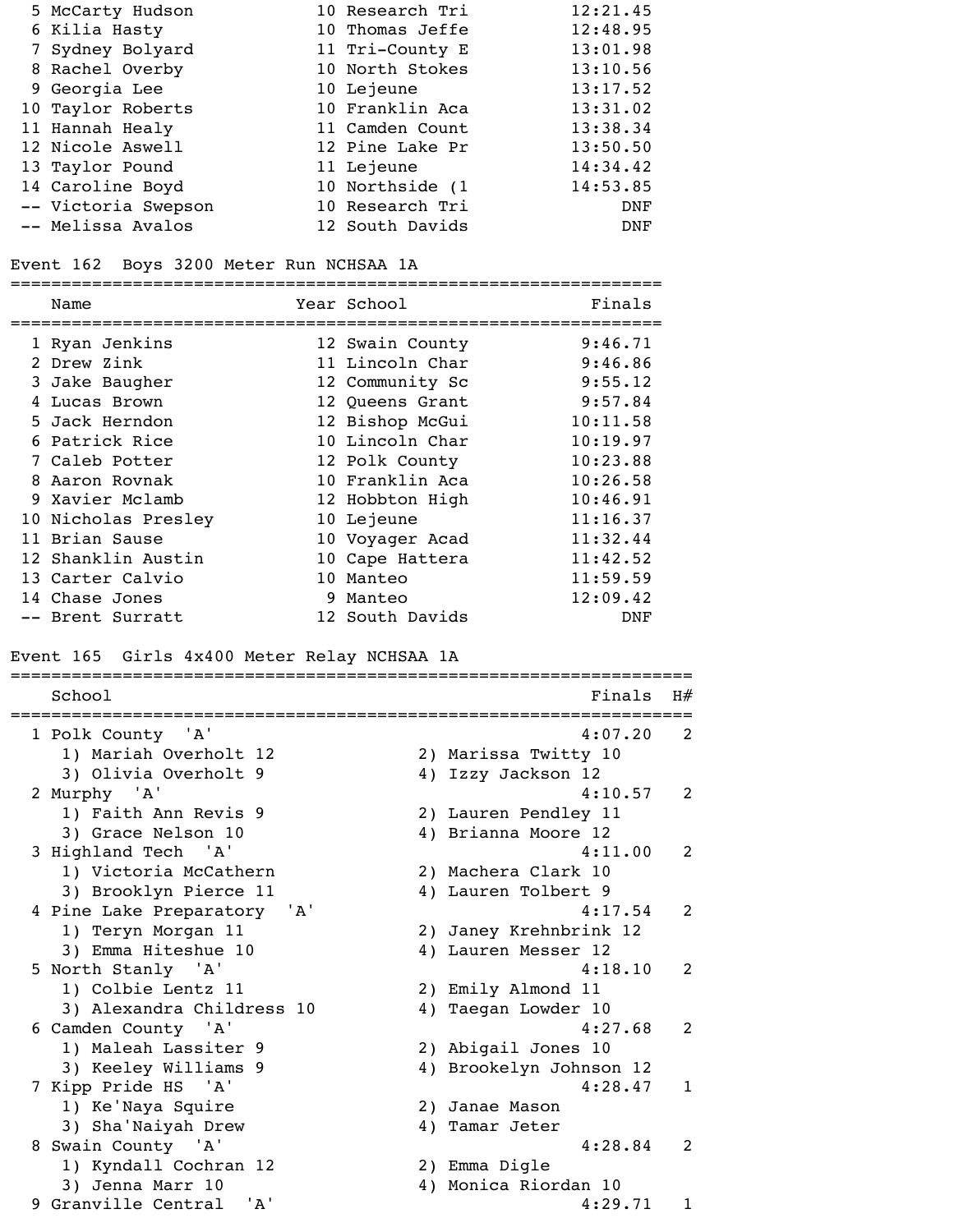| 5 McCarty Hudson    | 10 Research Tri | 12:21.45   |
|---------------------|-----------------|------------|
| 6 Kilia Hasty       | 10 Thomas Jeffe | 12:48.95   |
| 7 Sydney Bolyard    | 11 Tri-County E | 13:01.98   |
| 8 Rachel Overby     | 10 North Stokes | 13:10.56   |
| 9 Georgia Lee       | 10 Lejeune      | 13:17.52   |
| 10 Taylor Roberts   | 10 Franklin Aca | 13:31.02   |
| 11 Hannah Healy     | 11 Camden Count | 13:38.34   |
| 12 Nicole Aswell    | 12 Pine Lake Pr | 13:50.50   |
| 13 Taylor Pound     | 11 Lejeune      | 14:34.42   |
| 14 Caroline Boyd    | 10 Northside (1 | 14:53.85   |
| -- Victoria Swepson | 10 Research Tri | <b>DNF</b> |
| -- Melissa Avalos   | 12 South Davids | <b>DNF</b> |

# Event 162 Boys 3200 Meter Run NCHSAA 1A

| Name                | Year School     | Finals   |
|---------------------|-----------------|----------|
| 1 Ryan Jenkins      | 12 Swain County | 9:46.71  |
| 2 Drew Zink         | 11 Lincoln Char | 9:46.86  |
| 3 Jake Baugher      | 12 Community Sc | 9:55.12  |
| 4 Lucas Brown       | 12 Queens Grant | 9:57.84  |
| 5 Jack Herndon      | 12 Bishop McGui | 10:11.58 |
| 6 Patrick Rice      | 10 Lincoln Char | 10:19.97 |
| 7 Caleb Potter      | 12 Polk County  | 10:23.88 |
| 8 Aaron Rovnak      | 10 Franklin Aca | 10:26.58 |
| 9 Xavier Mclamb     | 12 Hobbton High | 10:46.91 |
| 10 Nicholas Presley | 10 Lejeune      | 11:16.37 |
| 11 Brian Sause      | 10 Voyager Acad | 11:32.44 |
| 12 Shanklin Austin  | 10 Cape Hattera | 11:42.52 |
| 13 Carter Calvio    | 10 Manteo       | 11:59.59 |
| 14 Chase Jones      | 9 Manteo        | 12:09.42 |
| -- Brent Surratt    | 12 South Davids | DNF      |
|                     |                 |          |

# Event 165 Girls 4x400 Meter Relay NCHSAA 1A

| School                      |    | Finals                  | H#           |
|-----------------------------|----|-------------------------|--------------|
| 1 Polk County 'A'           |    | 4:07.20                 | 2            |
| 1) Mariah Overholt 12       |    | 2) Marissa Twitty 10    |              |
| 3) Olivia Overholt 9        |    | 4) Izzy Jackson 12      |              |
| 2 Murphy 'A'                |    | 4:10.57                 | 2            |
| 1) Faith Ann Revis 9        |    | 2) Lauren Pendley 11    |              |
| 3) Grace Nelson 10          |    | 4) Brianna Moore 12     |              |
| 3 Highland Tech 'A'         |    | 4:11.00                 | 2            |
| 1) Victoria McCathern       |    | 2) Machera Clark 10     |              |
| 3) Brooklyn Pierce 11       |    | 4) Lauren Tolbert 9     |              |
| 4 Pine Lake Preparatory 'A' |    | 4:17.54                 | 2            |
| 1) Teryn Morgan 11          |    | 2) Janey Krehnbrink 12  |              |
| 3) Emma Hiteshue 10         |    | 4) Lauren Messer 12     |              |
| 5 North Stanly 'A'          |    | 4:18.10                 | 2            |
| 1) Colbie Lentz 11          |    | 2) Emily Almond 11      |              |
| 3) Alexandra Childress 10   |    | 4) Taegan Lowder 10     |              |
| 6 Camden County 'A'         |    | 4:27.68                 | 2            |
| 1) Maleah Lassiter 9        |    | 2) Abigail Jones 10     |              |
| 3) Keeley Williams 9        |    | 4) Brookelyn Johnson 12 |              |
| 7 Kipp Pride HS 'A'         |    | 4:28.47                 | $\mathbf{1}$ |
| 1) Ke'Naya Squire           |    | 2) Janae Mason          |              |
| 3) Sha'Naiyah Drew          | 4) | Tamar Jeter             |              |
| 8 Swain County 'A'          |    | 4:28.84                 | 2            |
| 1) Kyndall Cochran 12       |    | 2) Emma Digle           |              |
| 3) Jenna Marr 10            |    | 4) Monica Riordan 10    |              |
| 9 Granville Central 'A'     |    | 4:29.71                 | $\mathbf{1}$ |
|                             |    |                         |              |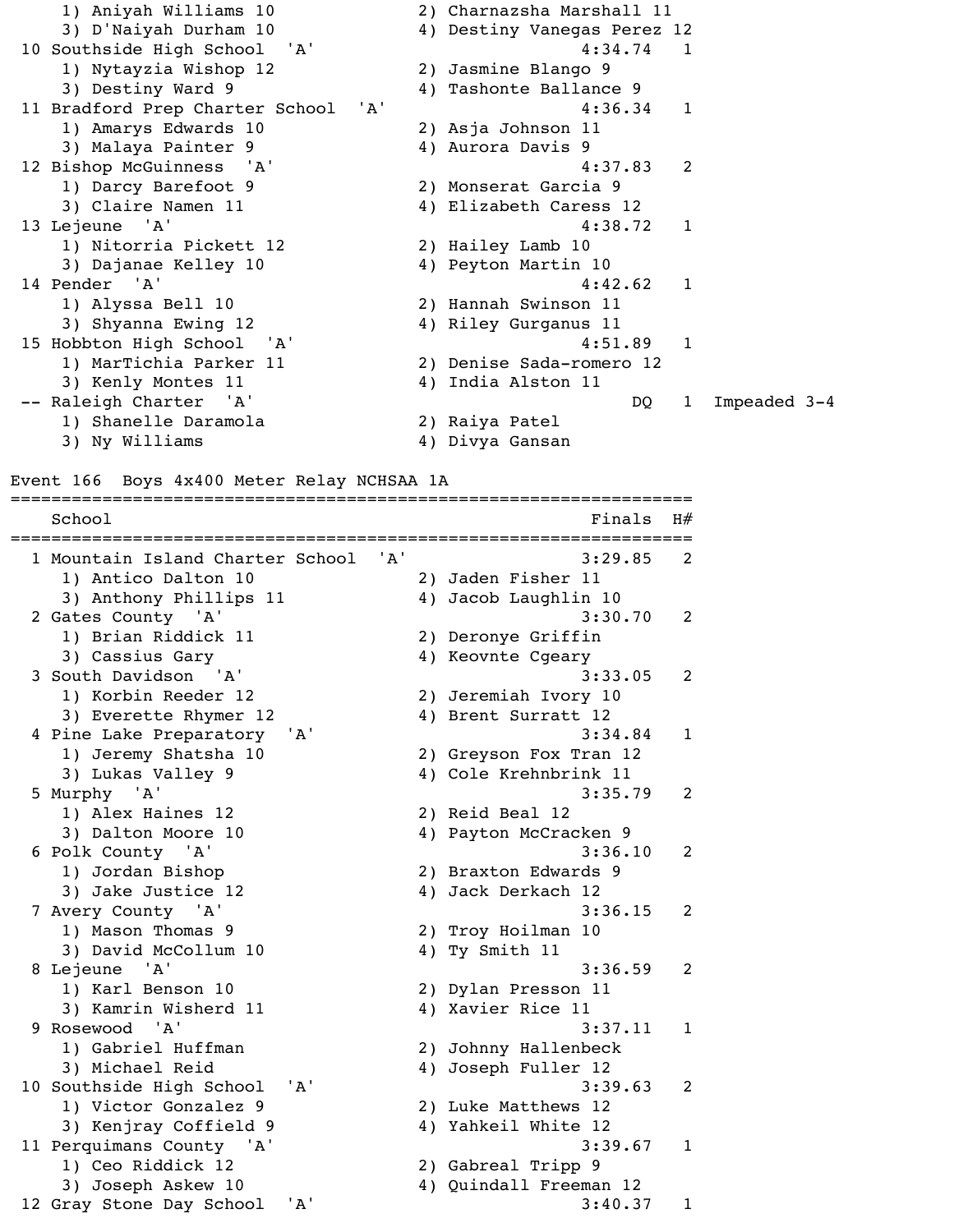1) Aniyah Williams 10 2) Charnazsha Marshall 11 3) D'Naiyah Durham 10 4) Destiny Vanegas Perez 12 10 Southside High School 'A' 4:34.74 1 1) Nytayzia Wishop 12 2) Jasmine Blango 9 3) Destiny Ward 9 4) Tashonte Ballance 9 11 Bradford Prep Charter School 'A' 4:36.34 1 1) Amarys Edwards 10 2) Asja Johnson 11 3) Malaya Painter 9 4) Aurora Davis 9 12 Bishop McGuinness 'A' 4:37.83 2 1) Darcy Barefoot 9 2) Monserat Garcia 9 3) Claire Namen 11 4) Elizabeth Caress 12 13 Lejeune 'A' 4:38.72 1 1) Nitorria Pickett 12 2) Hailey Lamb 10 3) Dajanae Kelley 10 4) Peyton Martin 10 14 Pender 'A' 4:42.62 1 1) Alyssa Bell 10 2) Hannah Swinson 11 3) Shyanna Ewing 12 4) Riley Gurganus 11 15 Hobbton High School 'A' 4:51.89 1 1) MarTichia Parker 11 2) Denise Sada-romero 12 3) Kenly Montes 11 4) India Alston 11 -- Raleigh Charter 'A' and the set of the DQ 1 Impeaded 3-4 1) Shanelle Daramola 2) Raiya Patel 3) Ny Williams  $4)$  Divya Gansan

#### Event 166 Boys 4x400 Meter Relay NCHSAA 1A

===================================================================  $School$   $H#$ =================================================================== 1 Mountain Island Charter School 'A' 3:29.85 2 1) Antico Dalton 10 2) Jaden Fisher 11 3) Anthony Phillips 11 4) Jacob Laughlin 10 2 Gates County 'A' 3:30.70 2 1) Brian Riddick 11 2) Deronye Griffin 3) Cassius Gary 4) Keovnte Cgeary 3 South Davidson 'A' 3:33.05 2 1) Korbin Reeder 12 2) Jeremiah Ivory 10 3) Everette Rhymer 12 4) Brent Surratt 12 4 Pine Lake Preparatory 'A' 3:34.84 1 1) Jeremy Shatsha 10 2) Greyson Fox Tran 12 3) Lukas Valley 9 4) Cole Krehnbrink 11 5 Murphy 'A' 3:35.79 2 1) Alex Haines 12 2) Reid Beal 12 3) Dalton Moore 10 4) Payton McCracken 9 6 Polk County 'A' 3:36.10 2 1) Jordan Bishop 2) Braxton Edwards 9 3) Jake Justice 12 4) Jack Derkach 12 7 Avery County 'A' 3:36.15 2 1) Mason Thomas 9 2) Troy Hoilman 10 3) David McCollum 10 4) Ty Smith 11 8 Lejeune 'A' 3:36.59 2 1) Karl Benson 10 2) Dylan Presson 11 3) Kamrin Wisherd 11 4) Xavier Rice 11 9 Rosewood 'A' 3:37.11 1 1) Gabriel Huffman 2) Johnny Hallenbeck 3) Michael Reid (4) Joseph Fuller 12 10 Southside High School 'A' 3:39.63 2 1) Victor Gonzalez 9 2) Luke Matthews 12 3) Kenjray Coffield 9 4) Yahkeil White 12 11 Perquimans County 'A' 3:39.67 1 1) Ceo Riddick 12 2) Gabreal Tripp 9 3) Joseph Askew 10 4) Quindall Freeman 12 12 Gray Stone Day School 'A' 3:40.37 1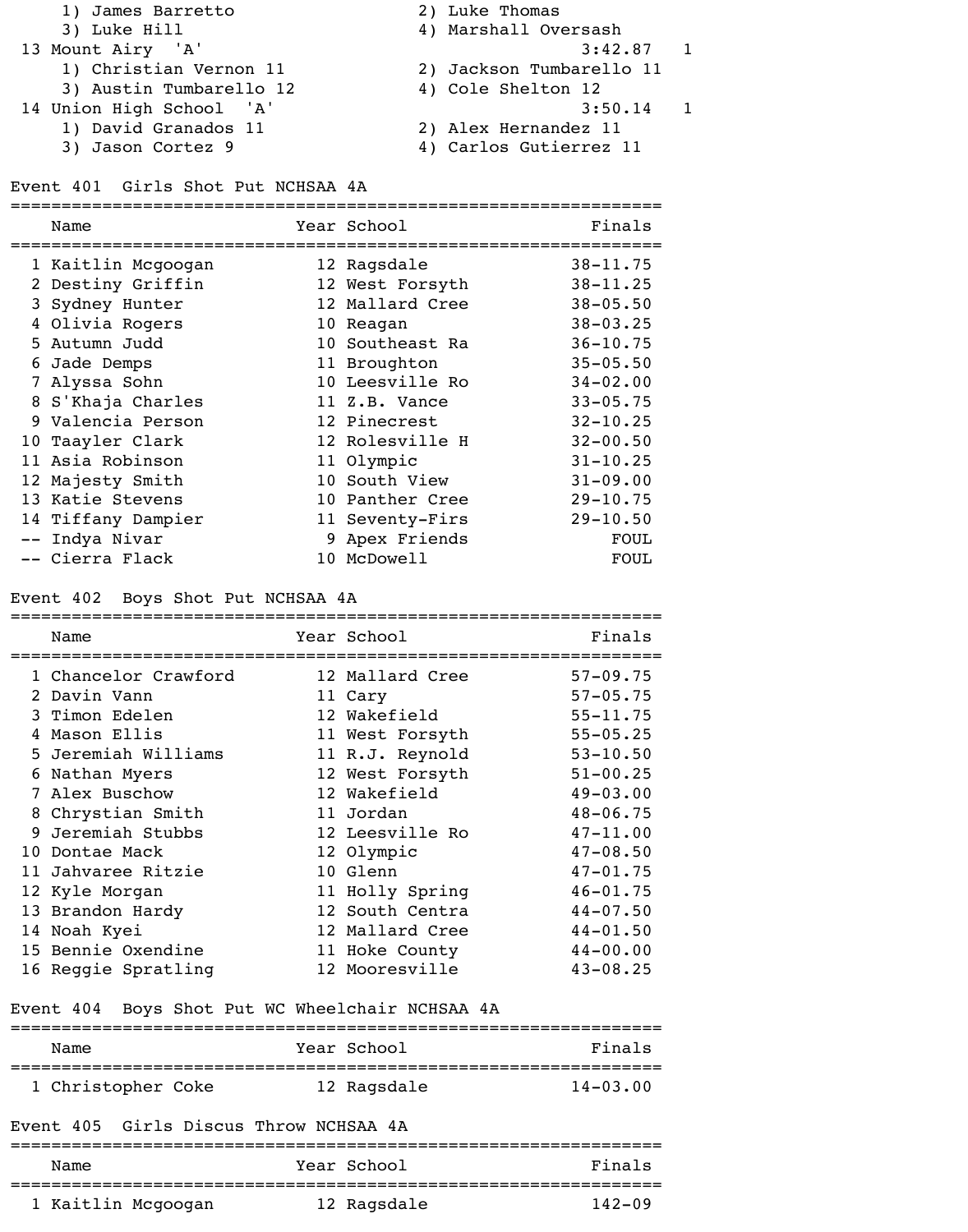- 1) James Barretto 2) Luke Thomas 3) Luke Hill 4) Marshall Oversash 13 Mount Airy 'A' 3:42.87 1 1) Christian Vernon 11 2) Jackson Tumbarello 11 3) Austin Tumbarello 12 4) Cole Shelton 12 14 Union High School 'A' 3:50.14 1 1) David Granados 11 2) Alex Hernandez 11 3) Jason Cortez 9 4) Carlos Gutierrez 11
	-
- Event 401 Girls Shot Put NCHSAA 4A

| Name               | Year School     | Finals       |
|--------------------|-----------------|--------------|
| 1 Kaitlin Mcgoogan | 12 Ragsdale     | $38 - 11.75$ |
| 2 Destiny Griffin  | 12 West Forsyth | $38 - 11.25$ |
| 3 Sydney Hunter    | 12 Mallard Cree | $38 - 05.50$ |
| 4 Olivia Rogers    | 10 Reagan       | $38 - 03.25$ |
| 5 Autumn Judd      | 10 Southeast Ra | $36 - 10.75$ |
| 6 Jade Demps       | 11 Broughton    | $35 - 05.50$ |
| 7 Alyssa Sohn      | 10 Leesville Ro | $34 - 02.00$ |
| 8 S'Khaja Charles  | 11 Z.B. Vance   | $33 - 05.75$ |
| 9 Valencia Person  | 12 Pinecrest    | $32 - 10.25$ |
| 10 Taayler Clark   | 12 Rolesville H | $32 - 00.50$ |
| 11 Asia Robinson   | 11 Olympic      | $31 - 10.25$ |
| 12 Majesty Smith   | 10 South View   | $31 - 09.00$ |
| 13 Katie Stevens   | 10 Panther Cree | $29 - 10.75$ |
| 14 Tiffany Dampier | 11 Seventy-Firs | $29 - 10.50$ |
| -- Indya Nivar     | 9 Apex Friends  | <b>FOUL</b>  |
| -- Cierra Flack    | 10 McDowell     | FOUL         |

#### Event 402 Boys Shot Put NCHSAA 4A

| Name                                            | Year School     | Finals       |
|-------------------------------------------------|-----------------|--------------|
| 1 Chancelor Crawford                            | 12 Mallard Cree | $57 - 09.75$ |
| 2 Davin Vann                                    | 11 Cary         | $57 - 05.75$ |
| 3 Timon Edelen                                  | 12 Wakefield    | $55 - 11.75$ |
| 4 Mason Ellis                                   | 11 West Forsyth | $55 - 05.25$ |
| 5 Jeremiah Williams                             | 11 R.J. Reynold | $53 - 10.50$ |
| 6 Nathan Myers                                  | 12 West Forsyth | $51 - 00.25$ |
| 7 Alex Buschow                                  | 12 Wakefield    | $49 - 03.00$ |
| 8 Chrystian Smith                               | 11 Jordan       | $48 - 06.75$ |
| 9 Jeremiah Stubbs                               | 12 Leesville Ro | $47 - 11.00$ |
| 10 Dontae Mack                                  | 12 Olympic      | $47 - 08.50$ |
| 11 Jahvaree Ritzie                              | 10 Glenn        | $47 - 01.75$ |
| 12 Kyle Morgan                                  | 11 Holly Spring | $46 - 01.75$ |
| 13 Brandon Hardy                                | 12 South Centra | $44 - 07.50$ |
| 14 Noah Kyei                                    | 12 Mallard Cree | $44 - 01.50$ |
| 15 Bennie Oxendine                              | 11 Hoke County  | $44 - 00.00$ |
| 16 Reggie Spratling                             | 12 Mooresville  | $43 - 08.25$ |
| Event 404 Boys Shot Put WC Wheelchair NCHSAA 4A |                 |              |
| Name                                            | Year School     | Finals       |
| 1 Christopher Coke                              | 12 Ragsdale     | $14 - 03.00$ |
| Event 405 Girls Discus Throw NCHSAA 4A          |                 |              |
| Name                                            | Year School     | Finals       |
| 1 Kaitlin Mcgoogan                              | 12 Ragsdale     | $142 - 09$   |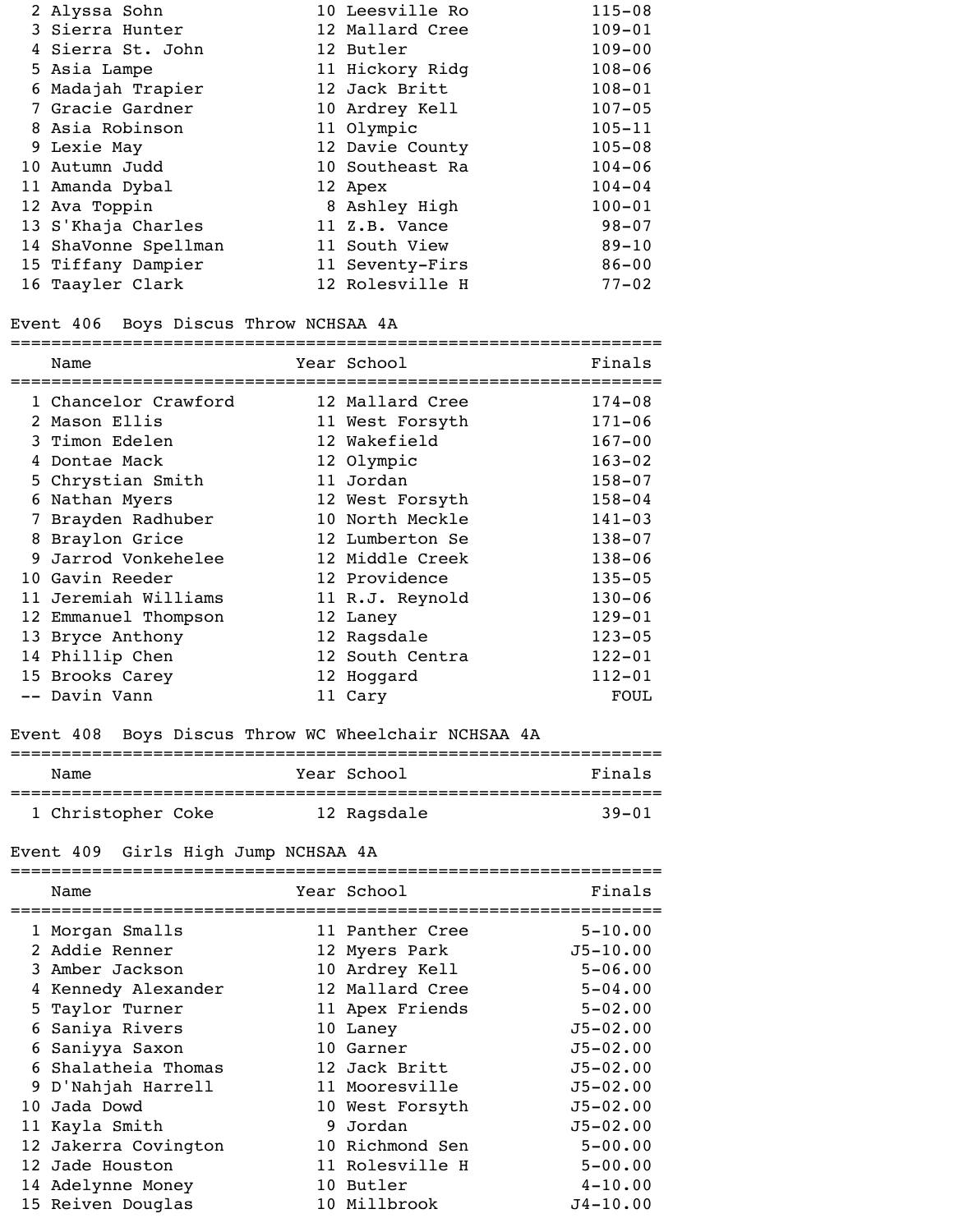| 2 Alyssa Sohn        | 10 Leesville Ro | $115 - 08$ |
|----------------------|-----------------|------------|
| 3 Sierra Hunter      | 12 Mallard Cree | $109 - 01$ |
| 4 Sierra St. John    | 12 Butler       | $109 - 00$ |
| 5 Asia Lampe         | 11 Hickory Ridg | $108 - 06$ |
| 6 Madajah Trapier    | 12 Jack Britt   | $108 - 01$ |
| 7 Gracie Gardner     | 10 Ardrey Kell  | $107 - 05$ |
| 8 Asia Robinson      | 11 Olympic      | $105 - 11$ |
| 9 Lexie May          | 12 Davie County | $105 - 08$ |
| 10 Autumn Judd       | 10 Southeast Ra | $104 - 06$ |
| 11 Amanda Dybal      | 12 Apex         | $104 - 04$ |
| 12 Ava Toppin        | 8 Ashley High   | $100 - 01$ |
| 13 S'Khaja Charles   | 11 Z.B. Vance   | $98 - 07$  |
| 14 ShaVonne Spellman | 11 South View   | $89 - 10$  |
| 15 Tiffany Dampier   | 11 Seventy-Firs | $86 - 00$  |
| 16 Taayler Clark     | 12 Rolesville H | $77 - 02$  |

### Event 406 Boys Discus Throw NCHSAA 4A

|    | Name                 | Year School     | Finals     |
|----|----------------------|-----------------|------------|
|    | 1 Chancelor Crawford | 12 Mallard Cree | $174 - 08$ |
|    | 2 Mason Ellis        | 11 West Forsyth | $171 - 06$ |
|    | 3 Timon Edelen       | 12 Wakefield    | $167 - 00$ |
| 4  | Dontae Mack          | 12 Olympic      | $163 - 02$ |
|    | 5 Chrystian Smith    | 11 Jordan       | $158 - 07$ |
| 6  | Nathan Myers         | 12 West Forsyth | $158 - 04$ |
| 7  | Brayden Radhuber     | 10 North Meckle | $141 - 03$ |
| 8  | Braylon Grice        | 12 Lumberton Se | $138 - 07$ |
| 9. | Jarrod Vonkehelee    | 12 Middle Creek | $138 - 06$ |
|    | 10 Gavin Reeder      | 12 Providence   | $135 - 05$ |
| 11 | Jeremiah Williams    | 11 R.J. Reynold | $130 - 06$ |
|    | 12 Emmanuel Thompson | 12 Laney        | $129 - 01$ |
|    | 13 Bryce Anthony     | 12 Ragsdale     | $123 - 05$ |
|    | 14 Phillip Chen      | 12 South Centra | $122 - 01$ |
|    | 15 Brooks Carey      | 12 Hoggard      | $112 - 01$ |
|    | -- Davin Vann        | 11 Cary         | FOUL       |

# Event 408 Boys Discus Throw WC Wheelchair NCHSAA 4A

| Name               | Year School | Finals    |
|--------------------|-------------|-----------|
| 1 Christopher Coke | 12 Ragsdale | $39 - 01$ |

### Event 409 Girls High Jump NCHSAA 4A

| Name                 | Year School     | Finals       |
|----------------------|-----------------|--------------|
| 1 Morgan Smalls      | 11 Panther Cree | $5 - 10.00$  |
| 2 Addie Renner       | 12 Myers Park   | $J5 - 10.00$ |
| 3 Amber Jackson      | 10 Ardrey Kell  | $5 - 06.00$  |
| 4 Kennedy Alexander  | 12 Mallard Cree | $5 - 04.00$  |
| 5 Taylor Turner      | 11 Apex Friends | $5 - 02.00$  |
| 6 Saniya Rivers      | 10 Laney        | $J5 - 02.00$ |
| 6 Saniyya Saxon      | 10 Garner       | $J5 - 02.00$ |
| 6 Shalatheia Thomas  | 12 Jack Britt   | $J5 - 02.00$ |
| 9 D'Nahjah Harrell   | 11 Mooresville  | $J5 - 02.00$ |
| 10 Jada Dowd         | 10 West Forsyth | $J5 - 02.00$ |
| 11 Kayla Smith       | 9 Jordan        | $J5 - 02.00$ |
| 12 Jakerra Covington | 10 Richmond Sen | $5 - 00.00$  |
| 12 Jade Houston      | 11 Rolesville H | $5 - 00.00$  |
| 14 Adelynne Money    | 10 Butler       | $4 - 10.00$  |
| 15 Reiven Douglas    | 10 Millbrook    | $J4 - 10.00$ |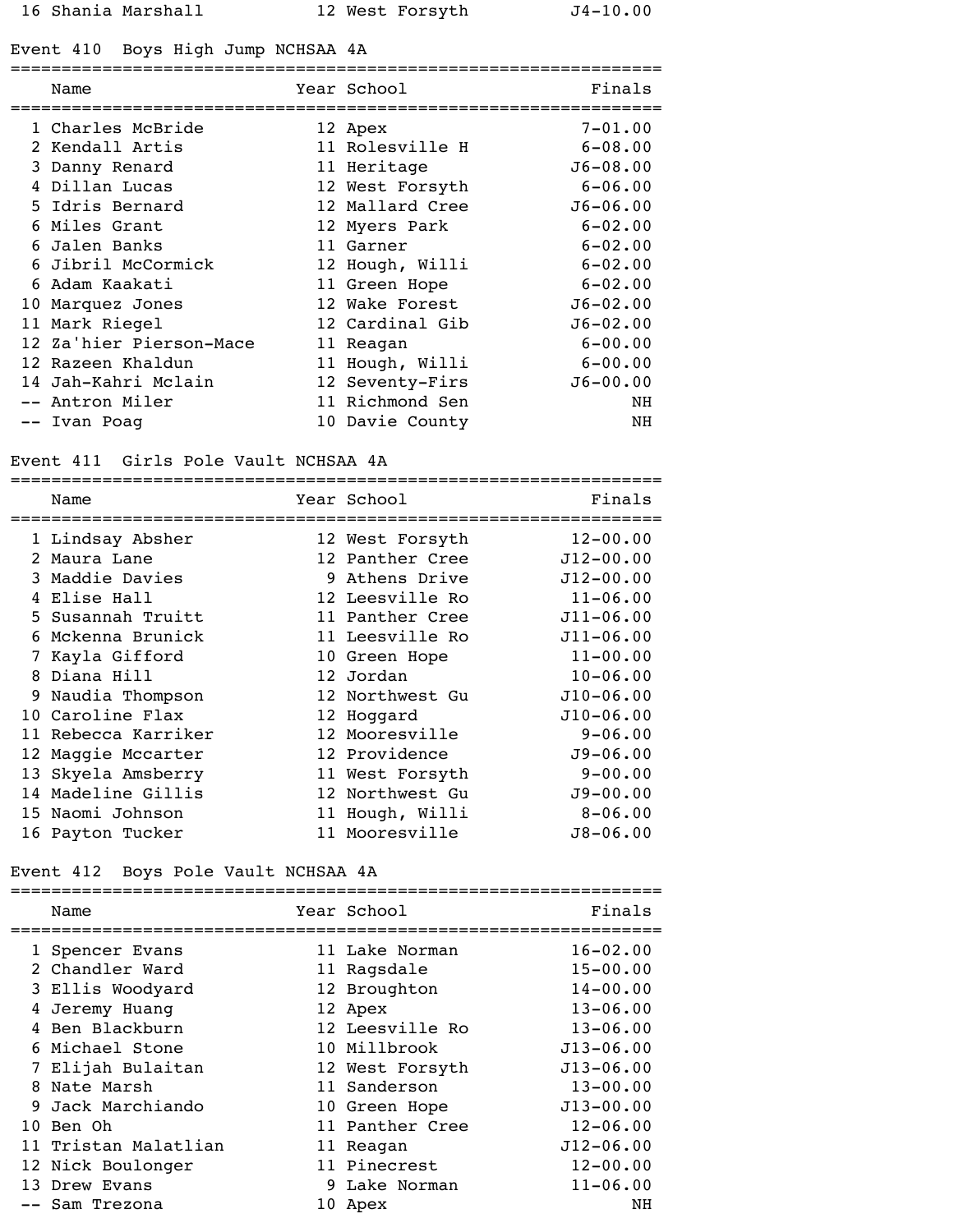#### Event 410 Boys High Jump NCHSAA 4A

| Name                    | Year School     | Finals       |
|-------------------------|-----------------|--------------|
| 1 Charles McBride       | 12 Apex         | $7 - 01.00$  |
| 2 Kendall Artis         | 11 Rolesville H | $6 - 08.00$  |
| 3 Danny Renard          | 11 Heritage     | $J6 - 08.00$ |
| 4 Dillan Lucas          | 12 West Forsyth | $6 - 06.00$  |
| 5 Idris Bernard         | 12 Mallard Cree | $J6 - 06.00$ |
| 6 Miles Grant           | 12 Myers Park   | $6 - 02.00$  |
| 6 Jalen Banks           | 11 Garner       | $6 - 02.00$  |
| 6 Jibril McCormick      | 12 Hough, Willi | $6 - 02.00$  |
| 6 Adam Kaakati          | 11 Green Hope   | $6 - 02.00$  |
| 10 Marquez Jones        | 12 Wake Forest  | $J6 - 02.00$ |
| 11 Mark Riegel          | 12 Cardinal Gib | $J6 - 02.00$ |
| 12 Za'hier Pierson-Mace | 11 Reagan       | $6 - 00.00$  |
| 12 Razeen Khaldun       | 11 Hough, Willi | $6 - 00.00$  |
| 14 Jah-Kahri Mclain     | 12 Seventy-Firs | $J6 - 00.00$ |
| Antron Miler            | 11 Richmond Sen | ΝH           |
| -- Ivan Poag            | 10 Davie County | NH           |

### Event 411 Girls Pole Vault NCHSAA 4A

| Name                | Year School     | Finals        |
|---------------------|-----------------|---------------|
| 1 Lindsay Absher    | 12 West Forsyth | $12 - 00.00$  |
| 2 Maura Lane        | 12 Panther Cree | $J12 - 00.00$ |
| 3 Maddie Davies     | 9 Athens Drive  | $J12 - 00.00$ |
| 4 Elise Hall        | 12 Leesville Ro | $11 - 06.00$  |
| 5 Susannah Truitt   | 11 Panther Cree | $J11 - 06.00$ |
| 6 Mckenna Brunick   | 11 Leesville Ro | $J11 - 06.00$ |
| 7 Kayla Gifford     | 10 Green Hope   | $11 - 00.00$  |
| 8 Diana Hill        | 12 Jordan       | $10 - 06.00$  |
| 9 Naudia Thompson   | 12 Northwest Gu | $J10-06.00$   |
| 10 Caroline Flax    | 12 Hoggard      | $J10-06.00$   |
| 11 Rebecca Karriker | 12 Mooresville  | $9 - 06.00$   |
| 12 Maggie Mccarter  | 12 Providence   | $J9 - 06.00$  |
| 13 Skyela Amsberry  | 11 West Forsyth | $9 - 00.00$   |
| 14 Madeline Gillis  | 12 Northwest Gu | $J9 - 00.00$  |
| 15 Naomi Johnson    | 11 Hough, Willi | $8 - 06.00$   |
| 16 Payton Tucker    | 11 Mooresville  | $J8 - 06.00$  |
|                     |                 |               |

### Event 412 Boys Pole Vault NCHSAA 4A

| Name                 | Year School     | Finals        |
|----------------------|-----------------|---------------|
| 1 Spencer Evans      | 11 Lake Norman  | $16 - 02.00$  |
| 2 Chandler Ward      | 11 Ragsdale     | $15 - 00.00$  |
| 3 Ellis Woodyard     | 12 Broughton    | $14 - 00.00$  |
| 4 Jeremy Huanq       | 12 Apex         | $13 - 06.00$  |
| 4 Ben Blackburn      | 12 Leesville Ro | $13 - 06.00$  |
| 6 Michael Stone      | 10 Millbrook    | $J13 - 06.00$ |
| 7 Elijah Bulaitan    | 12 West Forsyth | $J13 - 06.00$ |
| 8 Nate Marsh         | 11 Sanderson    | $13 - 00.00$  |
| 9 Jack Marchiando    | 10 Green Hope   | $J13 - 00.00$ |
| 10 Ben Oh            | 11 Panther Cree | $12 - 06.00$  |
| 11 Tristan Malatlian | 11 Reagan       | $J12 - 06.00$ |
| 12 Nick Boulonger    | 11 Pinecrest    | $12 - 00.00$  |
| 13 Drew Evans        | 9 Lake Norman   | $11 - 06.00$  |
| -- Sam Trezona       | 10 Apex         | ΝH            |
|                      |                 |               |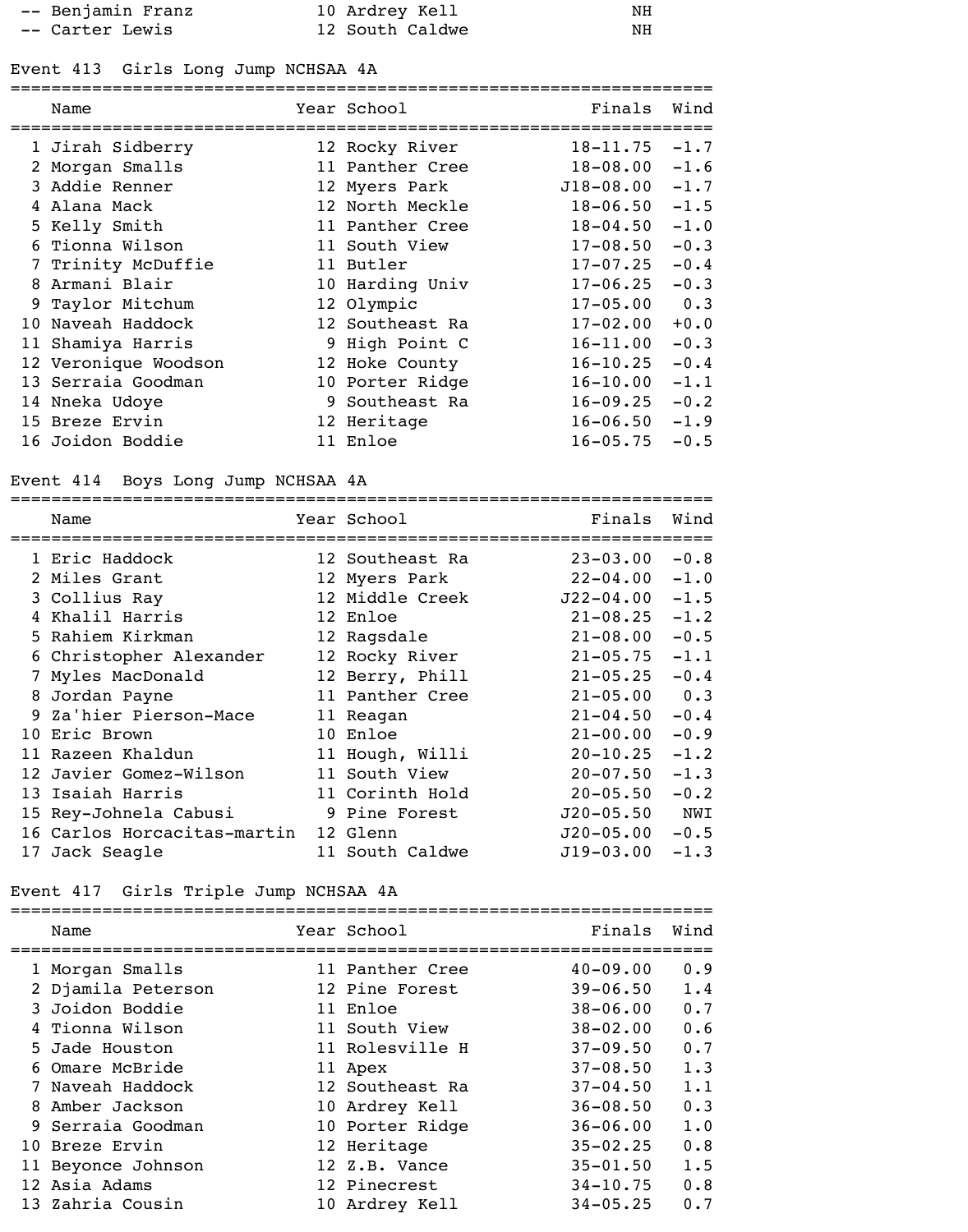| -- Benjamin Franz | 10 Ardrey Kell  | NH |
|-------------------|-----------------|----|
| -- Carter Lewis   | 12 South Caldwe | NH |

# Event 413 Girls Long Jump NCHSAA 4A

| Name                 | Year School     | Finals       | Wind   |
|----------------------|-----------------|--------------|--------|
| 1 Jirah Sidberry     | 12 Rocky River  | $18 - 11.75$ | $-1.7$ |
| 2 Morgan Smalls      | 11 Panther Cree | $18 - 08.00$ | $-1.6$ |
| 3 Addie Renner       | 12 Myers Park   | $J18-08.00$  | $-1.7$ |
| 4 Alana Mack         | 12 North Meckle | $18 - 06.50$ | $-1.5$ |
| 5 Kelly Smith        | 11 Panther Cree | $18 - 04.50$ | $-1.0$ |
| 6 Tionna Wilson      | 11 South View   | $17 - 08.50$ | $-0.3$ |
| 7 Trinity McDuffie   | 11 Butler       | $17 - 07.25$ | $-0.4$ |
| 8 Armani Blair       | 10 Harding Univ | $17 - 06.25$ | $-0.3$ |
| 9 Taylor Mitchum     | 12 Olympic      | $17 - 05.00$ | 0.3    |
| 10 Naveah Haddock    | 12 Southeast Ra | $17 - 02.00$ | $+0.0$ |
| 11 Shamiya Harris    | 9 High Point C  | $16 - 11.00$ | $-0.3$ |
| 12 Veronique Woodson | 12 Hoke County  | $16 - 10.25$ | $-0.4$ |
| 13 Serraia Goodman   | 10 Porter Ridge | $16 - 10.00$ | $-1.1$ |
| 14 Nneka Udoye       | 9 Southeast Ra  | $16 - 09.25$ | $-0.2$ |
| 15 Breze Ervin       | 12 Heritage     | $16 - 06.50$ | $-1.9$ |
| 16 Joidon Boddie     | 11 Enloe        | $16 - 05.75$ | $-0.5$ |

# Event 414 Boys Long Jump NCHSAA 4A

| Name                        | Year School<br>======================== | Finals        | Wind   |
|-----------------------------|-----------------------------------------|---------------|--------|
| 1 Eric Haddock              | 12 Southeast Ra                         | $23 - 03.00$  | $-0.8$ |
| 2 Miles Grant               | 12 Myers Park                           | $22 - 04.00$  | $-1.0$ |
| 3 Collius Ray               | 12 Middle Creek                         | $J22 - 04.00$ | $-1.5$ |
| 4 Khalil Harris             | 12 Enloe                                | $21 - 08.25$  | $-1.2$ |
| 5 Rahiem Kirkman            | 12 Ragsdale                             | $21 - 08.00$  | $-0.5$ |
| 6 Christopher Alexander     | 12 Rocky River                          | $21 - 05.75$  | $-1.1$ |
| Myles MacDonald             | 12 Berry, Phill                         | $21 - 05.25$  | $-0.4$ |
| 8 Jordan Payne              | 11 Panther Cree                         | $21 - 05.00$  | 0.3    |
| 9 Za'hier Pierson-Mace      | 11 Reagan                               | $21 - 04.50$  | $-0.4$ |
| 10 Eric Brown               | 10 Enloe                                | $21 - 00.00$  | $-0.9$ |
| 11 Razeen Khaldun           | 11 Hough, Willi                         | $20 - 10.25$  | $-1.2$ |
| 12 Javier Gomez-Wilson      | 11 South View                           | $20 - 07.50$  | $-1.3$ |
| 13 Isaiah Harris            | 11 Corinth Hold                         | $20 - 05.50$  | $-0.2$ |
| 15 Rey-Johnela Cabusi       | 9 Pine Forest                           | $J20 - 05.50$ | NWI    |
| 16 Carlos Horcacitas-martin | 12 Glenn                                | $J20-05.00$   | $-0.5$ |
| 17 Jack Seagle              | 11 South Caldwe                         | $J19-03.00$   | $-1.3$ |

# Event 417 Girls Triple Jump NCHSAA 4A

|   | Name               | Year School     | Finals       | Wind |
|---|--------------------|-----------------|--------------|------|
|   | 1 Morgan Smalls    | 11 Panther Cree | $40 - 09.00$ | 0.9  |
|   | 2 Djamila Peterson | 12 Pine Forest  | $39 - 06.50$ | 1.4  |
|   | 3 Joidon Boddie    | 11 Enloe        | $38 - 06.00$ | 0.7  |
|   | 4 Tionna Wilson    | 11 South View   | $38 - 02.00$ | 0.6  |
|   | 5 Jade Houston     | 11 Rolesville H | $37 - 09.50$ | 0.7  |
|   | 6 Omare McBride    | 11 Apex         | $37 - 08.50$ | 1.3  |
|   | 7 Naveah Haddock   | 12 Southeast Ra | $37 - 04.50$ | 1.1  |
| 8 | Amber Jackson      | 10 Ardrey Kell  | $36 - 08.50$ | 0.3  |
|   | 9 Serraia Goodman  | 10 Porter Ridge | $36 - 06.00$ | 1.0  |
|   | 10 Breze Ervin     | 12 Heritage     | $35 - 02.25$ | 0.8  |
|   | 11 Beyonce Johnson | 12 Z.B. Vance   | $35 - 01.50$ | 1.5  |
|   | 12 Asia Adams      | 12 Pinecrest    | $34 - 10.75$ | 0.8  |
|   | 13 Zahria Cousin   | 10 Ardrey Kell  | $34 - 05.25$ | 0.7  |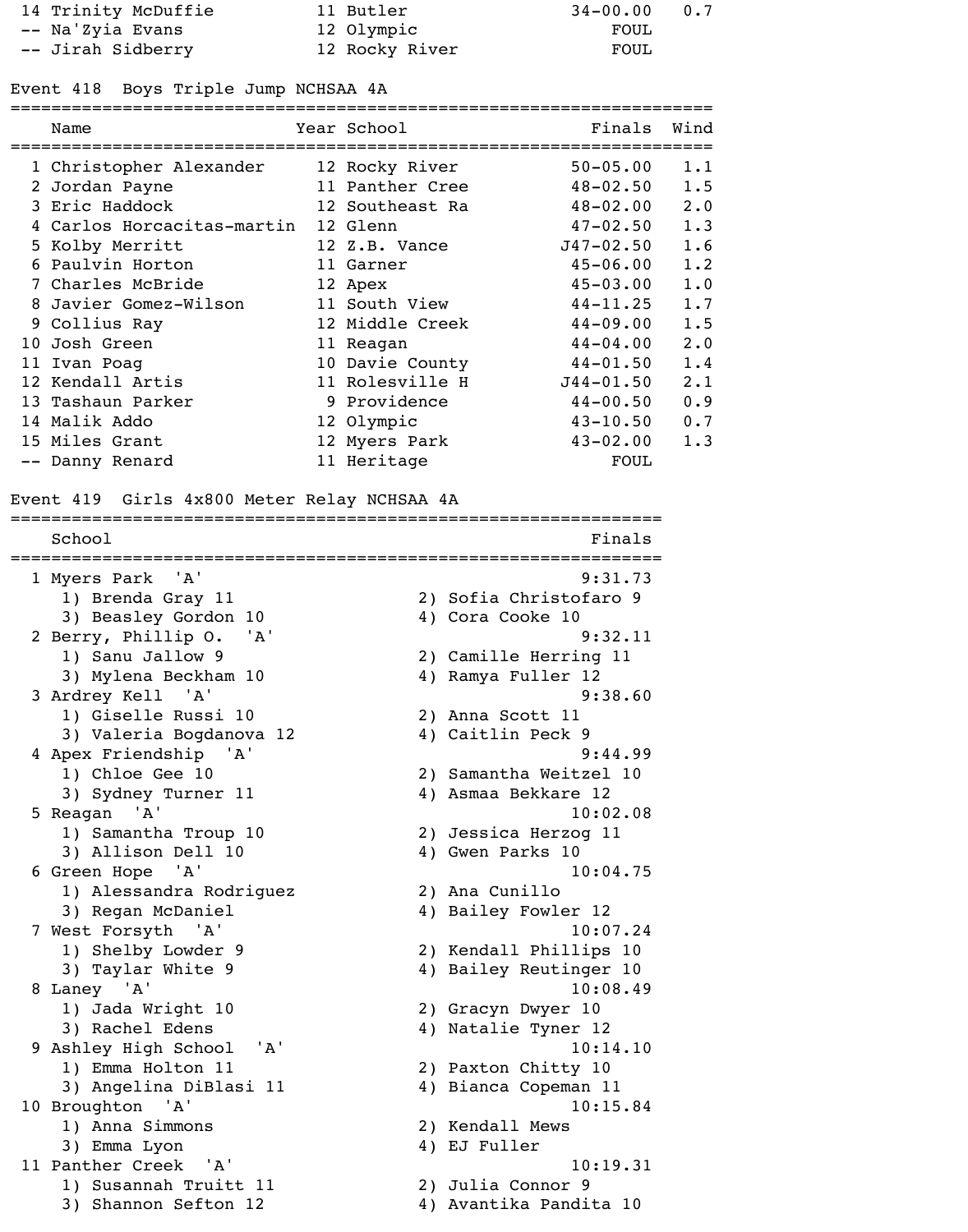| 14 Trinity McDuffie | 11 Butler      | $34 - 00.00$<br>0.7 |
|---------------------|----------------|---------------------|
| -- Na'Zyia Evans    | 12 Olympic     | FOUL                |
| -- Jirah Sidberry   | 12 Rocky River | FOUL                |

#### Event 418 Boys Triple Jump NCHSAA 4A

|   | Name                       | Year School     | Finals        | Wind |
|---|----------------------------|-----------------|---------------|------|
|   | 1 Christopher Alexander    | 12 Rocky River  | $50 - 05.00$  | 1.1  |
|   | 2 Jordan Payne             | 11 Panther Cree | $48 - 02.50$  | 1.5  |
|   | 3 Eric Haddock             | 12 Southeast Ra | $48 - 02.00$  | 2.0  |
|   | 4 Carlos Horcacitas-martin | 12 Glenn        | $47 - 02.50$  | 1.3  |
|   | 5 Kolby Merritt            | 12 Z.B. Vance   | $J47 - 02.50$ | 1.6  |
|   | 6 Paulvin Horton           | 11 Garner       | $45 - 06.00$  | 1.2  |
|   | 7 Charles McBride          | 12 Apex         | $45 - 03.00$  | 1.0  |
| 8 | Javier Gomez-Wilson        | 11 South View   | $44 - 11.25$  | 1.7  |
|   | 9 Collius Ray              | 12 Middle Creek | $44 - 09.00$  | 1.5  |
|   | 10 Josh Green              | 11 Reagan       | $44 - 04.00$  | 2.0  |
|   | 11 Ivan Poag               | 10 Davie County | $44 - 01.50$  | 1.4  |
|   | 12 Kendall Artis           | 11 Rolesville H | $J44 - 01.50$ | 2.1  |
|   | 13 Tashaun Parker          | 9 Providence    | $44 - 00.50$  | 0.9  |
|   | 14 Malik Addo              | 12 Olympic      | $43 - 10.50$  | 0.7  |
|   | 15 Miles Grant             | 12 Myers Park   | $43 - 02.00$  | 1.3  |
|   | -- Danny Renard            | 11 Heritage     | FOUL          |      |

Event 419 Girls 4x800 Meter Relay NCHSAA 4A

================================================================ School Finals ================================================================ 1 Myers Park 'A' 9:31.73 1) Brenda Gray 11 2) Sofia Christofaro 9 3) Beasley Gordon 10 4) Cora Cooke 10 2 Berry, Phillip O. 'A' 9:32.11 1) Sanu Jallow 9 2) Camille Herring 11 3) Mylena Beckham 10 4) Ramya Fuller 12 3 Ardrey Kell 'A' 9:38.60 1) Giselle Russi 10 2) Anna Scott 11 3) Valeria Bogdanova 12 (4) Caitlin Peck 9 4 Apex Friendship 'A' 9:44.99 1) Chloe Gee 10 2) Samantha Weitzel 10 3) Sydney Turner 11 4) Asmaa Bekkare 12 5 Reagan 'A' 10:02.08 1) Samantha Troup 10 2) Jessica Herzog 11 3) Allison Dell 10 4) Gwen Parks 10 6 Green Hope 'A' 10:04.75 1) Alessandra Rodriguez 2) Ana Cunillo 3) Regan McDaniel 4) Bailey Fowler 12 7 West Forsyth 'A' 10:07.24 1) Shelby Lowder 9 2) Kendall Phillips 10 3) Taylar White 9 4) Bailey Reutinger 10 8 Laney 'A' 10:08.49 1) Jada Wright 10 2) Gracyn Dwyer 10 3) Rachel Edens 4) Natalie Tyner 12 9 Ashley High School 'A' 10:14.10 1) Emma Holton 11 2) Paxton Chitty 10 3) Angelina DiBlasi 11 (4) Bianca Copeman 11 10 Broughton 'A' 10:15.84 1) Anna Simmons 2) Kendall Mews 3) Emma Lyon 4) EJ Fuller 11 Panther Creek 'A' 10:19.31 1) Susannah Truitt 11 2) Julia Connor 9 3) Shannon Sefton 12 4) Avantika Pandita 10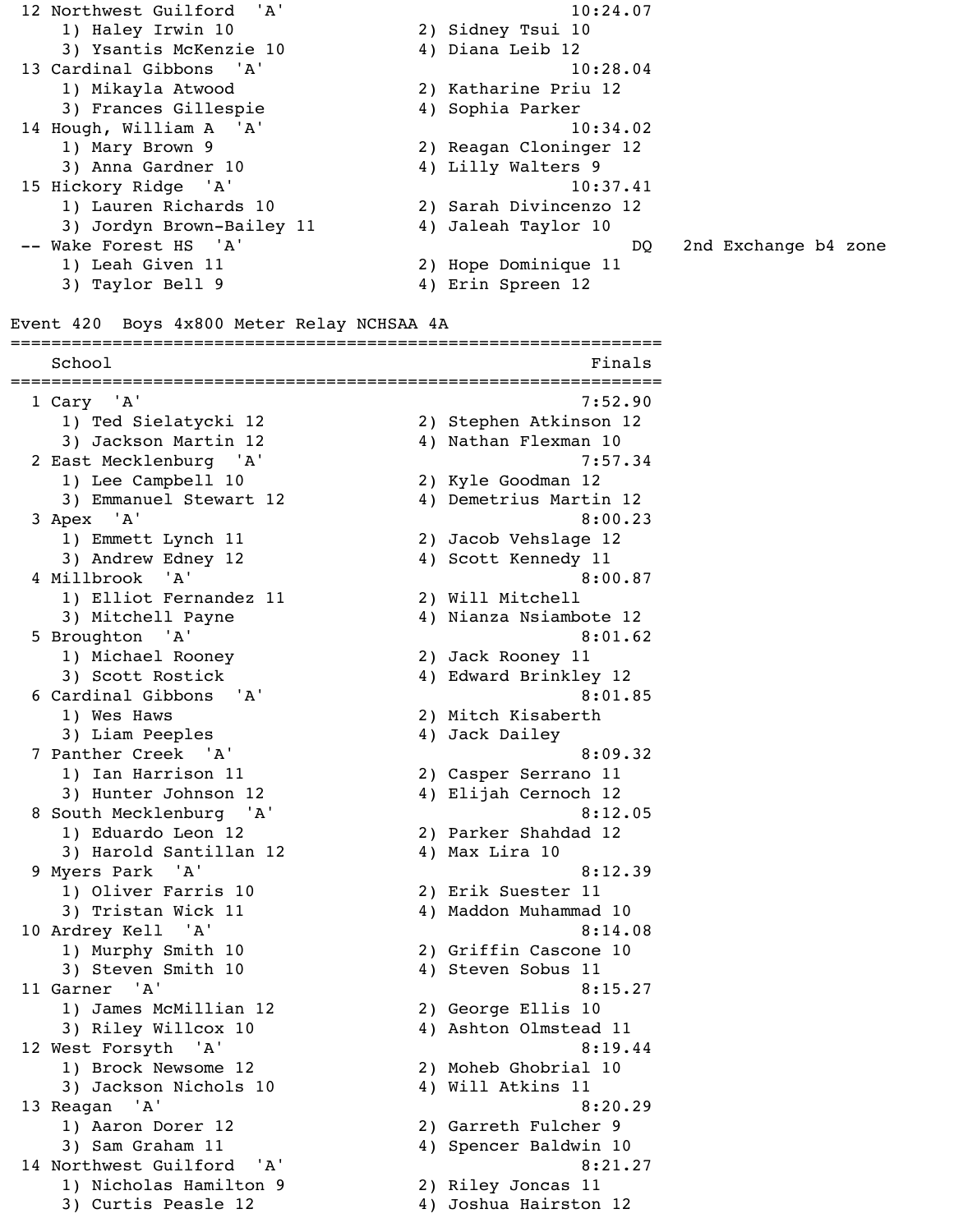12 Northwest Guilford 'A' 10:24.07 1) Haley Irwin 10 2) Sidney Tsui 10 3) Ysantis McKenzie 10 4) Diana Leib 12 13 Cardinal Gibbons 'A' 10:28.04 1) Mikayla Atwood 2) Katharine Priu 12 3) Frances Gillespie (4) Sophia Parker 14 Hough, William A 'A' 10:34.02 1) Mary Brown 9 2) Reagan Cloninger 12 3) Anna Gardner 10 4) Lilly Walters 9 15 Hickory Ridge 'A' 10:37.41 1) Lauren Richards 10 2) Sarah Divincenzo 12 3) Jordyn Brown-Bailey 11 4) Jaleah Taylor 10 -- Wake Forest HS 'A' A contract the set of the DQ 2nd Exchange b4 zone 1) Leah Given 11 2) Hope Dominique 11 3) Taylor Bell 9 4) Erin Spreen 12

Event 420 Boys 4x800 Meter Relay NCHSAA 4A

School Finals ================================================================ 1 Cary 'A' 7:52.90 1) Ted Sielatycki 12 2) Stephen Atkinson 12 3) Jackson Martin 12 4) Nathan Flexman 10 2 East Mecklenburg 'A' 7:57.34 1) Lee Campbell 10 2) Kyle Goodman 12 3) Emmanuel Stewart 12 4) Demetrius Martin 12 3 Apex 'A' 8:00.23 1) Emmett Lynch 11 2) Jacob Vehslage 12 3) Andrew Edney 12 4) Scott Kennedy 11 4 Millbrook 'A' 8:00.87 1) Elliot Fernandez 11 2) Will Mitchell 3) Mitchell Payne 4) Nianza Nsiambote 12 5 Broughton 'A' 8:01.62 1) Michael Rooney 2) Jack Rooney 11 3) Scott Rostick 4) Edward Brinkley 12 6 Cardinal Gibbons 'A' 8:01.85 1) Wes Haws 2) Mitch Kisaberth 3) Liam Peeples 4) Jack Dailey 7 Panther Creek 'A' 8:09.32 1) Ian Harrison 11 2) Casper Serrano 11 3) Hunter Johnson 12 4) Elijah Cernoch 12 8 South Mecklenburg 'A' 8:12.05 1) Eduardo Leon 12 2) Parker Shahdad 12 3) Harold Santillan 12 4) Max Lira 10 9 Myers Park 'A' 8:12.39 1) Oliver Farris 10 2) Erik Suester 11 3) Tristan Wick 11 4) Maddon Muhammad 10 10 Ardrey Kell 'A' 8:14.08 1) Murphy Smith 10 2) Griffin Cascone 10 3) Steven Smith 10 4) Steven Sobus 11 11 Garner 'A' 8:15.27 1) James McMillian 12 2) George Ellis 10 3) Riley Willcox 10 4) Ashton Olmstead 11 12 West Forsyth 'A' 8:19.44 1) Brock Newsome 12 2) Moheb Ghobrial 10 3) Jackson Nichols 10 4) Will Atkins 11 13 Reagan 'A' 8:20.29 1) Aaron Dorer 12 2) Garreth Fulcher 9 3) Sam Graham 11 4) Spencer Baldwin 10 14 Northwest Guilford 'A' 8:21.27 1) Nicholas Hamilton 9 2) Riley Joncas 11

================================================================

3) Curtis Peasle 12 (4) Joshua Hairston 12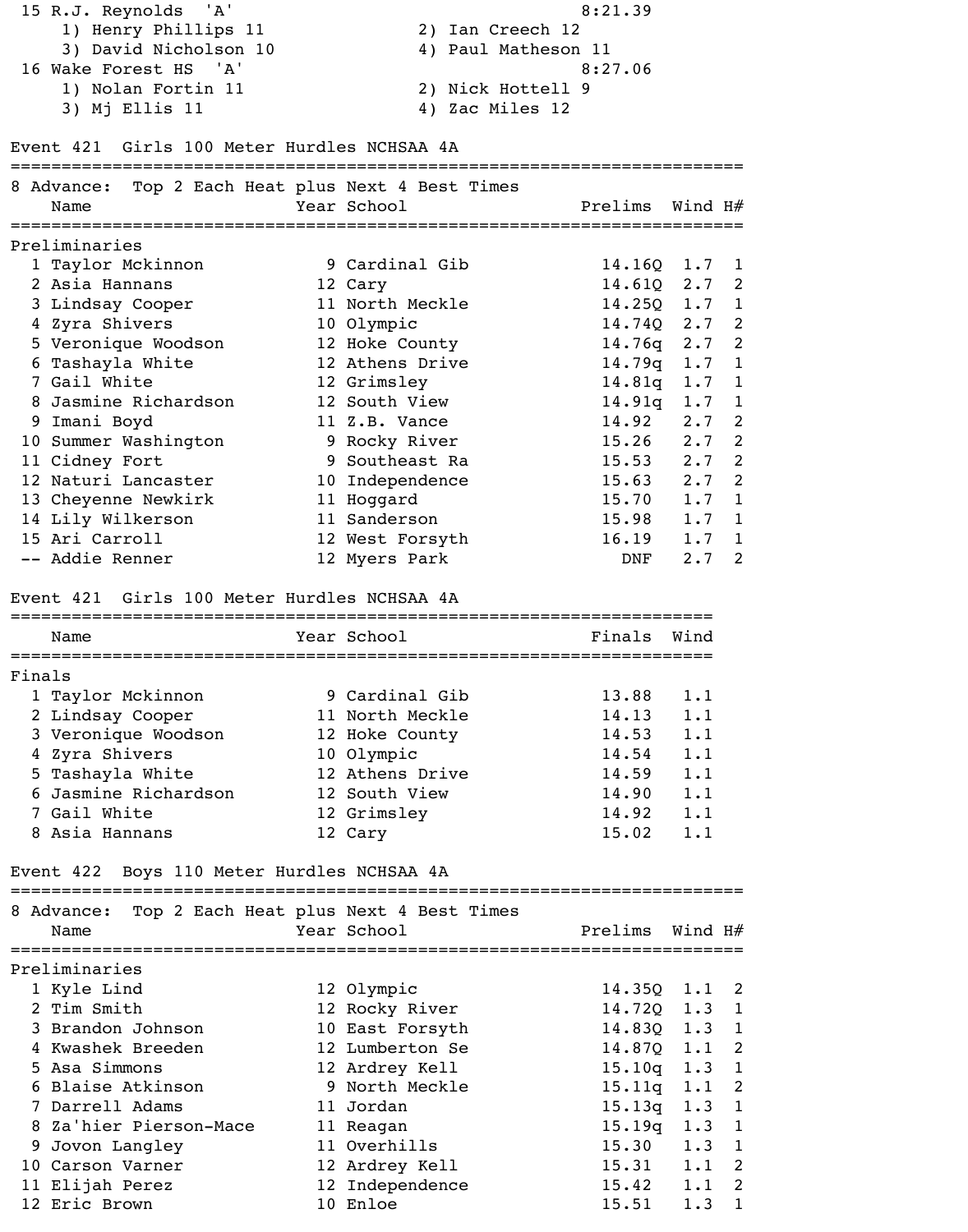| 15 R.J. Reynolds 'A'  | 8:21.39             |
|-----------------------|---------------------|
| 1) Henry Phillips 11  | 2) Ian Creech 12    |
| 3) David Nicholson 10 | 4) Paul Matheson 11 |
| 16 Wake Forest HS 'A' | 8:27.06             |
| 1) Nolan Fortin 11    | 2) Nick Hottell 9   |
| 3) Mj Ellis 11        | 4) Zac Miles 12     |

### Event 421 Girls 100 Meter Hurdles NCHSAA 4A

|        | 8 Advance: Top 2 Each Heat plus Next 4 Best Times   |                 |                            |                  |              |
|--------|-----------------------------------------------------|-----------------|----------------------------|------------------|--------------|
|        | Name                                                | Year School     | Prelims                    | Wind H $\#$      |              |
|        |                                                     |                 |                            |                  |              |
|        | Preliminaries                                       |                 |                            |                  |              |
|        | 1 Taylor Mckinnon                                   | 9 Cardinal Gib  | 14.16Q                     | 1.7              | 1            |
|        | 2 Asia Hannans                                      | 12 Cary         | 14.61Q                     | $2.7-2$          |              |
|        | 3 Lindsay Cooper                                    | 11 North Meckle | $14.25Q \quad 1.7 \quad 1$ |                  |              |
|        | 4 Zyra Shivers                                      | 10 Olympic      | 14.74Q                     | $2.7-2$          |              |
|        | 5 Veronique Woodson                                 | 12 Hoke County  | 14.76q                     | $2.7-2$          |              |
|        | 6 Tashayla White                                    | 12 Athens Drive | 14.79q                     | $1.7 \quad 1$    |              |
|        | 7 Gail White                                        | 12 Grimsley     | 14.81q                     | 1.7              | $\mathbf{1}$ |
|        | 8 Jasmine Richardson                                | 12 South View   | 14.91q                     | $1.7 \quad 1$    |              |
|        | 9 Imani Boyd                                        | 11 Z.B. Vance   | 14.92                      | $2 \cdot 7$      | 2            |
|        | 10 Summer Washington                                | 9 Rocky River   | 15.26                      | $2.7-2$          |              |
|        | 11 Cidney Fort                                      | 9 Southeast Ra  | 15.53                      | $2 \cdot 7$      | 2            |
|        | 12 Naturi Lancaster                                 | 10 Independence | 15.63                      | 2.7 <sub>2</sub> |              |
|        | 13 Cheyenne Newkirk                                 | 11 Hoggard      | 15.70                      | 1.7              | $\mathbf{1}$ |
|        | 14 Lily Wilkerson                                   | 11 Sanderson    | 15.98                      | 1.7              | 1            |
|        | 15 Ari Carroll                                      | 12 West Forsyth | 16.19                      | 1.7              | 1            |
|        | -- Addie Renner                                     | 12 Myers Park   | DNF                        | 2.7              | 2            |
|        | Event 421 Girls 100 Meter Hurdles NCHSAA 4A<br>Name | Year School     | Finals                     | Wind             |              |
|        |                                                     |                 |                            |                  |              |
| Finals |                                                     |                 |                            |                  |              |
|        | 1 Taylor Mckinnon                                   | 9 Cardinal Gib  | 13.88                      | 1.1              |              |
|        | 2 Lindsay Cooper                                    | 11 North Meckle | 14.13                      | 1.1              |              |
|        | 3 Veronique Woodson                                 | 12 Hoke County  | 14.53                      | 1.1              |              |
|        | 4 Zyra Shivers                                      | 10 Olympic      | 14.54                      | 1.1              |              |
|        | 5 Tashayla White                                    | 12 Athens Drive | 14.59                      | 1.1              |              |
|        | 6 Jasmine Richardson                                | 12 South View   | 14.90                      | 1.1              |              |
|        | 7 Gail White                                        | 12 Grimsley     | 14.92 1.1                  |                  |              |
|        | 8 Asia Hannans                                      | 12 Cary         | 15.02                      | 1.1              |              |
|        | Event 422 Boys 110 Meter Hurdles NCHSAA 4A          |                 |                            |                  |              |
|        | 8 Advance: Top 2 Each Heat plus Next 4 Best Times   |                 |                            |                  |              |
|        | Name                                                | Year School     | Prelims Wind H#            |                  |              |
|        | :============================                       |                 |                            |                  |              |
|        | Preliminaries                                       |                 |                            |                  |              |
|        | 1 Kyle Lind                                         | 12 Olympic      | $14.35Q$ $1.1$ 2           |                  |              |
|        | 2 Tim Smith                                         | 12 Rocky River  | 14.72Q                     | $1.3 \quad 1$    |              |
|        | 3 Brandon Johnson                                   | 10 East Forsyth | $14.83Q$ $1.3$ 1           |                  |              |
|        | 4 Kwashek Breeden                                   | 12 Lumberton Se | 14.87Q                     | $1.1 \quad 2$    |              |
|        | 5 Asa Simmons                                       | 12 Ardrey Kell  | 15.10q                     | $1.3 \t1$        |              |

| 3 Brandon Johnson      | 10 East Forsyth | 14.830 1.3 1      |     |  |
|------------------------|-----------------|-------------------|-----|--|
| 4 Kwashek Breeden      | 12 Lumberton Se | $14.87Q$ 1.1 2    |     |  |
| 5 Asa Simmons          | 12 Ardrey Kell  | $15.10q$ $1.3$ 1  |     |  |
| 6 Blaise Atkinson      | 9 North Meckle  | $15.11q$ $1.1$ 2  |     |  |
| 7 Darrell Adams        | 11 Jordan       | $15.13q$ $1.3$ 1  |     |  |
| 8 Za'hier Pierson-Mace | 11 Reagan       | $15.19q$ $1.3$ 1  |     |  |
| 9 Jovon Langley        | 11 Overhills    | $15.30 \t1.3 \t1$ |     |  |
| 10 Carson Varner       | 12 Ardrey Kell  | $15.31$ $1.1$ 2   |     |  |
| 11 Elijah Perez        | 12 Independence | 15.42             | 1.1 |  |
| 12 Eric Brown          | 10 Enloe        | 15.51             | 1.3 |  |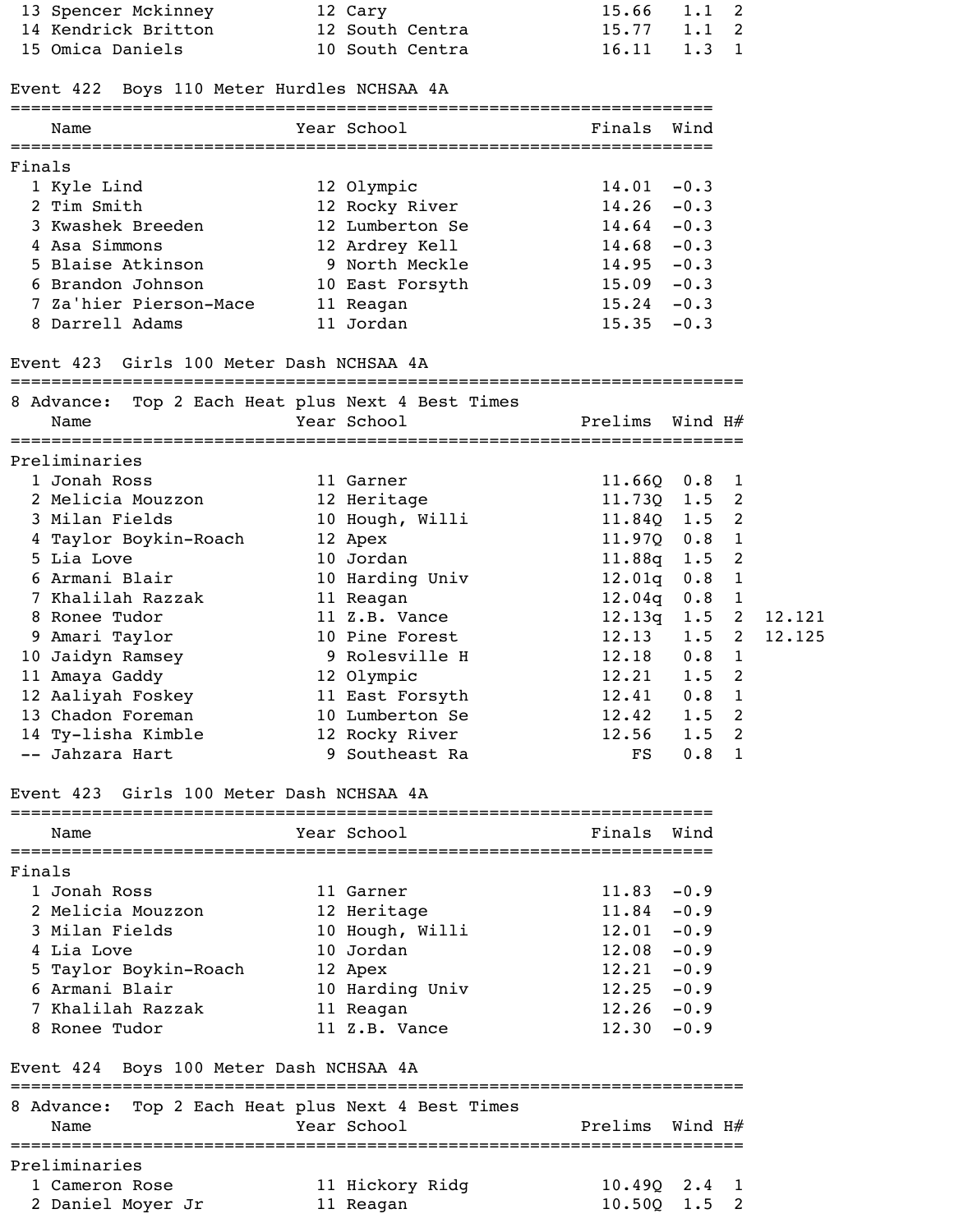|        | 13 Spencer Mckinney                                       | 12 Cary                                | 15.66            | 1.1                | 2              |        |
|--------|-----------------------------------------------------------|----------------------------------------|------------------|--------------------|----------------|--------|
|        | 14 Kendrick Britton                                       | 12 South Centra                        | 15.77            | $1.1 \quad 2$      |                |        |
|        | 15 Omica Daniels                                          | 10 South Centra                        | 16.11            | $1.3 \quad 1$      |                |        |
|        | Event 422 Boys 110 Meter Hurdles NCHSAA 4A                |                                        |                  |                    |                |        |
|        | Name<br>===========================                       | Year School<br>======================= | Finals           | Wind               |                |        |
| Finals |                                                           |                                        |                  |                    |                |        |
|        | 1 Kyle Lind                                               | 12 Olympic                             | $14.01 - 0.3$    |                    |                |        |
|        | 2 Tim Smith                                               | 12 Rocky River                         | $14.26 - 0.3$    |                    |                |        |
|        | 3 Kwashek Breeden                                         | 12 Lumberton Se                        | $14.64 - 0.3$    |                    |                |        |
|        | 4 Asa Simmons                                             | 12 Ardrey Kell                         | $14.68 - 0.3$    |                    |                |        |
|        | 5 Blaise Atkinson                                         | 9 North Meckle                         | $14.95 - 0.3$    |                    |                |        |
|        | 6 Brandon Johnson                                         | 10 East Forsyth                        | $15.09 - 0.3$    |                    |                |        |
|        | 7 Za'hier Pierson-Mace                                    | 11 Reagan                              | $15.24 - 0.3$    |                    |                |        |
|        | 8 Darrell Adams                                           | 11 Jordan                              | $15.35 - 0.3$    |                    |                |        |
|        | Event 423 Girls 100 Meter Dash NCHSAA 4A                  |                                        |                  |                    |                |        |
|        | 8 Advance: Top 2 Each Heat plus Next 4 Best Times         |                                        |                  |                    |                |        |
|        | Name                                                      | Year School                            | Prelims          | Wind H#            |                |        |
|        | Preliminaries                                             |                                        |                  |                    |                |        |
|        | 1 Jonah Ross                                              | 11 Garner                              | 11.66Q           | $0.8 \quad 1$      |                |        |
|        | 2 Melicia Mouzzon                                         | 12 Heritage                            | $11.73Q$ $1.5$ 2 |                    |                |        |
|        | 3 Milan Fields                                            | 10 Hough, Willi                        | 11.84Q 1.5 2     |                    |                |        |
|        | 4 Taylor Boykin-Roach                                     | 12 Apex                                | 11.97Q           | $0.8$ 1            |                |        |
|        | 5 Lia Love                                                | 10 Jordan                              | 11.88q           | $1.5$ 2            |                |        |
|        | 6 Armani Blair                                            | 10 Harding Univ                        | 12.01q           | 0.8                | $\mathbf{1}$   |        |
|        | 7 Khalilah Razzak                                         | 11 Reagan                              | 12.04q           | $0.8$ 1            |                |        |
|        | 8 Ronee Tudor                                             | 11 Z.B. Vance                          | 12.13q 1.52      |                    |                | 12.121 |
|        | 9 Amari Taylor                                            | 10 Pine Forest                         | 12.13            | $1.5 \quad 2$      |                | 12.125 |
|        | 10 Jaidyn Ramsey                                          | 9 Rolesville H                         | 12.18            | 0.8                | $\overline{1}$ |        |
|        | 11 Amaya Gaddy                                            | 12 Olympic                             | 12.21            | $1.5$ 2            |                |        |
|        | 12 Aaliyah Foskey                                         | 11 East Forsyth                        | 12.41            | $0.8$ 1            |                |        |
|        | 13 Chadon Foreman                                         | 10 Lumberton Se                        | 12.42            | $1.5$ 2            |                |        |
|        | 14 Ty-lisha Kimble<br>-- Jahzara Hart                     | 12 Rocky River<br>9 Southeast Ra       | 12.56<br>FS      | $1.5$ 2<br>$0.8$ 1 |                |        |
|        | Event 423 Girls 100 Meter Dash NCHSAA 4A                  |                                        |                  |                    |                |        |
|        | ==========================                                | ==============================         |                  |                    |                |        |
|        | Name                                                      | Year School                            | Finals           | Wind               |                |        |
| Finals |                                                           |                                        |                  |                    |                |        |
|        | 1 Jonah Ross                                              | 11 Garner                              | $11.83 - 0.9$    |                    |                |        |
|        | 2 Melicia Mouzzon                                         | 12 Heritage                            | $11.84 - 0.9$    |                    |                |        |
|        | 3 Milan Fields                                            | 10 Hough, Willi                        | $12.01 - 0.9$    |                    |                |        |
|        | 4 Lia Love                                                | 10 Jordan                              | $12.08 - 0.9$    |                    |                |        |
|        | 5 Taylor Boykin-Roach                                     | 12 Apex                                | $12.21 -0.9$     |                    |                |        |
|        | 6 Armani Blair                                            | 10 Harding Univ                        | $12.25 - 0.9$    |                    |                |        |
|        | 7 Khalilah Razzak                                         | 11 Reagan                              | $12.26 - 0.9$    |                    |                |        |
|        | 8 Ronee Tudor                                             | 11 Z.B. Vance                          | $12.30 -0.9$     |                    |                |        |
|        | Event 424 Boys 100 Meter Dash NCHSAA 4A                   |                                        |                  |                    |                |        |
|        | 8 Advance: Top 2 Each Heat plus Next 4 Best Times<br>Name | Year School                            | Prelims          | Wind H#            |                |        |
|        |                                                           |                                        |                  |                    |                |        |
|        | Preliminaries<br>Cameron Rose                             |                                        |                  | 2.4                |                |        |
|        | 2 Daniel Moyer Jr                                         | 11 Hickory Ridg<br>11 Reagan           | 10.49Q<br>10.50Q | 1.5                | 1<br>2         |        |
|        |                                                           |                                        |                  |                    |                |        |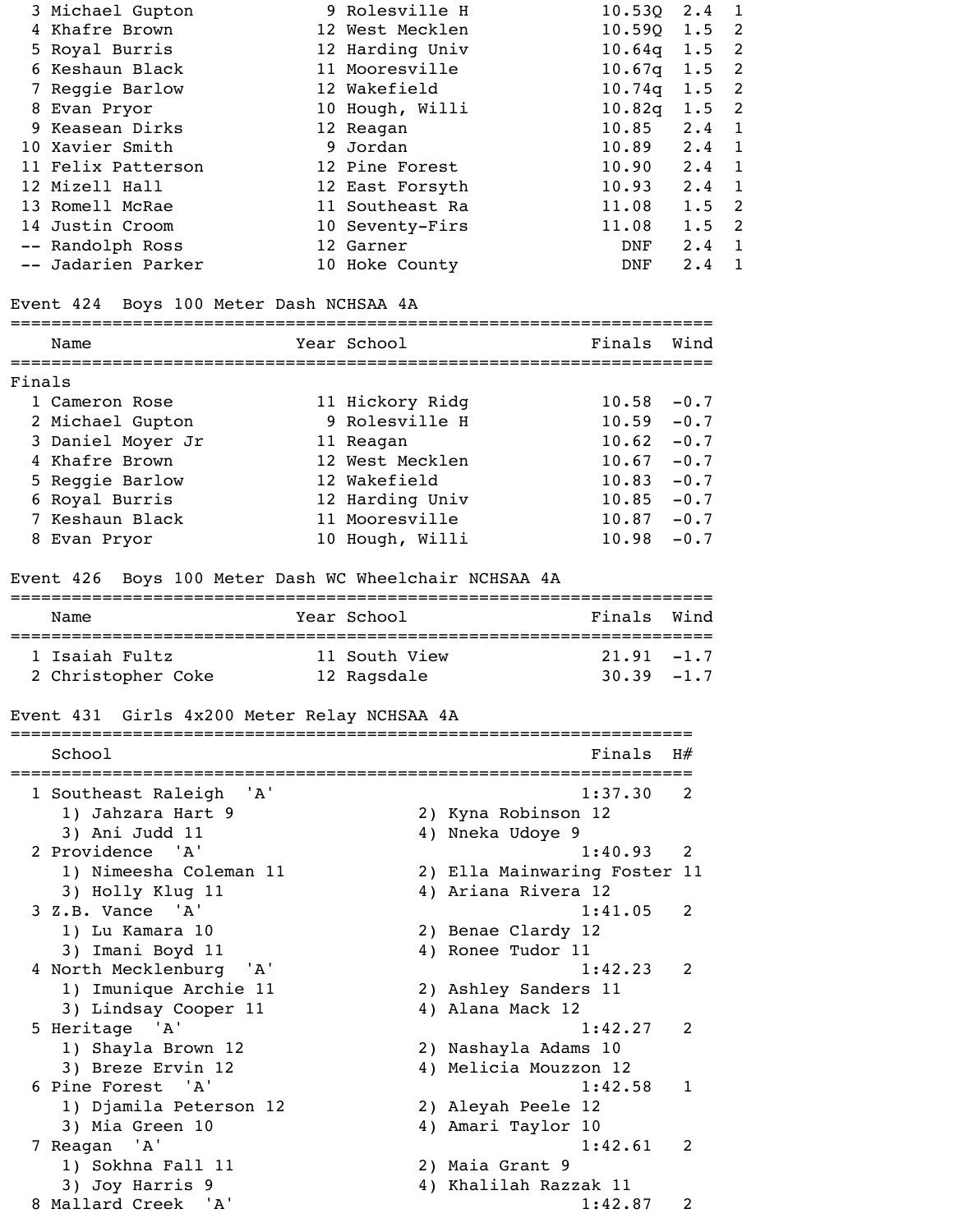| 3 Michael Gupton   | 9 Rolesville H  | $10.530$ $2.4$ |               |                            |
|--------------------|-----------------|----------------|---------------|----------------------------|
| 4 Khafre Brown     | 12 West Mecklen | $10.59Q$ 1.5 2 |               |                            |
| 5 Royal Burris     | 12 Harding Univ | $10.64q$ 1.5 2 |               |                            |
| 6 Keshaun Black    | 11 Mooresville  | 10.67q         | $1.5$ 2       |                            |
| 7 Reggie Barlow    | 12 Wakefield    | 10.74q         | $1.5$ 2       |                            |
| 8 Evan Pryor       | 10 Hough, Willi | $10.82q$ 1.5 2 |               |                            |
| 9 Keasean Dirks    | 12 Reagan       | 10.85          | $2.4 \quad 1$ |                            |
| 10 Xavier Smith    | 9 Jordan        | 10.89          | $2 \cdot 4$   | $\overline{1}$             |
| 11 Felix Patterson | 12 Pine Forest  | 10.90          | $2.4 \quad 1$ |                            |
| 12 Mizell Hall     | 12 East Forsyth | 10.93          | $2 \cdot 4$   | $\overline{1}$             |
| 13 Romell McRae    | 11 Southeast Ra | 11.08          | 1.5           | $\overline{\phantom{0}}^2$ |
| 14 Justin Croom    | 10 Seventy-Firs | 11.08          | $1.5 \quad 2$ |                            |
| -- Randolph Ross   | 12 Garner       | DNF            | $2 \cdot 4$   | $\mathbf{1}$               |
| -- Jadarien Parker | 10 Hoke County  | DNF            | $2 \cdot 4$   | 1                          |
|                    |                 |                |               |                            |

# Event 424 Boys 100 Meter Dash NCHSAA 4A

|        | Name              | Year School     | Finals | Wind   |
|--------|-------------------|-----------------|--------|--------|
| Finals |                   |                 |        |        |
|        | 1 Cameron Rose    | 11 Hickory Ridg | 10.58  | $-0.7$ |
|        | 2 Michael Gupton  | 9 Rolesville H  | 10.59  | $-0.7$ |
|        | 3 Daniel Moyer Jr | 11 Reagan       | 10.62  | $-0.7$ |
|        | 4 Khafre Brown    | 12 West Mecklen | 10.67  | $-0.7$ |
|        | 5 Reggie Barlow   | 12 Wakefield    | 10.83  | $-0.7$ |
|        | 6 Royal Burris    | 12 Harding Univ | 10.85  | $-0.7$ |
|        | 7 Keshaun Black   | 11 Mooresville  | 10.87  | $-0.7$ |
|        | 8 Evan Pryor      | 10 Hough, Willi | 10.98  | $-0.7$ |

# Event 426 Boys 100 Meter Dash WC Wheelchair NCHSAA 4A

| Name               | Year School   | Finals Wind   |
|--------------------|---------------|---------------|
| 1 Isaiah Fultz     | 11 South View | $21.91 - 1.7$ |
| 2 Christopher Coke | 12 Ragsdale   | $30.39 - 1.7$ |

### Event 431 Girls 4x200 Meter Relay NCHSAA 4A

| School                  |     | Finals                       | H#             |  |
|-------------------------|-----|------------------------------|----------------|--|
| 1 Southeast Raleigh     | 'A' | 1:37.30                      | 2              |  |
| 1) Jahzara Hart 9       |     | 2) Kyna Robinson 12          |                |  |
| 3) Ani Judd 11          |     | 4) Nneka Udoye 9             |                |  |
| 2 Providence 'A'        |     | 1:40.93                      | 2              |  |
| 1) Nimeesha Coleman 11  |     | 2) Ella Mainwaring Foster 11 |                |  |
| 3) Holly Klug 11        |     | 4) Ariana Rivera 12          |                |  |
| $3 Z.B.$ Vance $'A'$    |     | 1:41.05                      | $\overline{2}$ |  |
| 1) Lu Kamara 10         |     | 2) Benae Clardy 12           |                |  |
| 3) Imani Boyd 11        |     | 4) Ronee Tudor 11            |                |  |
| 4 North Mecklenburg 'A' |     | 1:42.23                      | 2              |  |
| 1) Imunique Archie 11   |     | 2) Ashley Sanders 11         |                |  |
| 3) Lindsay Cooper 11    |     | 4) Alana Mack 12             |                |  |
| 5 Heritage 'A'          |     | 1:42.27                      | 2              |  |
| 1) Shayla Brown 12      |     | 2) Nashayla Adams 10         |                |  |
| 3) Breze Ervin 12       |     | 4) Melicia Mouzzon 12        |                |  |
| 6 Pine Forest 'A'       |     | 1:42.58                      | 1              |  |
| 1) Djamila Peterson 12  |     | 2) Aleyah Peele 12           |                |  |
| 3) Mia Green 10         |     | 4) Amari Taylor 10           |                |  |
| 7 Reagan 'A'            |     | 1:42.61                      | 2              |  |
| 1) Sokhna Fall 11       |     | 2) Maia Grant 9              |                |  |
| 3) Joy Harris 9         | 4)  | Khalilah Razzak 11           |                |  |
| 8 Mallard Creek 'A'     |     | 1:42.87                      | 2              |  |
|                         |     |                              |                |  |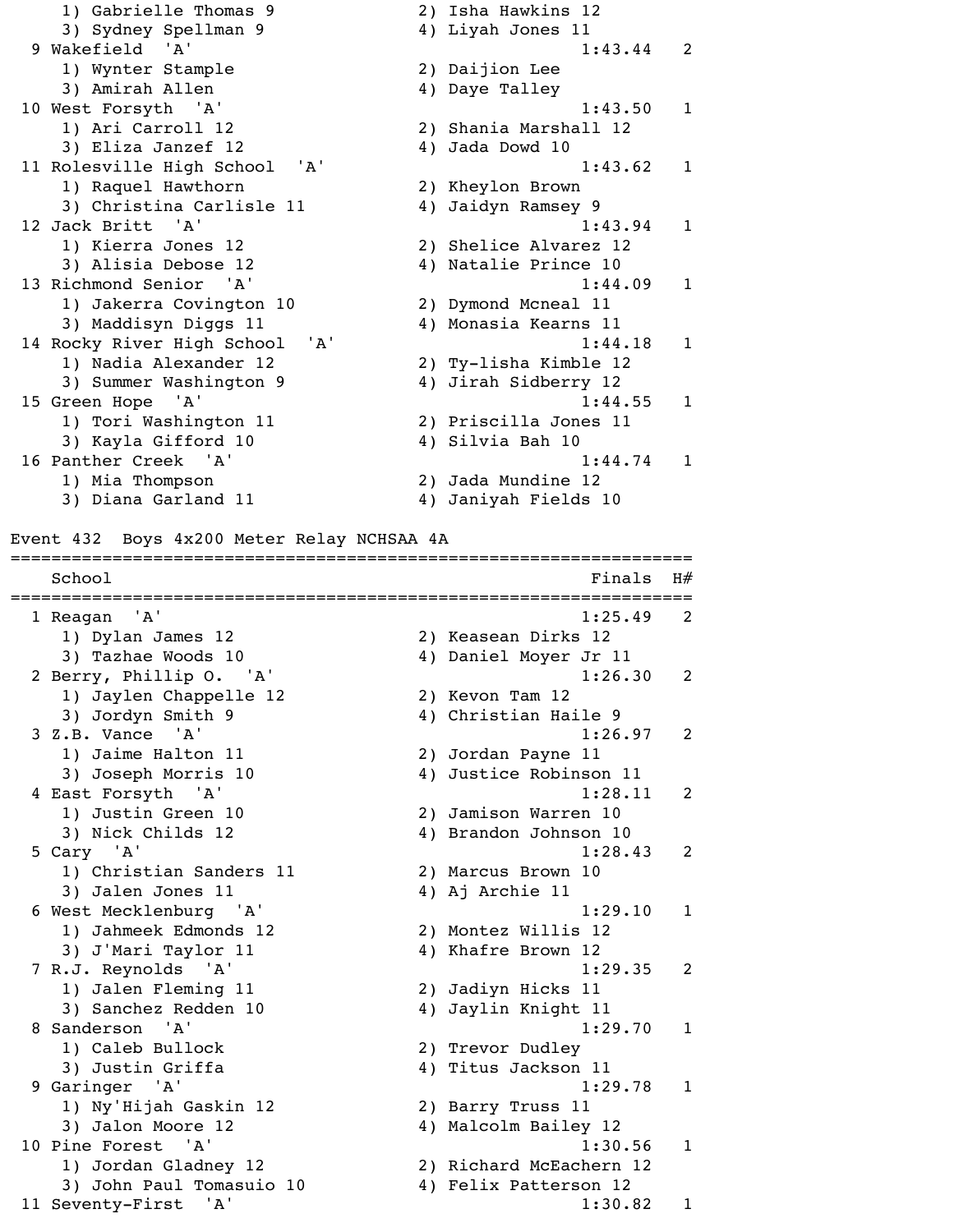1) Gabrielle Thomas 9 2) Isha Hawkins 12 3) Sydney Spellman 9 4) Liyah Jones 11 9 Wakefield 'A' 1:43.44 2 1) Wynter Stample 2) Daijion Lee 3) Amirah Allen 4) Daye Talley 10 West Forsyth 'A' 1:43.50 1 1) Ari Carroll 12 2) Shania Marshall 12 3) Eliza Janzef 12 4) Jada Dowd 10 11 Rolesville High School 'A' 1:43.62 1 1) Raquel Hawthorn 2) Kheylon Brown 3) Christina Carlisle 11 4) Jaidyn Ramsey 9 12 Jack Britt 'A' 1:43.94 1 1) Kierra Jones 12 2) Shelice Alvarez 12 3) Alisia Debose 12 (4) Natalie Prince 10 13 Richmond Senior 'A' 1:44.09 1 1) Jakerra Covington 10 2) Dymond Mcneal 11 3) Maddisyn Diggs 11 4) Monasia Kearns 11 14 Rocky River High School 'A' 1:44.18 1 1) Nadia Alexander 12 2) Ty-lisha Kimble 12 3) Summer Washington 9 4) Jirah Sidberry 12 15 Green Hope 'A' 1:44.55 1 1) Tori Washington 11 2) Priscilla Jones 11 3) Kayla Gifford 10 4) Silvia Bah 10 16 Panther Creek 'A' 1:44.74 1 1) Mia Thompson 2) Jada Mundine 12 3) Diana Garland 11 4) Janiyah Fields 10 Event 432 Boys 4x200 Meter Relay NCHSAA 4A

===================================================================

 $School$   $H#$ =================================================================== 1 Reagan 'A' 1:25.49 2 1) Dylan James 12 2) Keasean Dirks 12 3) Tazhae Woods 10 4) Daniel Moyer Jr 11 2 Berry, Phillip O. 'A' 1:26.30 2 1) Jaylen Chappelle 12 2) Kevon Tam 12 3) Jordyn Smith 9 4) Christian Haile 9 3 Z.B. Vance 'A' 1:26.97 2 1) Jaime Halton 11 2) Jordan Payne 11 3) Joseph Morris 10 4) Justice Robinson 11 4 East Forsyth 'A' 1:28.11 2 1) Justin Green 10 2) Jamison Warren 10 3) Nick Childs 12 4) Brandon Johnson 10 5 Cary 'A' 1:28.43 2 1) Christian Sanders 11 2) Marcus Brown 10 3) Jalen Jones 11 4) Aj Archie 11 6 West Mecklenburg 'A' 1:29.10 1 1) Jahmeek Edmonds 12 2) Montez Willis 12 3) J'Mari Taylor 11 4) Khafre Brown 12 7 R.J. Reynolds 'A' 1:29.35 2 1) Jalen Fleming 11 2) Jadiyn Hicks 11 3) Sanchez Redden 10 4) Jaylin Knight 11 8 Sanderson 'A' 1:29.70 1 1) Caleb Bullock 2) Trevor Dudley 3) Justin Griffa (4) Titus Jackson 11 9 Garinger 'A' 1:29.78 1 1) Ny'Hijah Gaskin 12 2) Barry Truss 11 3) Jalon Moore 12 4) Malcolm Bailey 12 10 Pine Forest 'A' 1:30.56 1 1) Jordan Gladney 12 2) Richard McEachern 12 3) John Paul Tomasuio 10 (4) Felix Patterson 12 11 Seventy-First 'A' 1:30.82 1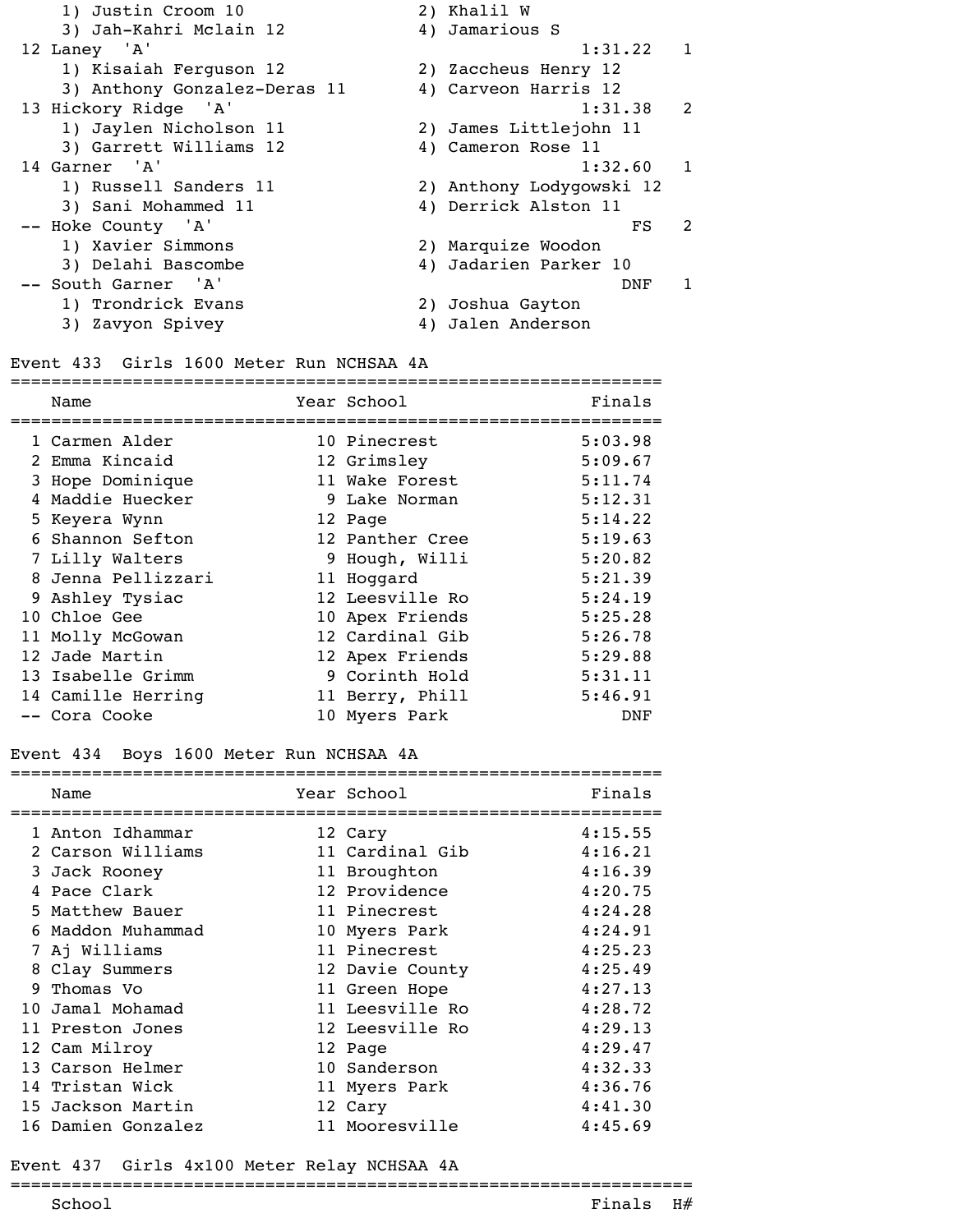| 1) Justin Croom 10           |    | 2) Khalil W              |                |
|------------------------------|----|--------------------------|----------------|
| 3) Jah-Kahri Mclain 12       |    | 4) Jamarious S           |                |
| 12 Laney 'A'                 |    | 1:31.22 1                |                |
| 1) Kisaiah Ferguson 12       |    | 2) Zaccheus Henry 12     |                |
| 3) Anthony Gonzalez-Deras 11 |    | 4) Carveon Harris 12     |                |
| 13 Hickory Ridge 'A'         |    | $1:31.38$ 2              |                |
| 1) Jaylen Nicholson 11       |    | 2) James Littlejohn 11   |                |
| 3) Garrett Williams 12       |    | 4) Cameron Rose 11       |                |
| 14 Garner 'A'                |    | 1:32.60                  |                |
| 1) Russell Sanders 11        |    | 2) Anthony Lodygowski 12 |                |
| 3) Sani Mohammed 11          |    | 4) Derrick Alston 11     |                |
| -- Hoke County 'A'           |    | FS                       | $\mathfrak{D}$ |
| 1) Xavier Simmons            |    | 2) Marquize Woodon       |                |
| 3) Delahi Bascombe           |    | 4) Jadarien Parker 10    |                |
| -- South Garner 'A'          |    | DNF                      |                |
| 1) Trondrick Evans           |    | 2) Joshua Gayton         |                |
| 3) Zavyon Spivey             | 4) | Jalen Anderson           |                |
|                              |    |                          |                |

### Event 433 Girls 1600 Meter Run NCHSAA 4A

| Name               | Year School     | Finals  |
|--------------------|-----------------|---------|
| 1 Carmen Alder     | 10 Pinecrest    | 5:03.98 |
| 2 Emma Kincaid     | 12 Grimsley     | 5:09.67 |
| 3 Hope Dominique   | 11 Wake Forest  | 5:11.74 |
| 4 Maddie Huecker   | 9 Lake Norman   | 5:12.31 |
| 5 Keyera Wynn      | 12 Page         | 5:14.22 |
| 6 Shannon Sefton   | 12 Panther Cree | 5:19.63 |
| 7 Lilly Walters    | 9 Hough, Willi  | 5:20.82 |
| 8 Jenna Pellizzari | 11 Hoggard      | 5:21.39 |
| 9 Ashley Tysiac    | 12 Leesville Ro | 5:24.19 |
| 10 Chloe Gee       | 10 Apex Friends | 5:25.28 |
| 11 Molly McGowan   | 12 Cardinal Gib | 5:26.78 |
| 12 Jade Martin     | 12 Apex Friends | 5:29.88 |
| 13 Isabelle Grimm  | 9 Corinth Hold  | 5:31.11 |
| 14 Camille Herring | 11 Berry, Phill | 5:46.91 |
| -- Cora Cooke      | 10 Myers Park   | DNF     |

# Event 434 Boys 1600 Meter Run NCHSAA 4A

| Name               | Year School     | Finals  |
|--------------------|-----------------|---------|
| 1 Anton Idhammar   | 12 Cary         | 4:15.55 |
| 2 Carson Williams  | 11 Cardinal Gib | 4:16.21 |
| 3 Jack Rooney      | 11 Broughton    | 4:16.39 |
| 4 Pace Clark       | 12 Providence   | 4:20.75 |
| 5 Matthew Bauer    | 11 Pinecrest    | 4:24.28 |
| Maddon Muhammad    | 10 Myers Park   | 4:24.91 |
| 7 Aj Williams      | 11 Pinecrest    | 4:25.23 |
| 8 Clay Summers     | 12 Davie County | 4:25.49 |
| 9 Thomas Vo        | 11 Green Hope   | 4:27.13 |
| 10 Jamal Mohamad   | 11 Leesville Ro | 4:28.72 |
| 11 Preston Jones   | 12 Leesville Ro | 4:29.13 |
| 12 Cam Milroy      | 12 Page         | 4:29.47 |
| 13 Carson Helmer   | 10 Sanderson    | 4:32.33 |
| 14 Tristan Wick    | 11 Myers Park   | 4:36.76 |
| 15 Jackson Martin  | 12 Cary         | 4:41.30 |
| 16 Damien Gonzalez | 11 Mooresville  | 4:45.69 |
|                    |                 |         |

### Event 437 Girls 4x100 Meter Relay NCHSAA 4A

### =================================================================== School  $F$ inals  $H$ #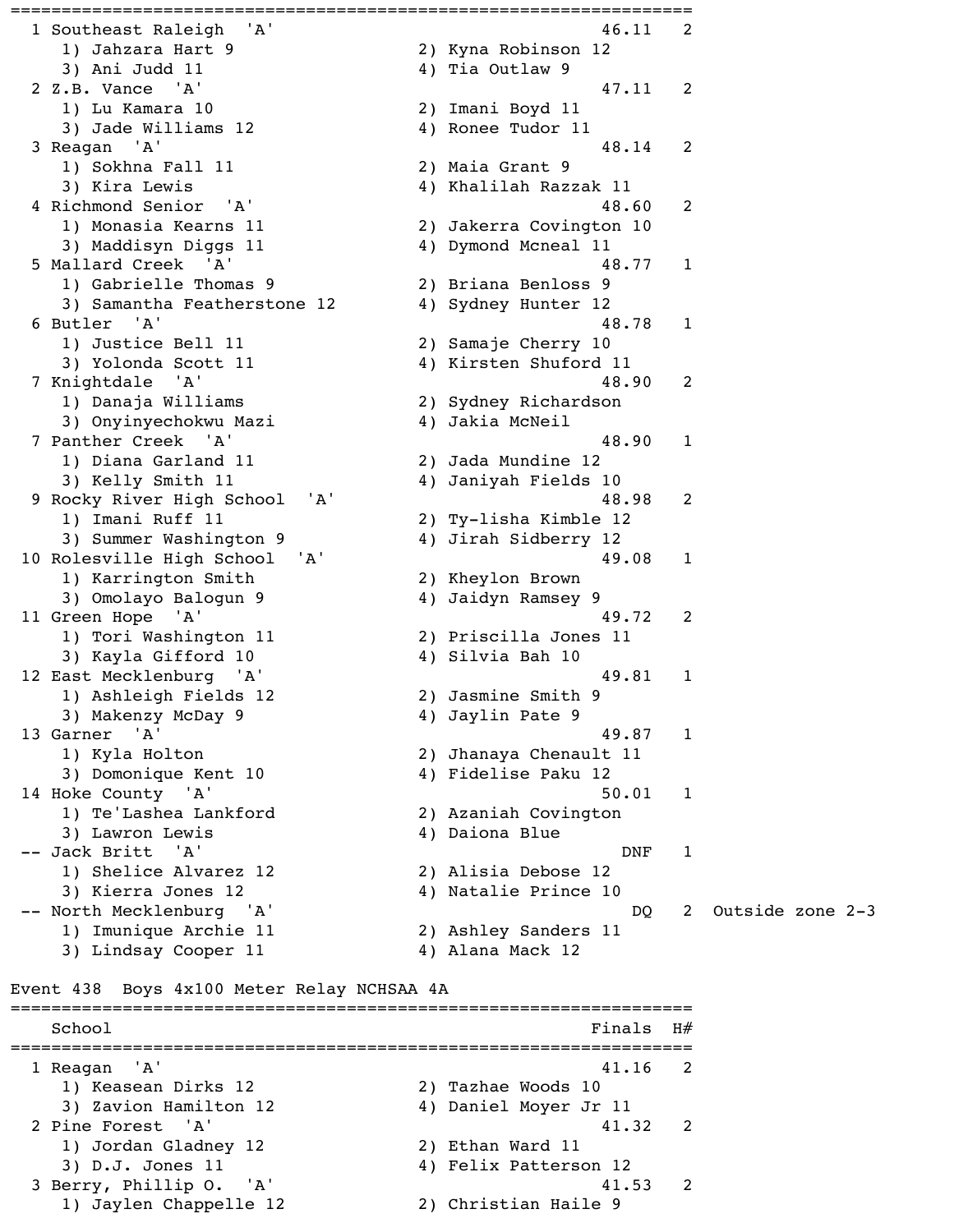=================================================================== 1 Southeast Raleigh 'A' 1997 1998 120 12 1) Jahzara Hart 9 2) Kyna Robinson 12 3) Ani Judd 11 4) Tia Outlaw 9 2 Z.B. Vance 'A' 47.11 2 1) Lu Kamara 10 2) Imani Boyd 11 3) Jade Williams 12 4) Ronee Tudor 11 3 Reagan 'A' 48.14 2 1) Sokhna Fall 11 2) Maia Grant 9 3) Kira Lewis 4) Khalilah Razzak 11 4 Richmond Senior 'A' 48.60 2 1) Monasia Kearns 11 2) Jakerra Covington 10 3) Maddisyn Diggs 11 4) Dymond Mcneal 11 5 Mallard Creek 'A' 48.77 1 1) Gabrielle Thomas 9 2) Briana Benloss 9 3) Samantha Featherstone 12 4) Sydney Hunter 12 6 Butler 'A' 48.78 1 1) Justice Bell 11 2) Samaje Cherry 10 3) Yolonda Scott 11 4) Kirsten Shuford 11 7 Knightdale 'A' 48.90 2 1) Danaja Williams 2) Sydney Richardson 3) Onyinyechokwu Mazi 4) Jakia McNeil 7 Panther Creek 'A' 48.90 1 1) Diana Garland 11 2) Jada Mundine 12 3) Kelly Smith 11 4) Janiyah Fields 10 9 Rocky River High School 'A' 48.98 2 1) Imani Ruff 11 2) Ty-lisha Kimble 12 3) Summer Washington 9 4) Jirah Sidberry 12 10 Rolesville High School 'A' 49.08 1 1) Karrington Smith 2) Kheylon Brown 3) Omolayo Balogun 9 4) Jaidyn Ramsey 9 11 Green Hope 'A' 49.72 2 1) Tori Washington 11 2) Priscilla Jones 11 3) Kayla Gifford 10 4) Silvia Bah 10 12 East Mecklenburg 'A' 49.81 1 1) Ashleigh Fields 12 2) Jasmine Smith 9 3) Makenzy McDay 9 4) Jaylin Pate 9 13 Garner 'A' 49.87 1 1) Kyla Holton 2) Jhanaya Chenault 11 3) Domonique Kent 10 4) Fidelise Paku 12 14 Hoke County 'A' 50.01 1 1) Te'Lashea Lankford 2) Azaniah Covington 3) Lawron Lewis (4) Daiona Blue -- Jack Britt 'A' DNF 1 1) Shelice Alvarez 12 2) Alisia Debose 12 3) Kierra Jones 12 4) Natalie Prince 10 1) Imunique Archie 11 2) Ashley Sanders 11

 -- North Mecklenburg 'A' DQ 2 Outside zone 2-3 3) Lindsay Cooper 11 4) Alana Mack 12

#### Event 438 Boys 4x100 Meter Relay NCHSAA 4A

===================================================================  $School$   $Finals$   $H#$ =================================================================== 1 Reagan 'A' 41.16 2 1) Keasean Dirks 12 2) Tazhae Woods 10 3) Zavion Hamilton 12 4) Daniel Moyer Jr 11 2 Pine Forest 'A' 41.32 2 1) Jordan Gladney 12 2) Ethan Ward 11 3) D.J. Jones 11 4) Felix Patterson 12 3 Berry, Phillip O. 'A' 41.53 2 1) Jaylen Chappelle 12 2) Christian Haile 9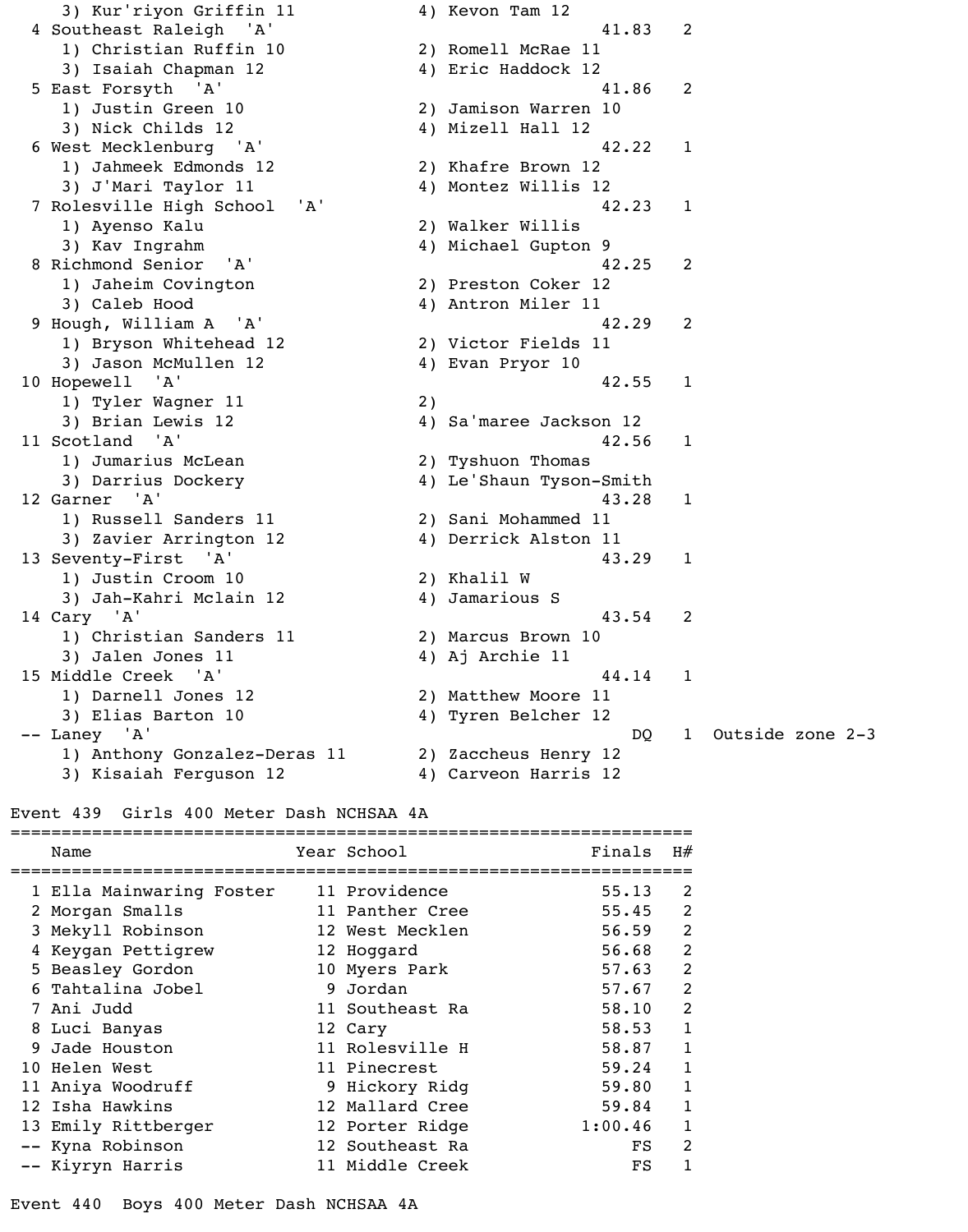3) Kur'riyon Griffin 11 4) Kevon Tam 12 4 Southeast Raleigh 'A' 41.83 2 1) Christian Ruffin 10 2) Romell McRae 11 3) Isaiah Chapman 12 4) Eric Haddock 12 5 East Forsyth 'A' 41.86 2 1) Justin Green 10 2) Jamison Warren 10 3) Nick Childs 12 4) Mizell Hall 12 6 West Mecklenburg 'A' 42.22 1 1) Jahmeek Edmonds 12 2) Khafre Brown 12 3) J'Mari Taylor 11 4) Montez Willis 12 7 Rolesville High School 'A' 42.23 1 1) Ayenso Kalu 2) Walker Willis 3) Kav Ingrahm 4) Michael Gupton 9 8 Richmond Senior 'A' 42.25 2 1) Jaheim Covington 2) Preston Coker 12 3) Caleb Hood 4) Antron Miler 11 9 Hough, William A 'A' 42.29 2 1) Bryson Whitehead 12 2) Victor Fields 11 3) Jason McMullen 12 4) Evan Pryor 10 10 Hopewell 'A' 42.55 1 1) Tyler Wagner 11 2) 3) Brian Lewis 12 4) Sa'maree Jackson 12 11 Scotland 'A' 42.56 1 1) Jumarius McLean 2) Tyshuon Thomas 3) Darrius Dockery 1988 (4) Le'Shaun Tyson-Smith 12 Garner 'A' 43.28 1 1) Russell Sanders 11 2) Sani Mohammed 11 3) Zavier Arrington 12 4) Derrick Alston 11 13 Seventy-First 'A' 43.29 1 1) Justin Croom 10 2) Khalil W 3) Jah-Kahri Mclain 12 4) Jamarious S 14 Cary 'A' 43.54 2 1) Christian Sanders 11 2) Marcus Brown 10 3) Jalen Jones 11 (4) Aj Archie 11 15 Middle Creek 'A' 44.14 1 1) Darnell Jones 12 2) Matthew Moore 11 3) Elias Barton 10 4) Tyren Belcher 12 1) Anthony Gonzalez-Deras 11 2) Zaccheus Henry 12 3) Kisaiah Ferguson 12 4) Carveon Harris 12

-- Laney 'A' DQ 1 Outside zone 2-3

Event 439 Girls 400 Meter Dash NCHSAA 4A

| Name                     | Year School     | Finals  | H#             |
|--------------------------|-----------------|---------|----------------|
| 1 Ella Mainwaring Foster | 11 Providence   | 55.13   | 2              |
| 2 Morgan Smalls          | 11 Panther Cree | 55.45   | 2              |
| 3 Mekyll Robinson        | 12 West Mecklen | 56.59   | $\overline{2}$ |
| Keygan Pettigrew         | 12 Hoggard      | 56.68   | $\overline{2}$ |
| 5 Beasley Gordon         | 10 Myers Park   | 57.63   | $\overline{2}$ |
| 6 Tahtalina Jobel        | 9 Jordan        | 57.67   | 2              |
| 7 Ani Judd               | 11 Southeast Ra | 58.10   | 2              |
| 8 Luci Banyas            | 12 Cary         | 58.53   |                |
| 9 Jade Houston           | 11 Rolesville H | 58.87   |                |
| 10 Helen West            | 11 Pinecrest    | 59.24   |                |
| 11 Aniya Woodruff        | 9 Hickory Ridg  | 59.80   |                |
| 12 Isha Hawkins          | 12 Mallard Cree | 59.84   |                |
| 13 Emily Rittberger      | 12 Porter Ridge | 1:00.46 |                |
| -- Kyna Robinson         | 12 Southeast Ra | FS.     | 2              |
| -- Kiyryn Harris         | 11 Middle Creek | FS      |                |

Event 440 Boys 400 Meter Dash NCHSAA 4A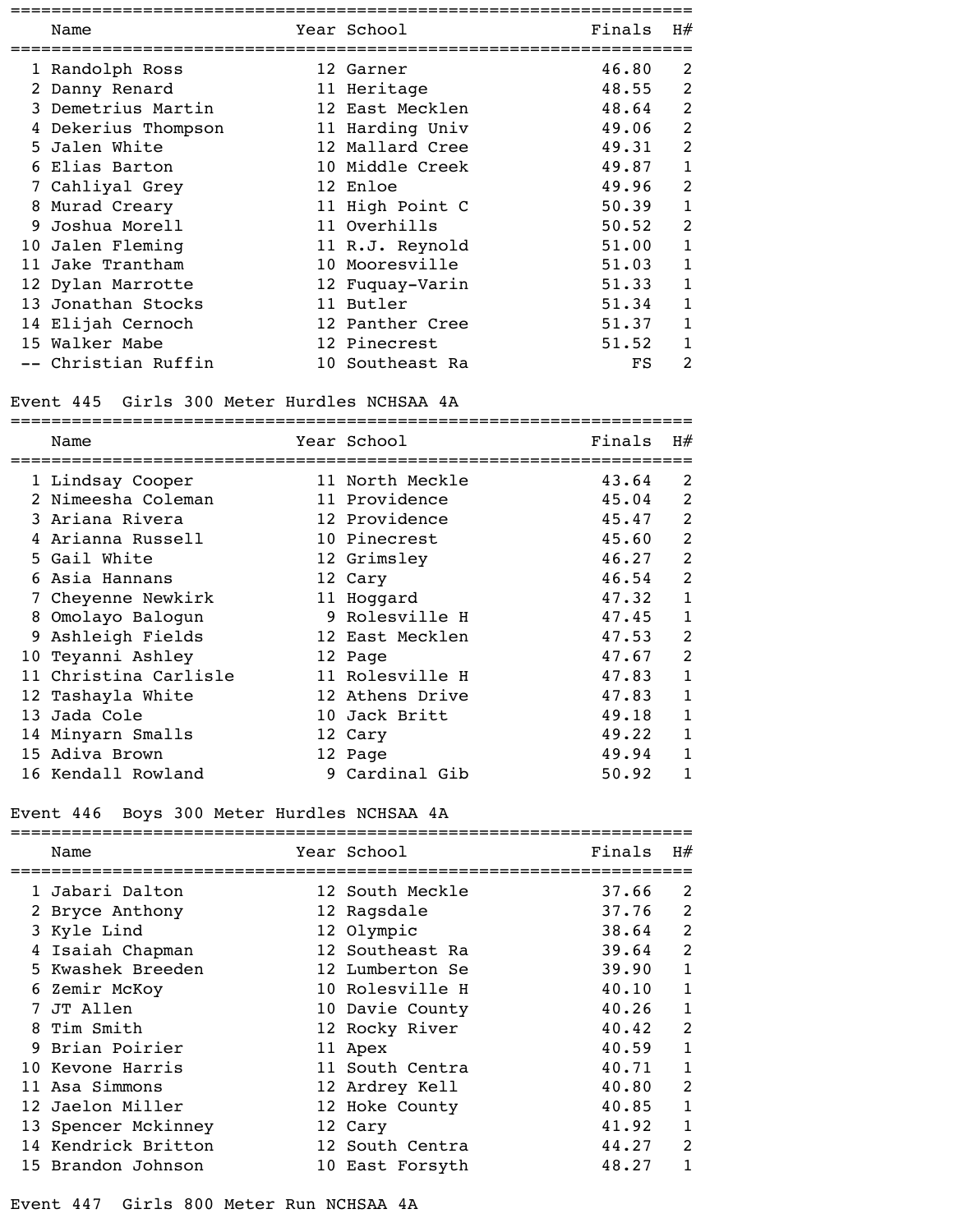|    | Name                | Year School     | Finals | H# |
|----|---------------------|-----------------|--------|----|
|    |                     |                 |        |    |
|    | 1 Randolph Ross     | 12 Garner       | 46.80  | 2  |
|    | 2 Danny Renard      | 11 Heritage     | 48.55  | 2  |
|    | 3 Demetrius Martin  | 12 East Mecklen | 48.64  | 2  |
|    | Dekerius Thompson   | 11 Harding Univ | 49.06  | 2  |
|    | 5 Jalen White       | 12 Mallard Cree | 49.31  | 2  |
|    | Elias Barton        | 10 Middle Creek | 49.87  |    |
|    | 7 Cahliyal Grey     | 12 Enloe        | 49.96  | 2  |
| 8  | Murad Creary        | 11 High Point C | 50.39  |    |
| 9  | Joshua Morell       | 11 Overhills    | 50.52  | 2  |
|    | 10 Jalen Fleming    | 11 R.J. Reynold | 51.00  | 1  |
| 11 | Jake Trantham       | 10 Mooresville  | 51.03  | 1  |
|    | 12 Dylan Marrotte   | 12 Fuquay-Varin | 51.33  |    |
|    | 13 Jonathan Stocks  | 11 Butler       | 51.34  |    |
|    | 14 Elijah Cernoch   | 12 Panther Cree | 51.37  |    |
|    | 15 Walker Mabe      | 12 Pinecrest    | 51.52  |    |
|    | -- Christian Ruffin | 10 Southeast Ra | FS     | 2  |

# Event 445 Girls 300 Meter Hurdles NCHSAA 4A

|    | Name                  | Year School     | Finals | H#             |
|----|-----------------------|-----------------|--------|----------------|
|    | 1 Lindsay Cooper      | 11 North Meckle | 43.64  | 2              |
|    | 2 Nimeesha Coleman    | 11 Providence   | 45.04  | $\overline{2}$ |
|    | 3 Ariana Rivera       | 12 Providence   | 45.47  | $\overline{2}$ |
|    | 4 Arianna Russell     | 10 Pinecrest    | 45.60  | $\overline{2}$ |
|    | 5 Gail White          | 12 Grimsley     | 46.27  | $\overline{2}$ |
|    | Asia Hannans          | 12 Cary         | 46.54  | $\overline{2}$ |
|    | 7 Cheyenne Newkirk    | 11 Hoggard      | 47.32  | $\mathbf{1}$   |
| 8  | Omolayo Balogun       | 9 Rolesville H  | 47.45  | 1              |
| 9  | Ashleigh Fields       | 12 East Mecklen | 47.53  | 2              |
| 10 | Teyanni Ashley        | 12 Page         | 47.67  | $\mathcal{P}$  |
|    | 11 Christina Carlisle | 11 Rolesville H | 47.83  | 1              |
|    | 12 Tashayla White     | 12 Athens Drive | 47.83  | 1              |
|    | 13 Jada Cole          | 10 Jack Britt   | 49.18  | 1              |
|    | 14 Minyarn Smalls     | 12 Cary         | 49.22  |                |
|    | 15 Adiva Brown        | 12 Page         | 49.94  |                |
|    | 16 Kendall Rowland    | 9 Cardinal Gib  | 50.92  |                |

# Event 446 Boys 300 Meter Hurdles NCHSAA 4A

| Name                | Year School     | Finals | H#             |
|---------------------|-----------------|--------|----------------|
| 1 Jabari Dalton     | 12 South Meckle | 37.66  | 2              |
| 2 Bryce Anthony     | 12 Ragsdale     | 37.76  | 2              |
| 3 Kyle Lind         | 12 Olympic      | 38.64  | 2              |
| Isaiah Chapman      | 12 Southeast Ra | 39.64  | $\overline{2}$ |
| 5 Kwashek Breeden   | 12 Lumberton Se | 39.90  |                |
| 6 Zemir McKoy       | 10 Rolesville H | 40.10  |                |
| 7 JT Allen          | 10 Davie County | 40.26  | 1              |
| 8 Tim Smith         | 12 Rocky River  | 40.42  | $\overline{2}$ |
| 9 Brian Poirier     | 11 Apex         | 40.59  |                |
| 10 Kevone Harris    | 11 South Centra | 40.71  |                |
| 11 Asa Simmons      | 12 Ardrey Kell  | 40.80  | $\overline{2}$ |
| 12 Jaelon Miller    | 12 Hoke County  | 40.85  | 1              |
| 13 Spencer Mckinney | 12 Cary         | 41.92  | 1              |
| 14 Kendrick Britton | 12 South Centra | 44.27  | $\overline{2}$ |
| 15 Brandon Johnson  | 10 East Forsyth | 48.27  |                |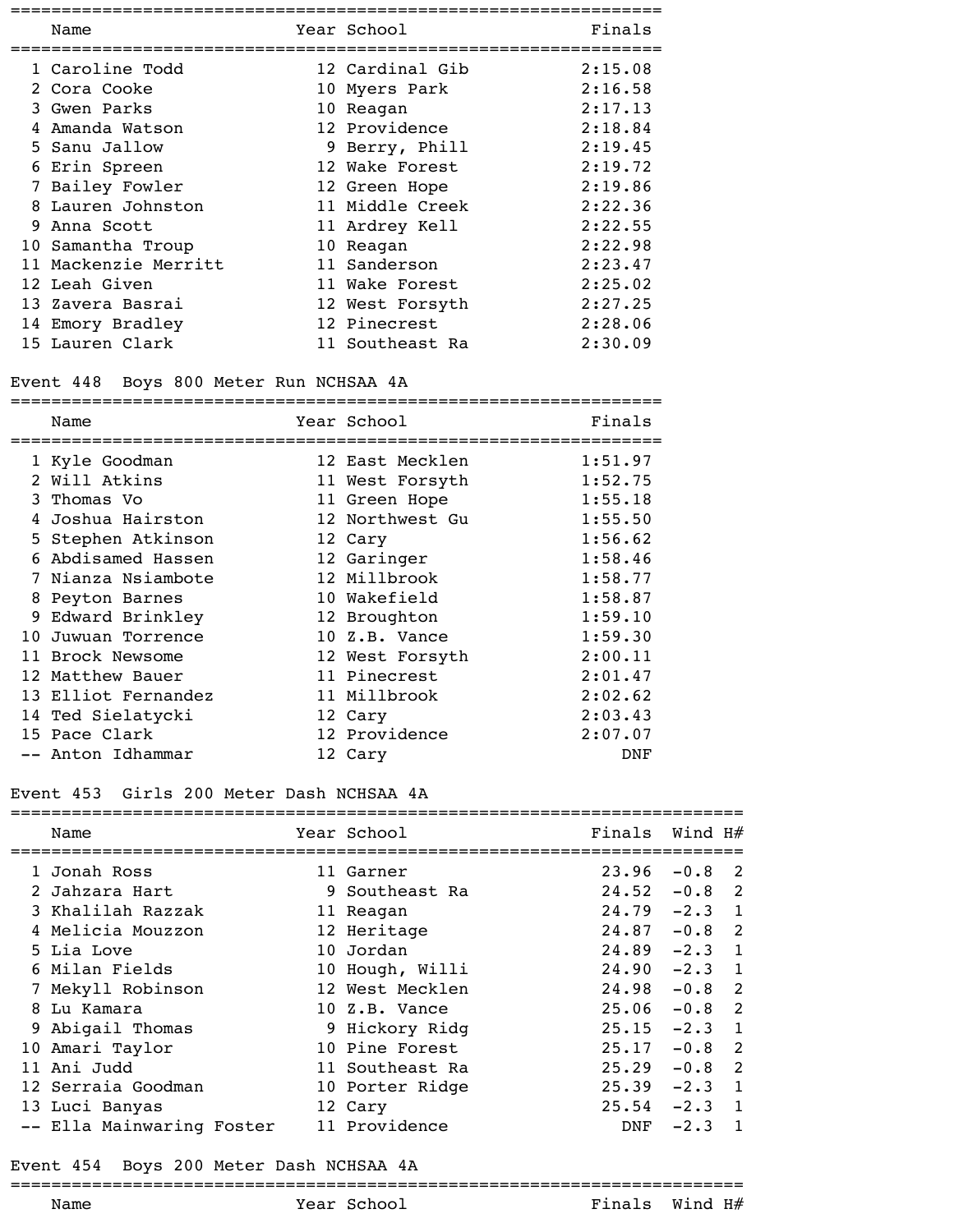|   | Name                 | Year School     | Finals  |
|---|----------------------|-----------------|---------|
|   | 1 Caroline Todd      | 12 Cardinal Gib | 2:15.08 |
|   | 2 Cora Cooke         | 10 Myers Park   | 2:16.58 |
|   | 3 Gwen Parks         | 10 Reagan       | 2:17.13 |
|   | 4 Amanda Watson      | 12 Providence   | 2:18.84 |
|   | 5 Sanu Jallow        | 9 Berry, Phill  | 2:19.45 |
|   | 6 Erin Spreen        | 12 Wake Forest  | 2:19.72 |
|   | 7 Bailey Fowler      | 12 Green Hope   | 2:19.86 |
| 8 | Lauren Johnston      | 11 Middle Creek | 2:22.36 |
|   | 9 Anna Scott         | 11 Ardrey Kell  | 2:22.55 |
|   | 10 Samantha Troup    | 10 Reagan       | 2:22.98 |
|   | 11 Mackenzie Merritt | 11 Sanderson    | 2:23.47 |
|   | 12 Leah Given        | 11 Wake Forest  | 2:25.02 |
|   | 13 Zavera Basrai     | 12 West Forsyth | 2:27.25 |
|   | 14 Emory Bradley     | 12 Pinecrest    | 2:28.06 |
|   | 15 Lauren Clark      | 11 Southeast Ra | 2:30.09 |

### Event 448 Boys 800 Meter Run NCHSAA 4A

|     | Name                 | Year School     | Finals  |
|-----|----------------------|-----------------|---------|
|     | 1 Kyle Goodman       | 12 East Mecklen | 1:51.97 |
| 2   | Will Atkins          | 11 West Forsyth | 1:52.75 |
|     | 3 Thomas Vo          | 11 Green Hope   | 1:55.18 |
| 4   | Joshua Hairston      | 12 Northwest Gu | 1:55.50 |
|     | 5 Stephen Atkinson   | 12 Cary         | 1:56.62 |
| 6   | Abdisamed Hassen     | 12 Garinger     | 1:58.46 |
|     | Nianza Nsiambote     | 12 Millbrook    | 1:58.77 |
|     | 8 Peyton Barnes      | 10 Wakefield    | 1:58.87 |
|     | 9 Edward Brinkley    | 12 Broughton    | 1:59.10 |
| 1 O | Juwuan Torrence      | 10 Z.B. Vance   | 1:59.30 |
| 11  | <b>Brock Newsome</b> | 12 West Forsyth | 2:00.11 |
| 12  | Matthew Bauer        | 11 Pinecrest    | 2:01.47 |
|     | 13 Elliot Fernandez  | 11 Millbrook    | 2:02.62 |
|     | 14 Ted Sielatycki    | 12 Cary         | 2:03.43 |
|     | 15 Pace Clark        | 12 Providence   | 2:07.07 |
|     | -- Anton Idhammar    | 12 Cary         | DNF     |
|     |                      |                 |         |

#### Event 453 Girls 200 Meter Dash NCHSAA 4A

| Name                      | Year School     | Finals | Wind H#  |                            |
|---------------------------|-----------------|--------|----------|----------------------------|
| 1 Jonah Ross              | 11 Garner       | 23.96  | $-0.8$   | $\overline{2}$             |
| 2 Jahzara Hart            | 9 Southeast Ra  | 24.52  | $-0.8$   | 2                          |
| 3 Khalilah Razzak         | 11 Reagan       | 24.79  | $-2.3$ 1 |                            |
| 4 Melicia Mouzzon         | 12 Heritage     | 24.87  | $-0.8$   | $\overline{\phantom{0}}^2$ |
| 5 Lia Love                | 10 Jordan       | 24.89  | $-2.3$   | $\overline{1}$             |
| 6 Milan Fields            | 10 Hough, Willi | 24.90  | $-2.3$   | $\overline{1}$             |
| 7 Mekyll Robinson         | 12 West Mecklen | 24.98  | $-0.8$   | $\overline{\phantom{0}}^2$ |
| 8 Lu Kamara               | $10Z.B.$ Vance  | 25.06  | $-0.8$   | $\overline{\phantom{0}}^2$ |
| 9 Abigail Thomas          | 9 Hickory Ridg  | 25.15  | $-2.3$   | 1                          |
| 10 Amari Taylor           | 10 Pine Forest  | 25.17  | $-0.8$   | $\overline{2}$             |
| 11 Ani Judd               | 11 Southeast Ra | 25.29  | $-0.8$   | $\overline{\phantom{0}}^2$ |
| 12 Serraia Goodman        | 10 Porter Ridge | 25.39  | $-2.3$   | 1                          |
| 13 Luci Banyas            | 12 Cary         | 25.54  | $-2.3$   | $\overline{\phantom{a}}$   |
| -- Ella Mainwaring Foster | 11 Providence   | DNF    | $-2.3$   |                            |

#### Event 454 Boys 200 Meter Dash NCHSAA 4A ========================================================================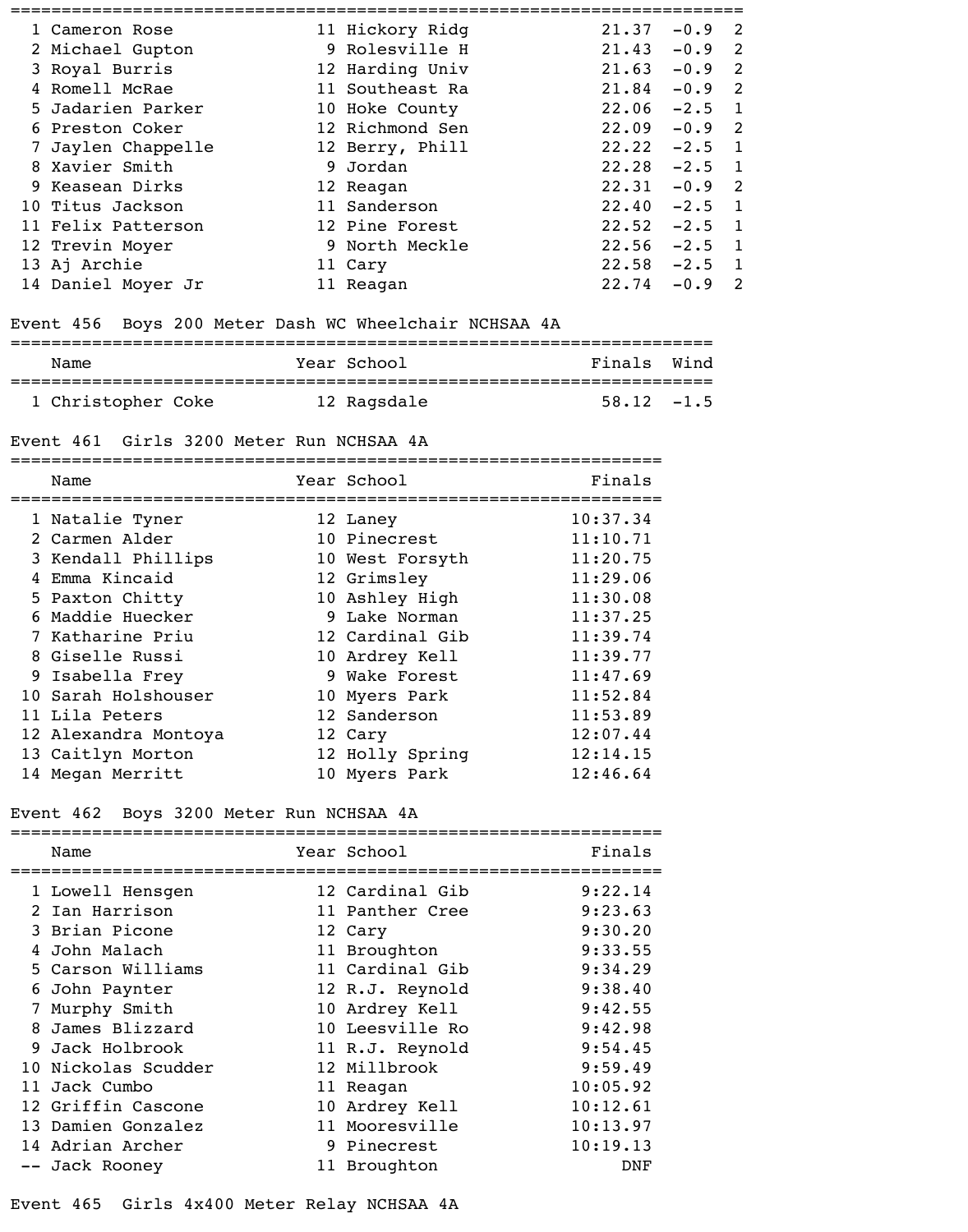| 1 Cameron Rose     | 11 Hickory Ridg | 21.37 | $-0.9$   | <sup>2</sup>               |
|--------------------|-----------------|-------|----------|----------------------------|
| 2 Michael Gupton   | 9 Rolesville H  | 21.43 | $-0.9$   | $\overline{\phantom{0}}^2$ |
| 3 Royal Burris     | 12 Harding Univ | 21.63 | $-0.9$   | $\overline{\phantom{0}}^2$ |
| 4 Romell McRae     | 11 Southeast Ra | 21.84 | $-0.9$ 2 |                            |
| 5 Jadarien Parker  | 10 Hoke County  | 22.06 | $-2.5$   | $\overline{1}$             |
| 6 Preston Coker    | 12 Richmond Sen | 22.09 | $-0.9$ 2 |                            |
| 7 Jaylen Chappelle | 12 Berry, Phill | 22.22 | $-2.5$   | $\overline{1}$             |
| 8 Xavier Smith     | 9 Jordan        | 22.28 | $-2.5$   | $\overline{1}$             |
| 9 Keasean Dirks    | 12 Reagan       | 22.31 | $-0.9$ 2 |                            |
| 10 Titus Jackson   | 11 Sanderson    | 22.40 | $-2.5$   | $\overline{1}$             |
| 11 Felix Patterson | 12 Pine Forest  | 22.52 | $-2.5$   | $\overline{1}$             |
| 12 Trevin Moyer    | 9 North Meckle  | 22.56 | $-2.5$   | $\overline{1}$             |
| 13 Aj Archie       | 11 Cary         | 22.58 | $-2.5$   | $\blacksquare$             |
| 14 Daniel Moyer Jr | 11 Reagan       | 22.74 | $-0.9$   | $\mathcal{L}$              |

### Event 456 Boys 200 Meter Dash WC Wheelchair NCHSAA 4A

| Name               | Year School | Finals Wind   |
|--------------------|-------------|---------------|
| 1 Christopher Coke | 12 Ragsdale | $58.12 - 1.5$ |

### Event 461 Girls 3200 Meter Run NCHSAA 4A

| Name                 | Year School     | Finals   |
|----------------------|-----------------|----------|
| 1 Natalie Tyner      | 12 Laney        | 10:37.34 |
| 2 Carmen Alder       | 10 Pinecrest    | 11:10.71 |
| 3 Kendall Phillips   | 10 West Forsyth | 11:20.75 |
| 4 Emma Kincaid       | 12 Grimsley     | 11:29.06 |
| 5 Paxton Chitty      | 10 Ashley High  | 11:30.08 |
| 6 Maddie Huecker     | 9 Lake Norman   | 11:37.25 |
| 7 Katharine Priu     | 12 Cardinal Gib | 11:39.74 |
| 8 Giselle Russi      | 10 Ardrey Kell  | 11:39.77 |
| 9 Isabella Frey      | 9 Wake Forest   | 11:47.69 |
| 10 Sarah Holshouser  | 10 Myers Park   | 11:52.84 |
| 11 Lila Peters       | 12 Sanderson    | 11:53.89 |
| 12 Alexandra Montoya | 12 Cary         | 12:07.44 |
| 13 Caitlyn Morton    | 12 Holly Spring | 12:14.15 |
| 14 Megan Merritt     | 10 Myers Park   | 12:46.64 |

# Event 462 Boys 3200 Meter Run NCHSAA 4A

| Name                | Year School     | Finals   |
|---------------------|-----------------|----------|
| 1 Lowell Hensgen    | 12 Cardinal Gib | 9:22.14  |
| 2 Ian Harrison      | 11 Panther Cree | 9:23.63  |
| 3 Brian Picone      | 12 Cary         | 9:30.20  |
| 4 John Malach       | 11 Broughton    | 9:33.55  |
| 5 Carson Williams   | 11 Cardinal Gib | 9:34.29  |
| 6 John Paynter      | 12 R.J. Reynold | 9:38.40  |
| 7 Murphy Smith      | 10 Ardrey Kell  | 9:42.55  |
| 8 James Blizzard    | 10 Leesville Ro | 9:42.98  |
| 9 Jack Holbrook     | 11 R.J. Reynold | 9:54.45  |
| 10 Nickolas Scudder | 12 Millbrook    | 9:59.49  |
| 11 Jack Cumbo       | 11 Reagan       | 10:05.92 |
| 12 Griffin Cascone  | 10 Ardrey Kell  | 10:12.61 |
| 13 Damien Gonzalez  | 11 Mooresville  | 10:13.97 |
| 14 Adrian Archer    | 9 Pinecrest     | 10:19.13 |
| -- Jack Rooney      | 11 Broughton    | DNF      |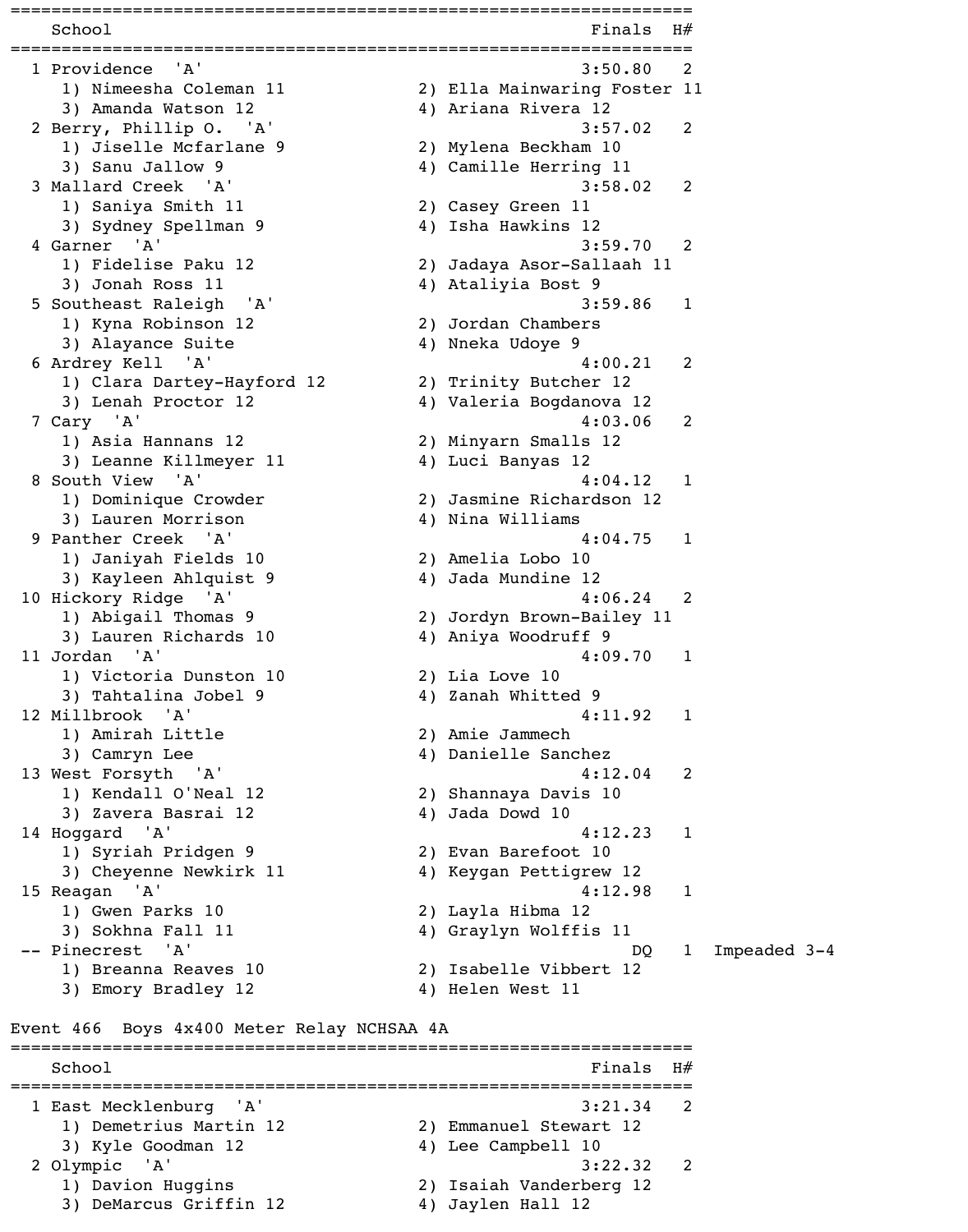===================================================================  $School$   $H#$ =================================================================== 1 Providence 'A' 3:50.80 2 1) Nimeesha Coleman 11 2) Ella Mainwaring Foster 11 3) Amanda Watson 12 4) Ariana Rivera 12 2 Berry, Phillip O. 'A' 3:57.02 2 1) Jiselle Mcfarlane 9 2) Mylena Beckham 10 3) Sanu Jallow 9 4) Camille Herring 11 3 Mallard Creek 'A' 3:58.02 2 1) Saniya Smith 11 2) Casey Green 11 3) Sydney Spellman 9 4) Isha Hawkins 12 4 Garner 'A' 3:59.70 2 1) Fidelise Paku 12 2) Jadaya Asor-Sallaah 11 3) Jonah Ross 11 4) Ataliyia Bost 9 5 Southeast Raleigh 'A' 3:59.86 1 1) Kyna Robinson 12 2) Jordan Chambers 3) Alayance Suite 4) Nneka Udoye 9 6 Ardrey Kell 'A' 4:00.21 2 1) Clara Dartey-Hayford 12 2) Trinity Butcher 12 3) Lenah Proctor 12 (4) Valeria Bogdanova 12 7 Cary 'A' 4:03.06 2 1) Asia Hannans 12 2) Minyarn Smalls 12 3) Leanne Killmeyer 11 (4) Luci Banyas 12 8 South View 'A' 4:04.12 1 1) Dominique Crowder 2) Jasmine Richardson 12 3) Lauren Morrison (4) Nina Williams 9 Panther Creek 'A' 4:04.75 1 1) Janiyah Fields 10 2) Amelia Lobo 10 3) Kayleen Ahlquist 9 4) Jada Mundine 12 10 Hickory Ridge 'A' 4:06.24 2 1) Abigail Thomas 9 2) Jordyn Brown-Bailey 11 3) Lauren Richards 10 (4) Aniya Woodruff 9 11 Jordan 'A' 4:09.70 1 1) Victoria Dunston 10 2) Lia Love 10 3) Tahtalina Jobel 9 4) Zanah Whitted 9 12 Millbrook 'A' 4:11.92 1 1) Amirah Little 2) Amie Jammech 3) Camryn Lee 4) Danielle Sanchez 13 West Forsyth 'A' 4:12.04 2 1) Kendall O'Neal 12 2) Shannaya Davis 10 3) Zavera Basrai 12 4) Jada Dowd 10 14 Hoggard 'A' 4:12.23 1 1) Syriah Pridgen 9 2) Evan Barefoot 10 3) Cheyenne Newkirk 11 4) Keygan Pettigrew 12 15 Reagan 'A' 4:12.98 1 1) Gwen Parks 10 2) Layla Hibma 12 3) Sokhna Fall 11 4) Graylyn Wolffis 11 -- Pinecrest 'A' and a set of the set of the DQ 1 Impeaded 3-4 1) Breanna Reaves 10 2) Isabelle Vibbert 12 3) Emory Bradley 12 4) Helen West 11 Event 466 Boys 4x400 Meter Relay NCHSAA 4A ===================================================================  $School$   $Finals$   $H#$ =================================================================== 1 East Mecklenburg 'A' 3:21.34 2 1) Demetrius Martin 12 2) Emmanuel Stewart 12 3) Kyle Goodman 12 4) Lee Campbell 10 2 Olympic 'A' 3:22.32 2 1) Davion Huggins 2) Isaiah Vanderberg 12 3) DeMarcus Griffin 12 4) Jaylen Hall 12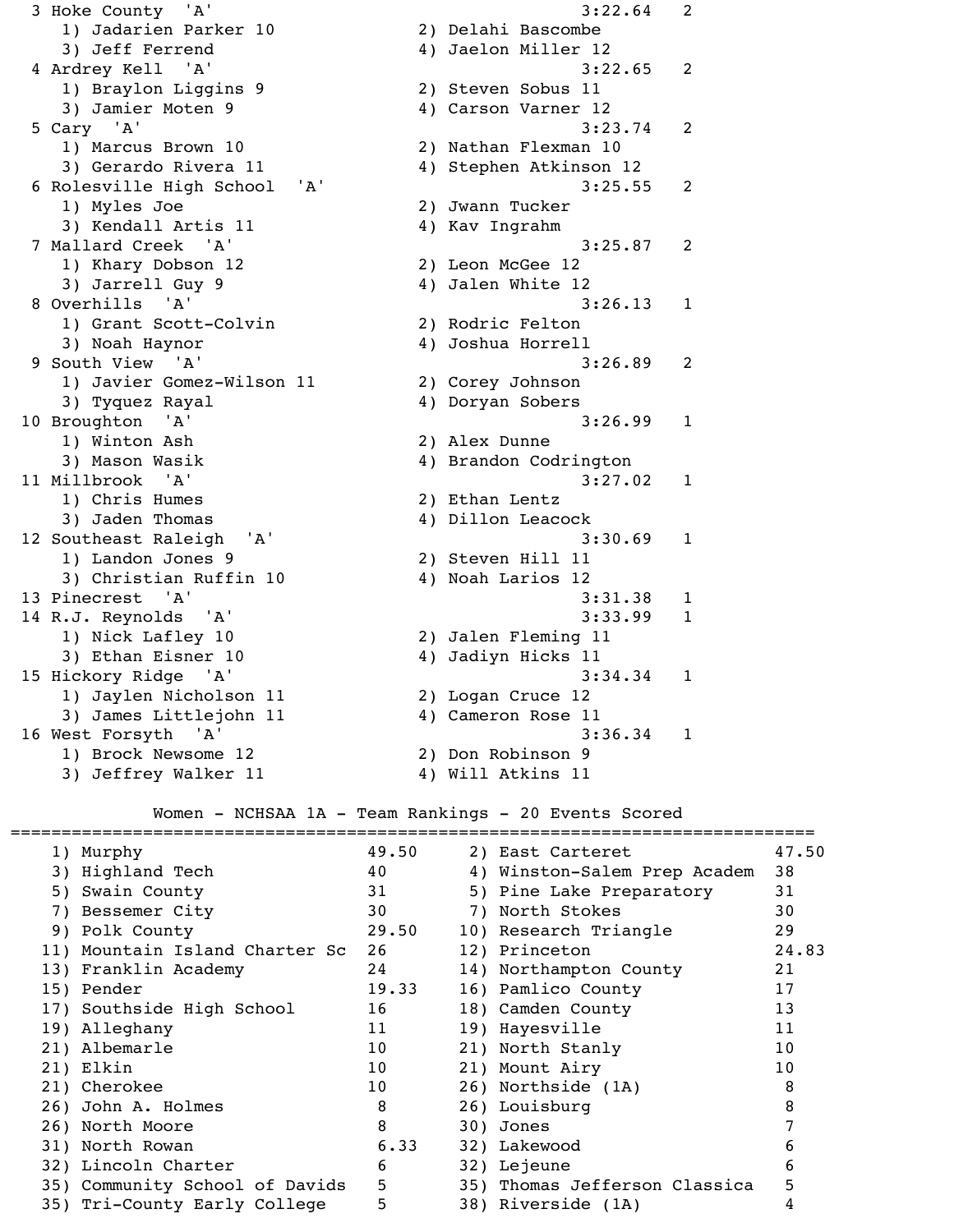1) Jadarien Parker 10 2) Delahi Bascombe 3) Jeff Ferrend 4) Jaelon Miller 12 4 Ardrey Kell 'A' 3:22.65 2 1) Braylon Liggins 9 2) Steven Sobus 11 3) Jamier Moten 9 4) Carson Varner 12 5 Cary 'A' 3:23.74 2 1) Marcus Brown 10 2) Nathan Flexman 10 3) Gerardo Rivera 11 (4) 4) Stephen Atkinson 12 6 Rolesville High School 'A' 3:25.55 2 1) Myles Joe 2) Jwann Tucker 3) Kendall Artis 11 4) Kav Ingrahm 7 Mallard Creek 'A' 3:25.87 2 1) Khary Dobson 12 2) Leon McGee 12 3) Jarrell Guy 9 4) Jalen White 12 8 Overhills 'A' 3:26.13 1 1) Grant Scott-Colvin 2) Rodric Felton 3) Noah Haynor 4) Joshua Horrell 9 South View 'A' 3:26.89 2 1) Javier Gomez-Wilson 11 2) Corey Johnson 3) Tyquez Rayal 4) Doryan Sobers 10 Broughton 'A' 3:26.99 1 1) Winton Ash 2) Alex Dunne 3) Mason Wasik  $4)$  Brandon Codrington 11 Millbrook 'A' 3:27.02 1 1) Chris Humes 2) Ethan Lentz 3) Jaden Thomas (4) Dillon Leacock 12 Southeast Raleigh 'A' 3:30.69 1 1) Landon Jones 9 2) Steven Hill 11 3) Christian Ruffin 10 4) Noah Larios 12 13 Pinecrest 'A' 3:31.38 1 14 R.J. Reynolds 'A' 3:33.99 1 1) Nick Lafley 10 2) Jalen Fleming 11 3) Ethan Eisner 10 4) Jadiyn Hicks 11 15 Hickory Ridge 'A' 3:34.34 1 1) Jaylen Nicholson 11 2) Logan Cruce 12 3) James Littlejohn 11 (4) Cameron Rose 11 16 West Forsyth 'A' 3:36.34 1 1) Brock Newsome 12 2) Don Robinson 9 3) Jeffrey Walker 11 4) Will Atkins 11 ===============================================================================

3 Hoke County 'A' 3:22.64 2

#### Women - NCHSAA 1A - Team Rankings - 20 Events Scored

| 1) Murphy                      | 49.50           | 2) East Carteret              | 47.50           |
|--------------------------------|-----------------|-------------------------------|-----------------|
| 3) Highland Tech               | 40              | 4) Winston-Salem Prep Academ  | 38              |
| 5) Swain County                | 31              | 5) Pine Lake Preparatory      | 31              |
| 7) Bessemer City               | 30              | 7) North Stokes               | 30              |
| 9) Polk County                 | 29.50           | 10) Research Triangle         | 29              |
| 11) Mountain Island Charter Sc | 26              | 12) Princeton                 | 24.83           |
| 13) Franklin Academy           | 24              | 14) Northampton County        | 21              |
| 15) Pender                     | 19.33           | 16) Pamlico County            | 17              |
| 17) Southside High School      | 16              | 18) Camden County             | 13              |
| 19) Alleghany                  | 11              | 19) Hayesville                | 11              |
| 21) Albemarle                  | 10 <sup>°</sup> | 21) North Stanly              | 10 <sup>°</sup> |
| 21) Elkin                      | 10 <sup>°</sup> | 21) Mount Airy                | 10 <sub>o</sub> |
| 21) Cherokee                   | 10 <sup>°</sup> | 26) Northside (1A)            | 8               |
| 26) John A. Holmes             | 8               | 26) Louisburg                 | 8               |
| 26) North Moore                | 8               | 30) Jones                     |                 |
| 31) North Rowan                | 6.33            | 32) Lakewood                  | b               |
| 32) Lincoln Charter            | 6               | 32) Lejeune                   | 6               |
| 35) Community School of Davids | 5               | 35) Thomas Jefferson Classica | 5               |
| 35) Tri-County Early College   | 5               | 38) Riverside (1A)            |                 |
|                                |                 |                               |                 |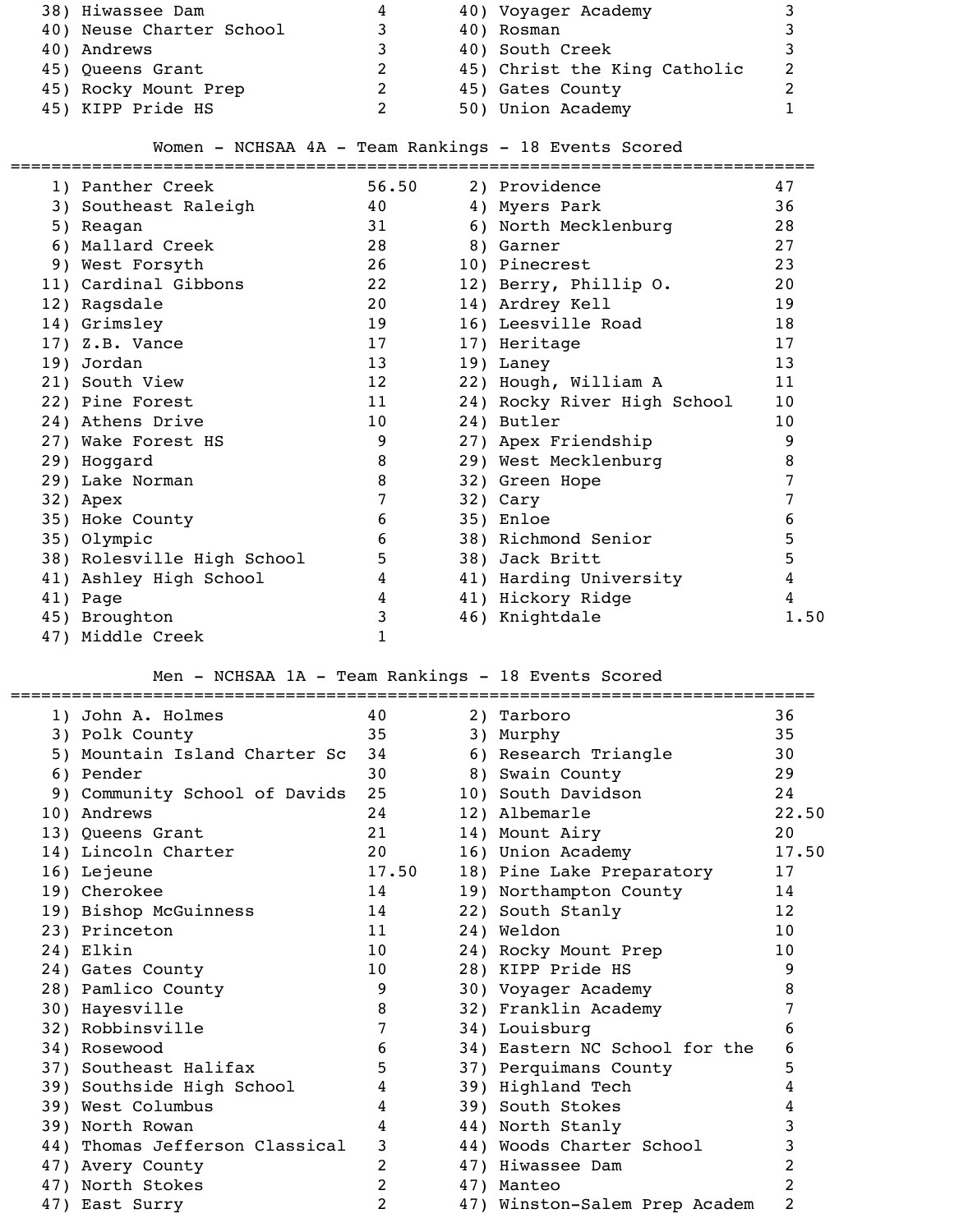| 38) Hiwassee Dam         | 4 | 40) Voyager Academy          |  |
|--------------------------|---|------------------------------|--|
| 40) Neuse Charter School |   | 40) Rosman                   |  |
| 40) Andrews              |   | 40) South Creek              |  |
| 45) Queens Grant         |   | 45) Christ the King Catholic |  |
| 45) Rocky Mount Prep     |   | 45) Gates County             |  |
| 45) KIPP Pride HS        |   | 50) Union Academy            |  |

# Women - NCHSAA 4A - Team Rankings - 18 Events Scored

| 1) Panther Creek           | 56.50 | 2) Providence               | 47              |
|----------------------------|-------|-----------------------------|-----------------|
| 3) Southeast Raleigh       | 40    | 4) Myers Park               | 36              |
| 5) Reagan                  | 31    | 6) North Mecklenburg        | 28              |
| 6) Mallard Creek           | 28    | 8) Garner                   | 27              |
| 9) West Forsyth            | 26    | 10) Pinecrest               | 23              |
| 11) Cardinal Gibbons       | 22    | 12) Berry, Phillip O.       | 20              |
| 12) Ragsdale               | 20    | 14) Ardrey Kell             | 19              |
| 14) Grimsley               | 19    | 16) Leesville Road          | 18              |
| $17)$ Z.B. Vance           | 17    | 17) Heritage                | 17              |
| 19) Jordan                 | 13    | 19) Laney                   | 13              |
| 21) South View             | 12    | 22) Hough, William A        | 11              |
| 22) Pine Forest            | 11    | 24) Rocky River High School | 10              |
| 24) Athens Drive           | 10    | 24) Butler                  | 10 <sup>°</sup> |
| 27) Wake Forest HS         | 9     | 27) Apex Friendship         | 9               |
| 29) Hoggard                | 8     | 29) West Mecklenburg        | 8               |
| 29) Lake Norman            | 8     | 32) Green Hope              |                 |
| 32) Apex                   | 7     | 32) Cary                    |                 |
| 35) Hoke County            | 6     | 35) Enloe                   | 6               |
| 35) Olympic                | 6     | 38) Richmond Senior         | 5               |
| 38) Rolesville High School | 5     | 38) Jack Britt              | 5               |
| 41) Ashley High School     | 4     | 41) Harding University      | 4               |
| 41) Page                   | 4     | 41) Hickory Ridge           | 4               |
| 45) Broughton              | 3     | 46) Knightdale              | 1.50            |
| 47) Middle Creek           |       |                             |                 |

# Men - NCHSAA 1A - Team Rankings - 18 Events Scored

| 1) John A. Holmes              | 40             | 2) Tarboro                    | 36              |
|--------------------------------|----------------|-------------------------------|-----------------|
| 3) Polk County                 | 35             | 3) Murphy                     | 35              |
| 5) Mountain Island Charter Sc  | 34             | 6) Research Triangle          | 30              |
| 6) Pender                      | 30             | 8) Swain County               | 29              |
| 9) Community School of Davids  | 25             | 10) South Davidson            | 24              |
| 10) Andrews                    | 24             | 12) Albemarle                 | 22.50           |
| 13) Queens Grant               | 21             | 14) Mount Airy                | 20              |
| 14) Lincoln Charter            | 20             | 16) Union Academy             | 17.50           |
| 16) Lejeune                    | 17.50          | 18) Pine Lake Preparatory     | 17              |
| 19) Cherokee                   | 14             | 19) Northampton County        | 14              |
| 19) Bishop McGuinness          | 14             | 22) South Stanly              | 12              |
| 23) Princeton                  | 11             | 24) Weldon                    | 10 <sup>°</sup> |
| 24) Elkin                      | 10             | 24) Rocky Mount Prep          | 10 <sup>°</sup> |
| 24) Gates County               | 10             | 28) KIPP Pride HS             | 9               |
| 28) Pamlico County             | 9              | 30) Voyager Academy           | 8               |
| 30) Hayesville                 | 8              | 32) Franklin Academy          |                 |
| 32) Robbinsville               | 7              | 34) Louisburg                 | 6               |
| 34) Rosewood                   | 6              | 34) Eastern NC School for the | 6               |
| 37) Southeast Halifax          | 5              | 37) Perquimans County         | 5               |
| 39) Southside High School      | 4              | 39) Highland Tech             | 4               |
| 39) West Columbus              | 4              | 39) South Stokes              | 4               |
| 39) North Rowan                | 4              | 44) North Stanly              | 3               |
| 44) Thomas Jefferson Classical | 3              | 44) Woods Charter School      | 3               |
| 47) Avery County               | $\overline{2}$ | 47) Hiwassee Dam              | 2               |
| 47) North Stokes               | $\overline{2}$ | 47) Manteo                    | 2               |
| 47) East Surry                 | 2              | 47) Winston-Salem Prep Academ | 2               |
|                                |                |                               |                 |